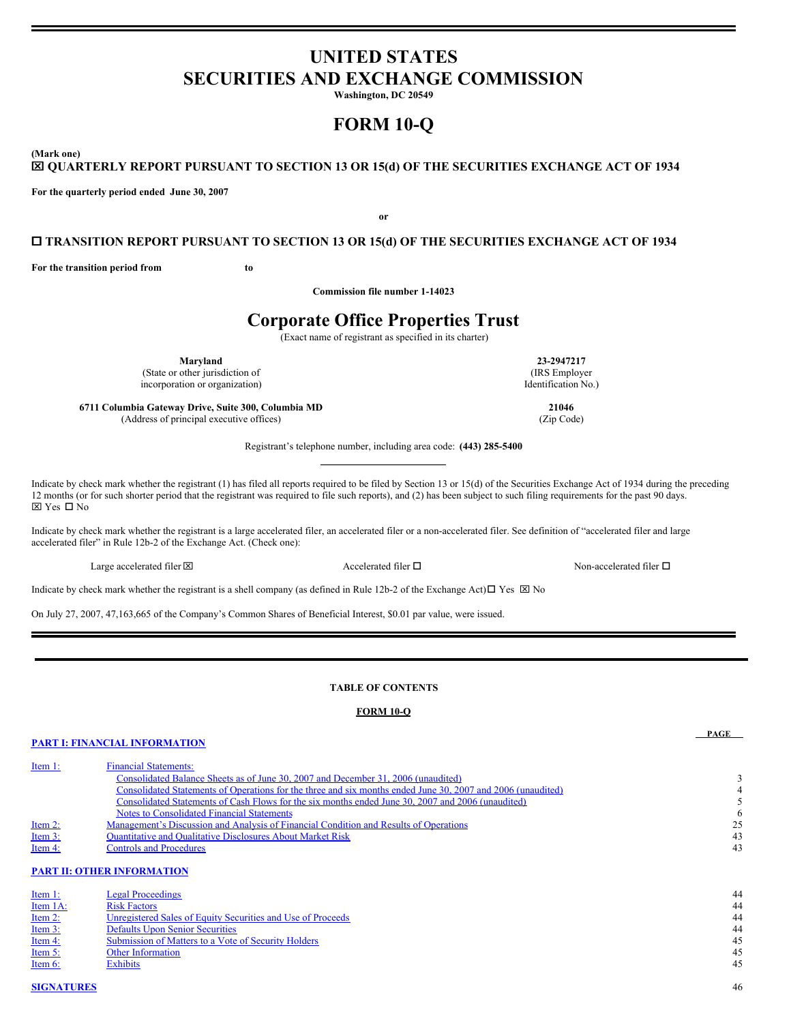# **UNITED STATES SECURITIES AND EXCHANGE COMMISSION**

**Washington, DC 20549**

# **FORM 10-Q**

**(Mark one)**

# x **QUARTERLY REPORT PURSUANT TO SECTION 13 OR 15(d) OF THE SECURITIES EXCHANGE ACT OF 1934**

**For the quarterly period ended June 30, 2007**

**or**

# o **TRANSITION REPORT PURSUANT TO SECTION 13 OR 15(d) OF THE SECURITIES EXCHANGE ACT OF 1934**

**For the transition period from to**

**Commission file number 1-14023**

# **Corporate Office Properties Trust**

(Exact name of registrant as specified in its charter)

 $(State or other jurisdiction of$ incorporation or organization) Identification No.)

**6711 Columbia Gateway Drive, Suite 300, Columbia MD 21046** (Address of principal executive offices)

Registrant's telephone number, including area code: **(443) 285-5400**

Indicate by check mark whether the registrant (1) has filed all reports required to be filed by Section 13 or 15(d) of the Securities Exchange Act of 1934 during the preceding 12 months (or for such shorter period that the registrant was required to file such reports), and (2) has been subject to such filing requirements for the past 90 days.  $\boxtimes$  Yes  $\square$  No

Indicate by check mark whether the registrant is a large accelerated filer, an accelerated filer or a non-accelerated filer. See definition of "accelerated filer and large accelerated filer" in Rule 12b-2 of the Exchange Act. (Check one):

Large accelerated filer  $\boxtimes$  Accelerated filer  $\Box$  Accelerated filer  $\Box$  Non-accelerated filer  $\Box$ 

Indicate by check mark whether the registrant is a shell company (as defined in Rule 12b-2 of the Exchange Act) $\square$  Yes  $\square$  No

On July 27, 2007, 47,163,665 of the Company's Common Shares of Beneficial Interest, \$0.01 par value, were issued.

# **TABLE OF CONTENTS**

## **FORM 10-Q**

## **PART I: FINANCIAL [INFORMATION](#page-1-0)**

[Item](#page-1-1) 1: Financial [Statements:](#page-1-1)

|            | Consolidated Balance Sheets as of June 30, 2007 and December 31, 2006 (unaudited)                           |    |
|------------|-------------------------------------------------------------------------------------------------------------|----|
|            | Consolidated Statements of Operations for the three and six months ended June 30, 2007 and 2006 (unaudited) |    |
|            | Consolidated Statements of Cash Flows for the six months ended June 30, 2007 and 2006 (unaudited)           |    |
|            | <b>Notes to Consolidated Financial Statements</b>                                                           | 6  |
| Item 2:    | Management's Discussion and Analysis of Financial Condition and Results of Operations                       | 25 |
| Item 3:    | <b>Ouantitative and Qualitative Disclosures About Market Risk</b>                                           | 43 |
| Item 4:    | <b>Controls and Procedures</b>                                                                              | 43 |
| Item 1:    | <b>Legal Proceedings</b>                                                                                    | 44 |
|            |                                                                                                             |    |
| Item 1A:   | <b>Risk Factors</b>                                                                                         | 44 |
| Item 2:    | Unregistered Sales of Equity Securities and Use of Proceeds                                                 | 44 |
| Item $3$ : | <b>Defaults Upon Senior Securities</b>                                                                      | 44 |
| Item 4:    | Submission of Matters to a Vote of Security Holders                                                         | 45 |
| Item 5:    | <b>Other Information</b>                                                                                    | 45 |
| Item $6$ : | <b>Exhibits</b>                                                                                             | 45 |
|            |                                                                                                             |    |

#### **[SIGNATURES](#page-25-4)** 46

**Maryland 23-2947217**<br> **23-2947217**<br> **23-2947217**<br> **23-2947217** 

**PAGE**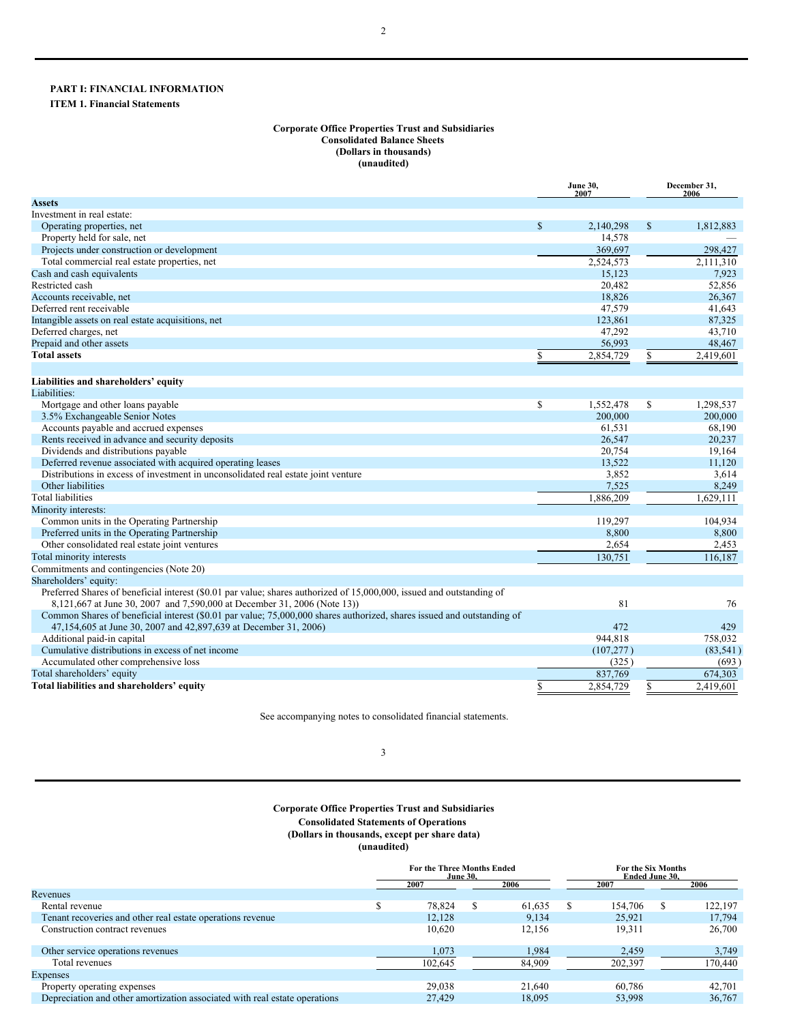# **PART I: FINANCIAL INFORMATION**

**ITEM 1. Financial Statements**

#### <span id="page-1-2"></span><span id="page-1-1"></span><span id="page-1-0"></span>**Corporate Office Properties Trust and Subsidiaries Consolidated Balance Sheets (Dollars in thousands) (unaudited)**

|                                                                                                                        | <b>June 30,</b><br>2007 |            |              | December 31,<br>2006 |  |  |
|------------------------------------------------------------------------------------------------------------------------|-------------------------|------------|--------------|----------------------|--|--|
| <b>Assets</b>                                                                                                          |                         |            |              |                      |  |  |
| Investment in real estate:                                                                                             |                         |            |              |                      |  |  |
| Operating properties, net                                                                                              | $\mathbb{S}$            | 2,140,298  | $\mathbb{S}$ | 1,812,883            |  |  |
| Property held for sale, net                                                                                            |                         | 14,578     |              |                      |  |  |
| Projects under construction or development                                                                             |                         | 369,697    |              | 298,427              |  |  |
| Total commercial real estate properties, net                                                                           |                         | 2,524,573  |              | 2,111,310            |  |  |
| Cash and cash equivalents                                                                                              |                         | 15,123     |              | 7,923                |  |  |
| Restricted cash                                                                                                        |                         | 20,482     |              | 52,856               |  |  |
| Accounts receivable, net                                                                                               |                         | 18,826     |              | 26,367               |  |  |
| Deferred rent receivable                                                                                               |                         | 47,579     |              | 41,643               |  |  |
| Intangible assets on real estate acquisitions, net                                                                     |                         | 123,861    |              | 87,325               |  |  |
| Deferred charges, net                                                                                                  |                         | 47,292     |              | 43,710               |  |  |
| Prepaid and other assets                                                                                               |                         | 56,993     |              | 48,467               |  |  |
| <b>Total assets</b>                                                                                                    | \$                      | 2,854,729  | $\mathbb{S}$ | 2,419,601            |  |  |
|                                                                                                                        |                         |            |              |                      |  |  |
| Liabilities and shareholders' equity                                                                                   |                         |            |              |                      |  |  |
| Liabilities:                                                                                                           |                         |            |              |                      |  |  |
| Mortgage and other loans payable                                                                                       | \$                      | 1,552,478  | $\mathbb{S}$ | 1,298,537            |  |  |
| 3.5% Exchangeable Senior Notes                                                                                         |                         | 200,000    |              | 200,000              |  |  |
| Accounts payable and accrued expenses                                                                                  |                         | 61,531     |              | 68,190               |  |  |
| Rents received in advance and security deposits                                                                        |                         | 26,547     |              | 20,237               |  |  |
| Dividends and distributions payable                                                                                    |                         | 20,754     |              | 19,164               |  |  |
| Deferred revenue associated with acquired operating leases                                                             |                         | 13,522     |              | 11,120               |  |  |
| Distributions in excess of investment in unconsolidated real estate joint venture                                      |                         | 3,852      |              | 3,614                |  |  |
| Other liabilities                                                                                                      |                         | 7,525      |              | 8,249                |  |  |
| <b>Total liabilities</b>                                                                                               |                         | 1,886,209  |              | 1,629,111            |  |  |
| Minority interests:                                                                                                    |                         |            |              |                      |  |  |
| Common units in the Operating Partnership                                                                              |                         | 119,297    |              | 104,934              |  |  |
| Preferred units in the Operating Partnership                                                                           |                         | 8,800      |              | 8,800                |  |  |
| Other consolidated real estate joint ventures                                                                          |                         | 2,654      |              | 2,453                |  |  |
| Total minority interests                                                                                               |                         | 130.751    |              | 116.187              |  |  |
| Commitments and contingencies (Note 20)                                                                                |                         |            |              |                      |  |  |
| Shareholders' equity:                                                                                                  |                         |            |              |                      |  |  |
| Preferred Shares of beneficial interest (\$0.01 par value; shares authorized of 15,000,000, issued and outstanding of  |                         |            |              |                      |  |  |
| 8,121,667 at June 30, 2007 and 7,590,000 at December 31, 2006 (Note 13))                                               |                         | 81         |              | 76                   |  |  |
| Common Shares of beneficial interest (\$0.01 par value; 75,000,000 shares authorized, shares issued and outstanding of |                         |            |              |                      |  |  |
| 47,154,605 at June 30, 2007 and 42,897,639 at December 31, 2006)                                                       |                         | 472        |              | 429                  |  |  |
| Additional paid-in capital                                                                                             |                         | 944.818    |              | 758,032              |  |  |
| Cumulative distributions in excess of net income                                                                       |                         | (107, 277) |              | (83, 541)            |  |  |
| Accumulated other comprehensive loss                                                                                   |                         | (325)      |              | (693)                |  |  |
| Total shareholders' equity                                                                                             |                         | 837,769    |              | 674,303              |  |  |
| Total liabilities and shareholders' equity                                                                             | Ŝ                       | 2,854,729  | \$           | 2.419.601            |  |  |

See accompanying notes to consolidated financial statements.

# <span id="page-1-3"></span>3

# **Corporate Office Properties Trust and Subsidiaries Consolidated Statements of Operations (Dollars in thousands, except per share data)**

**(unaudited)**

|                                                                            | For the Three Months Ended<br><b>June 30.</b> |  |        | For the Six Months<br><b>Ended June 30.</b> |         |  |         |
|----------------------------------------------------------------------------|-----------------------------------------------|--|--------|---------------------------------------------|---------|--|---------|
|                                                                            | 2007                                          |  | 2006   |                                             | 2007    |  | 2006    |
| Revenues                                                                   |                                               |  |        |                                             |         |  |         |
| Rental revenue                                                             | 78.824                                        |  | 61.635 |                                             | 154.706 |  | 122,197 |
| Tenant recoveries and other real estate operations revenue                 | 12.128                                        |  | 9.134  |                                             | 25.921  |  | 17.794  |
| Construction contract revenues                                             | 10.620                                        |  | 12.156 |                                             | 19,311  |  | 26,700  |
| Other service operations revenues                                          | 1,073                                         |  | 1,984  |                                             | 2,459   |  | 3,749   |
| Total revenues                                                             | 102,645                                       |  | 84,909 |                                             | 202,397 |  | 170,440 |
| <b>Expenses</b>                                                            |                                               |  |        |                                             |         |  |         |
| Property operating expenses                                                | 29,038                                        |  | 21.640 |                                             | 60.786  |  | 42,701  |
| Depreciation and other amortization associated with real estate operations | 27,429                                        |  | 18.095 |                                             | 53,998  |  | 36,767  |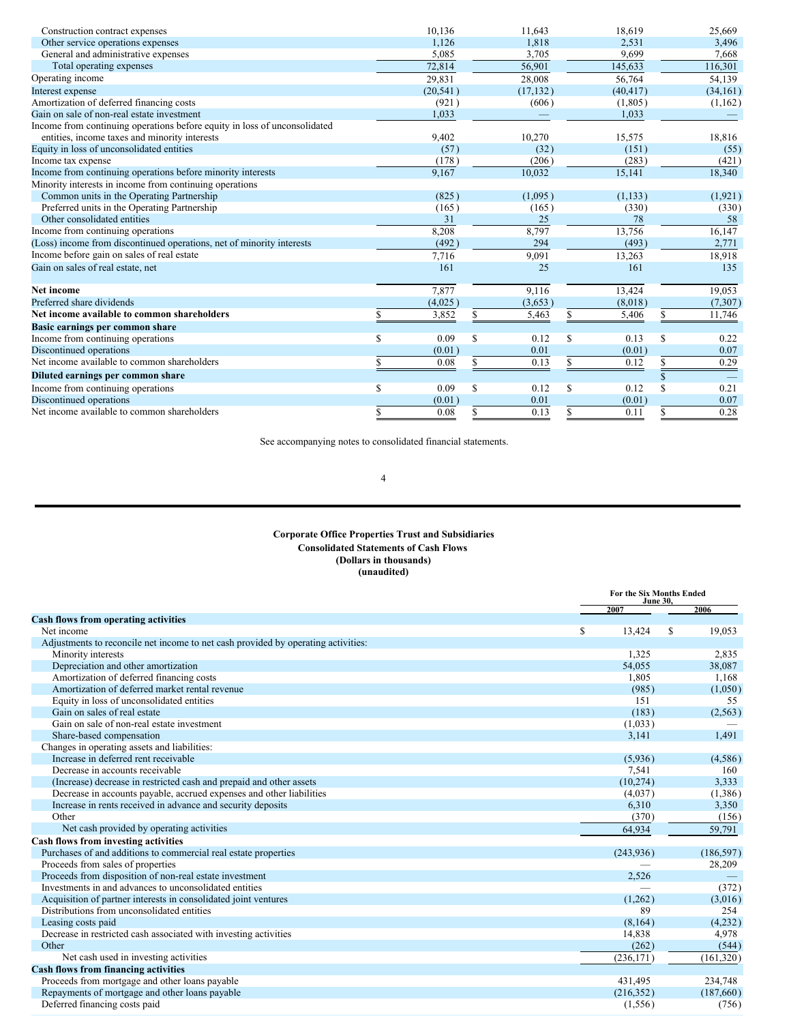| Construction contract expenses                                            | 10,136     |   | 11,643    |    | 18,619    |    | 25,669   |
|---------------------------------------------------------------------------|------------|---|-----------|----|-----------|----|----------|
| Other service operations expenses                                         | 1,126      |   | 1,818     |    | 2,531     |    | 3,496    |
| General and administrative expenses                                       | 5,085      |   | 3,705     |    | 9,699     |    | 7,668    |
| Total operating expenses                                                  | 72,814     |   | 56,901    |    | 145,633   |    | 116,301  |
| Operating income                                                          | 29,831     |   | 28,008    |    | 56,764    |    | 54,139   |
| Interest expense                                                          | (20, 541)  |   | (17, 132) |    | (40, 417) |    | (34,161) |
| Amortization of deferred financing costs                                  | (921)      |   | (606)     |    | (1,805)   |    | (1,162)  |
| Gain on sale of non-real estate investment                                | 1,033      |   |           |    | 1,033     |    |          |
| Income from continuing operations before equity in loss of unconsolidated |            |   |           |    |           |    |          |
| entities, income taxes and minority interests                             | 9,402      |   | 10,270    |    | 15,575    |    | 18,816   |
| Equity in loss of unconsolidated entities                                 | (57)       |   | (32)      |    | (151)     |    | (55)     |
| Income tax expense                                                        | (178)      |   | (206)     |    | (283)     |    | (421)    |
| Income from continuing operations before minority interests               | 9,167      |   | 10,032    |    | 15,141    |    | 18,340   |
| Minority interests in income from continuing operations                   |            |   |           |    |           |    |          |
| Common units in the Operating Partnership                                 | (825)      |   | (1,095)   |    | (1, 133)  |    | (1, 921) |
| Preferred units in the Operating Partnership                              | (165)      |   | (165)     |    | (330)     |    | (330)    |
| Other consolidated entities                                               | 31         |   | 25        |    | 78        |    | 58       |
| Income from continuing operations                                         | 8,208      |   | 8,797     |    | 13,756    |    | 16,147   |
| (Loss) income from discontinued operations, net of minority interests     | (492)      |   | 294       |    | (493)     |    | 2,771    |
| Income before gain on sales of real estate                                | 7,716      |   | 9,091     |    | 13,263    |    | 18,918   |
| Gain on sales of real estate, net                                         | 161        |   | 25        |    | 161       |    | 135      |
| Net income                                                                | 7,877      |   | 9,116     |    | 13,424    |    | 19,053   |
| Preferred share dividends                                                 | (4,025)    |   | (3,653)   |    | (8,018)   |    | (7,307)  |
| Net income available to common shareholders                               | 3,852      |   | 5,463     |    | 5,406     | S  | 11,746   |
| Basic earnings per common share                                           |            |   |           |    |           |    |          |
| Income from continuing operations                                         | \$<br>0.09 | S | 0.12      | \$ | 0.13      | S  | 0.22     |
| Discontinued operations                                                   | (0.01)     |   | 0.01      |    | (0.01)    |    | 0.07     |
| Net income available to common shareholders                               | 0.08       | S | 0.13      | \$ | 0.12      | \$ | 0.29     |
| Diluted earnings per common share                                         |            |   |           |    |           |    |          |
| Income from continuing operations                                         | \$<br>0.09 | S | 0.12      | S  | 0.12      | S  | 0.21     |
| Discontinued operations                                                   | (0.01)     |   | 0.01      |    | (0.01)    |    | 0.07     |
| Net income available to common shareholders                               | \$<br>0.08 | S | 0.13      | \$ | 0.11      | \$ | 0.28     |

See accompanying notes to consolidated financial statements.

<span id="page-2-0"></span>4

# **Corporate Office Properties Trust and Subsidiaries Consolidated Statements of Cash Flows (Dollars in thousands) (unaudited)**

| 2007<br>2006<br><b>Cash flows from operating activities</b>                                |
|--------------------------------------------------------------------------------------------|
|                                                                                            |
|                                                                                            |
| \$<br>S<br>19,053<br>Net income<br>13,424                                                  |
| Adjustments to reconcile net income to net cash provided by operating activities:          |
| Minority interests<br>1.325<br>2,835                                                       |
| Depreciation and other amortization<br>54,055<br>38,087                                    |
| Amortization of deferred financing costs<br>1,805<br>1,168                                 |
| Amortization of deferred market rental revenue<br>(985)<br>(1,050)                         |
| Equity in loss of unconsolidated entities<br>151<br>55                                     |
| Gain on sales of real estate<br>(183)<br>(2,563)                                           |
| Gain on sale of non-real estate investment<br>(1,033)                                      |
| Share-based compensation<br>3,141<br>1,491                                                 |
| Changes in operating assets and liabilities:                                               |
| Increase in deferred rent receivable<br>(5,936)<br>(4,586)                                 |
| Decrease in accounts receivable<br>7,541<br>160                                            |
| (Increase) decrease in restricted cash and prepaid and other assets<br>(10, 274)<br>3,333  |
| Decrease in accounts payable, accrued expenses and other liabilities<br>(4,037)<br>(1,386) |
| Increase in rents received in advance and security deposits<br>6,310<br>3,350              |
| Other<br>(370)<br>(156)                                                                    |
| Net cash provided by operating activities<br>64,934<br>59,791                              |
| Cash flows from investing activities                                                       |
| Purchases of and additions to commercial real estate properties<br>(243,936)<br>(186, 597) |
| Proceeds from sales of properties<br>28,209                                                |
| Proceeds from disposition of non-real estate investment<br>2,526                           |
| Investments in and advances to unconsolidated entities<br>(372)                            |
| Acquisition of partner interests in consolidated joint ventures<br>(1.262)<br>(3,016)      |
| Distributions from unconsolidated entities<br>89<br>254                                    |
| Leasing costs paid<br>(8,164)<br>(4,232)                                                   |
| 14,838<br>4,978<br>Decrease in restricted cash associated with investing activities        |
| Other<br>(262)<br>(544)                                                                    |
| Net cash used in investing activities<br>(236, 171)<br>(161,320)                           |
| <b>Cash flows from financing activities</b>                                                |
| Proceeds from mortgage and other loans payable<br>234,748<br>431,495                       |
| Repayments of mortgage and other loans payable<br>(187,660)<br>(216, 352)                  |
| Deferred financing costs paid<br>(1, 556)<br>(756)                                         |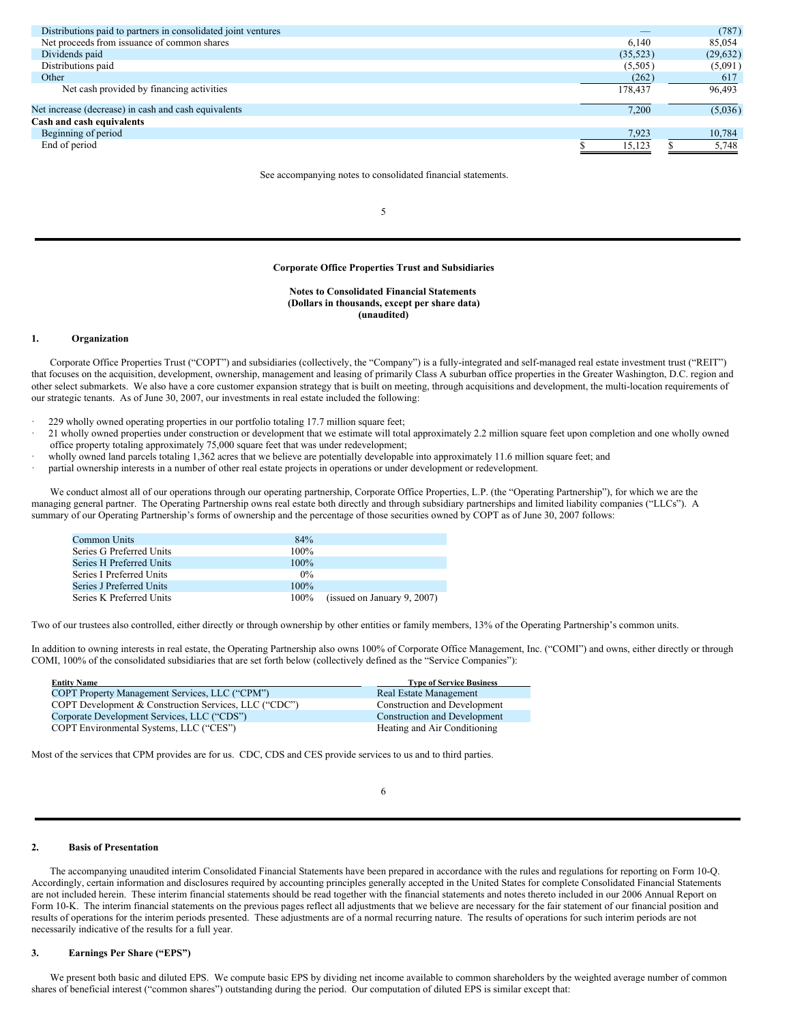| Distributions paid to partners in consolidated joint ventures | _        | (787)     |
|---------------------------------------------------------------|----------|-----------|
| Net proceeds from issuance of common shares                   | 6.140    | 85.054    |
| Dividends paid                                                | (35,523) | (29, 632) |
| Distributions paid                                            | (5,505)  | (5,091)   |
| Other                                                         | (262)    | 617       |
| Net cash provided by financing activities                     | 178,437  | 96.493    |
| Net increase (decrease) in cash and cash equivalents          | 7.200    | (5,036)   |
| Cash and cash equivalents                                     |          |           |
| Beginning of period                                           | 7,923    | 10,784    |
| End of period                                                 | 15.123   | 5.748     |
|                                                               |          |           |

See accompanying notes to consolidated financial statements.

<span id="page-3-0"></span>5

#### **Corporate Office Properties Trust and Subsidiaries**

**Notes to Consolidated Financial Statements (Dollars in thousands, except per share data) (unaudited)**

#### **1. Organization**

Corporate Office Properties Trust ("COPT") and subsidiaries (collectively, the "Company") is a fully-integrated and self-managed real estate investment trust ("REIT") that focuses on the acquisition, development, ownership, management and leasing of primarily Class A suburban office properties in the Greater Washington, D.C. region and other select submarkets. We also have a core customer expansion strategy that is built on meeting, through acquisitions and development, the multi-location requirements of our strategic tenants. As of June 30, 2007, our investments in real estate included the following:

- 229 wholly owned operating properties in our portfolio totaling 17.7 million square feet;
- · 21 wholly owned properties under construction or development that we estimate will total approximately 2.2 million square feet upon completion and one wholly owned office property totaling approximately 75,000 square feet that was under redevelopment;
- wholly owned land parcels totaling 1,362 acres that we believe are potentially developable into approximately 11.6 million square feet; and

partial ownership interests in a number of other real estate projects in operations or under development or redevelopment.

We conduct almost all of our operations through our operating partnership, Corporate Office Properties, L.P. (the "Operating Partnership"), for which we are the managing general partner. The Operating Partnership owns real estate both directly and through subsidiary partnerships and limited liability companies ("LLCs"). A summary of our Operating Partnership's forms of ownership and the percentage of those securities owned by COPT as of June 30, 2007 follows:

| Common Units             | 84%     |                                |
|--------------------------|---------|--------------------------------|
| Series G Preferred Units | $100\%$ |                                |
| Series H Preferred Units | $100\%$ |                                |
| Series I Preferred Units | $0\%$   |                                |
| Series J Preferred Units | $100\%$ |                                |
| Series K Preferred Units | $100\%$ | $($ issued on January 9, 2007) |

Two of our trustees also controlled, either directly or through ownership by other entities or family members, 13% of the Operating Partnership's common units.

In addition to owning interests in real estate, the Operating Partnership also owns 100% of Corporate Office Management, Inc. ("COMI") and owns, either directly or through COMI, 100% of the consolidated subsidiaries that are set forth below (collectively defined as the "Service Companies"):

| <b>Entity Name</b>                                    | <b>Type of Service Business</b> |
|-------------------------------------------------------|---------------------------------|
| COPT Property Management Services, LLC ("CPM")        | Real Estate Management          |
| COPT Development & Construction Services, LLC ("CDC") | Construction and Development    |
| Corporate Development Services, LLC ("CDS")           | Construction and Development    |
| COPT Environmental Systems, LLC ("CES")               | Heating and Air Conditioning    |

Most of the services that CPM provides are for us. CDC, CDS and CES provide services to us and to third parties.

#### 6

#### **2. Basis of Presentation**

The accompanying unaudited interim Consolidated Financial Statements have been prepared in accordance with the rules and regulations for reporting on Form 10-Q. Accordingly, certain information and disclosures required by accounting principles generally accepted in the United States for complete Consolidated Financial Statements are not included herein. These interim financial statements should be read together with the financial statements and notes thereto included in our 2006 Annual Report on Form 10-K. The interim financial statements on the previous pages reflect all adjustments that we believe are necessary for the fair statement of our financial position and results of operations for the interim periods presented. These adjustments are of a normal recurring nature. The results of operations for such interim periods are not necessarily indicative of the results for a full year.

#### **3. Earnings Per Share ("EPS")**

We present both basic and diluted EPS. We compute basic EPS by dividing net income available to common shareholders by the weighted average number of common shares of beneficial interest ("common shares") outstanding during the period. Our computation of diluted EPS is similar except that: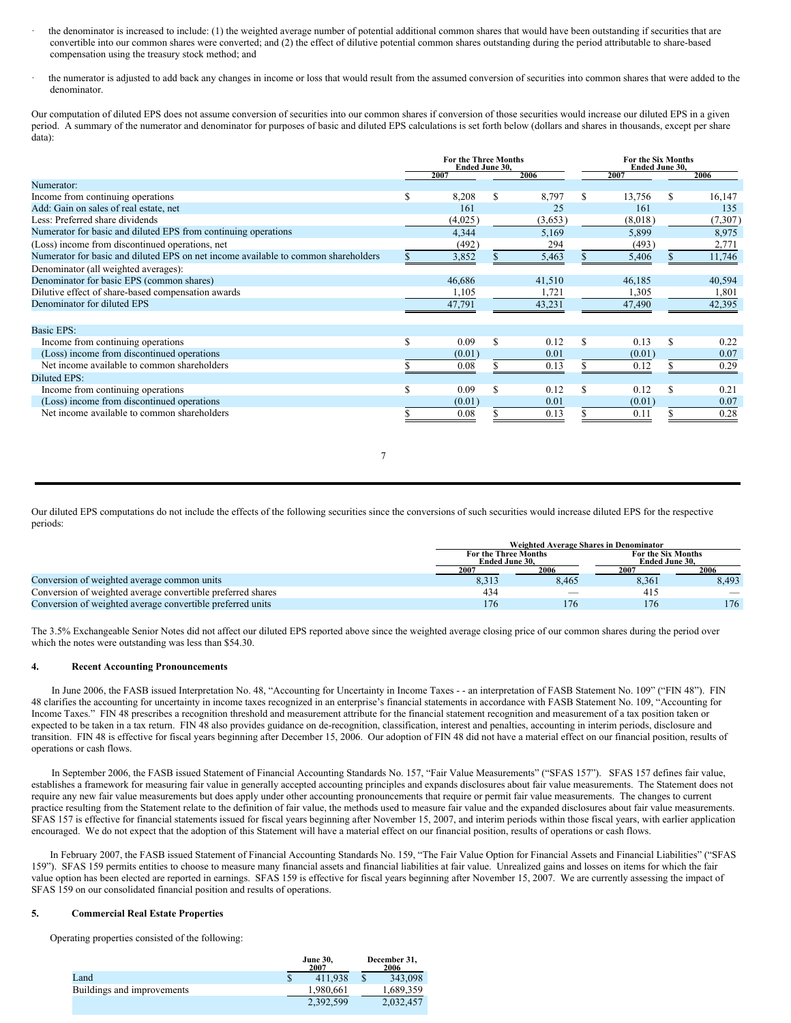- the denominator is increased to include: (1) the weighted average number of potential additional common shares that would have been outstanding if securities that are convertible into our common shares were converted; and (2) the effect of dilutive potential common shares outstanding during the period attributable to share-based compensation using the treasury stock method; and
- the numerator is adjusted to add back any changes in income or loss that would result from the assumed conversion of securities into common shares that were added to the denominator.

Our computation of diluted EPS does not assume conversion of securities into our common shares if conversion of those securities would increase our diluted EPS in a given period. A summary of the numerator and denominator for purposes of basic and diluted EPS calculations is set forth below (dollars and shares in thousands, except per share data):

|                                                                                    | <b>For the Three Months</b><br><b>Ended June 30.</b> |         |     | <b>For the Six Months</b><br><b>Ended June 30.</b> |     |         |   |          |
|------------------------------------------------------------------------------------|------------------------------------------------------|---------|-----|----------------------------------------------------|-----|---------|---|----------|
|                                                                                    |                                                      | 2007    |     | 2006                                               |     | 2007    |   | 2006     |
| Numerator:                                                                         |                                                      |         |     |                                                    |     |         |   |          |
| Income from continuing operations                                                  | S                                                    | 8,208   | ж   | 8,797                                              | S   | 13,756  | S | 16,147   |
| Add: Gain on sales of real estate, net                                             |                                                      | 161     |     | 25                                                 |     | 161     |   | 135      |
| Less: Preferred share dividends                                                    |                                                      | (4,025) |     | (3,653)                                            |     | (8,018) |   | (7, 307) |
| Numerator for basic and diluted EPS from continuing operations                     |                                                      | 4,344   |     | 5,169                                              |     | 5,899   |   | 8,975    |
| (Loss) income from discontinued operations, net                                    |                                                      | (492)   |     | 294                                                |     | (493)   |   | 2,771    |
| Numerator for basic and diluted EPS on net income available to common shareholders |                                                      | 3,852   |     | 5,463                                              |     | 5,406   |   | 11,746   |
| Denominator (all weighted averages):                                               |                                                      |         |     |                                                    |     |         |   |          |
| Denominator for basic EPS (common shares)                                          |                                                      | 46,686  |     | 41,510                                             |     | 46,185  |   | 40,594   |
| Dilutive effect of share-based compensation awards                                 |                                                      | 1,105   |     | 1,721                                              |     | 1,305   |   | 1,801    |
| Denominator for diluted EPS                                                        |                                                      | 47,791  |     | 43,231                                             |     | 47,490  |   | 42,395   |
|                                                                                    |                                                      |         |     |                                                    |     |         |   |          |
| Basic EPS:                                                                         |                                                      |         |     |                                                    |     |         |   |          |
| Income from continuing operations                                                  | S                                                    | 0.09    | \$. | 0.12                                               | \$. | 0.13    | S | 0.22     |
| (Loss) income from discontinued operations                                         |                                                      | (0.01)  |     | 0.01                                               |     | (0.01)  |   | 0.07     |
| Net income available to common shareholders                                        |                                                      | 0.08    |     | 0.13                                               |     | 0.12    |   | 0.29     |
| Diluted EPS:                                                                       |                                                      |         |     |                                                    |     |         |   |          |
| Income from continuing operations                                                  |                                                      | 0.09    | \$. | 0.12                                               | \$. | 0.12    | S | 0.21     |
| (Loss) income from discontinued operations                                         |                                                      | (0.01)  |     | 0.01                                               |     | (0.01)  |   | 0.07     |
| Net income available to common shareholders                                        |                                                      | 0.08    |     | 0.13                                               |     | 0.11    |   | 0.28     |

7

Our diluted EPS computations do not include the effects of the following securities since the conversions of such securities would increase diluted EPS for the respective periods:

|                                                             |                                               | Weighted Average Shares in Denominator |                                             |       |  |  |  |  |  |
|-------------------------------------------------------------|-----------------------------------------------|----------------------------------------|---------------------------------------------|-------|--|--|--|--|--|
|                                                             | <b>For the Three Months</b><br>Ended June 30. |                                        | <b>For the Six Months</b><br>Ended June 30. |       |  |  |  |  |  |
|                                                             | $200^{\circ}$                                 | 2006                                   | 2007                                        | 2006  |  |  |  |  |  |
| Conversion of weighted average common units                 | 8.313                                         | 8.465                                  | 8,361                                       | 8.493 |  |  |  |  |  |
| Conversion of weighted average convertible preferred shares | 434                                           |                                        | 415                                         | $-$   |  |  |  |  |  |
| Conversion of weighted average convertible preferred units  | 176                                           | 176                                    | 176                                         | 176   |  |  |  |  |  |

The 3.5% Exchangeable Senior Notes did not affect our diluted EPS reported above since the weighted average closing price of our common shares during the period over which the notes were outstanding was less than \$54.30.

## **4. Recent Accounting Pronouncements**

In June 2006, the FASB issued Interpretation No. 48, "Accounting for Uncertainty in Income Taxes - - an interpretation of FASB Statement No. 109" ("FIN 48"). FIN 48 clarifies the accounting for uncertainty in income taxes recognized in an enterprise's financial statements in accordance with FASB Statement No. 109, "Accounting for Income Taxes." FIN 48 prescribes a recognition threshold and measurement attribute for the financial statement recognition and measurement of a tax position taken or expected to be taken in a tax return. FIN 48 also provides guidance on de-recognition, classification, interest and penalties, accounting in interim periods, disclosure and transition. FIN 48 is effective for fiscal years beginning after December 15, 2006. Our adoption of FIN 48 did not have a material effect on our financial position, results of operations or cash flows.

In September 2006, the FASB issued Statement of Financial Accounting Standards No. 157, "Fair Value Measurements" ("SFAS 157"). SFAS 157 defines fair value, establishes a framework for measuring fair value in generally accepted accounting principles and expands disclosures about fair value measurements. The Statement does not require any new fair value measurements but does apply under other accounting pronouncements that require or permit fair value measurements. The changes to current practice resulting from the Statement relate to the definition of fair value, the methods used to measure fair value and the expanded disclosures about fair value measurements. SFAS 157 is effective for financial statements issued for fiscal years beginning after November 15, 2007, and interim periods within those fiscal years, with earlier application encouraged. We do not expect that the adoption of this Statement will have a material effect on our financial position, results of operations or cash flows.

In February 2007, the FASB issued Statement of Financial Accounting Standards No. 159, "The Fair Value Option for Financial Assets and Financial Liabilities" ("SFAS 159"). SFAS 159 permits entities to choose to measure many financial assets and financial liabilities at fair value. Unrealized gains and losses on items for which the fair value option has been elected are reported in earnings. SFAS 159 is effective for fiscal years beginning after November 15, 2007. We are currently assessing the impact of SFAS 159 on our consolidated financial position and results of operations.

## **5. Commercial Real Estate Properties**

Operating properties consisted of the following:

|                            | <b>June 30,</b><br>2007 | December 31,<br>2006 |
|----------------------------|-------------------------|----------------------|
| Land                       | \$<br>411.938           | \$<br>343,098        |
| Buildings and improvements | 1.980.661               | 1.689.359            |
|                            | 2.392.599               | 2.032.457            |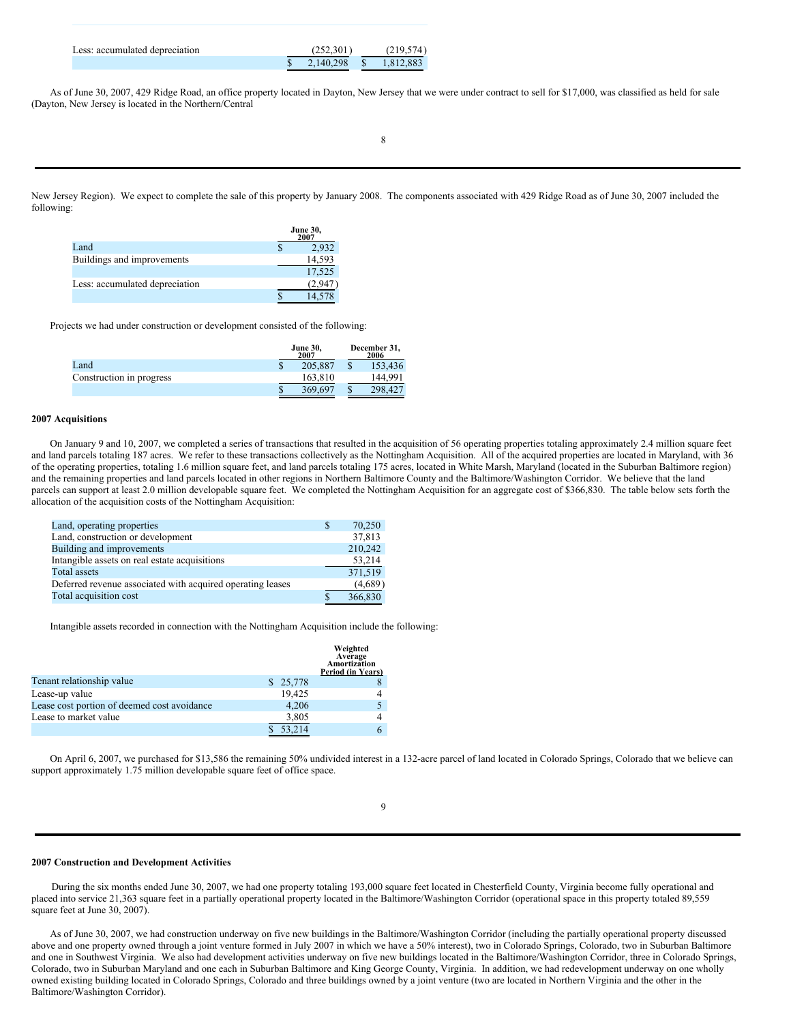| Less: accumulated depreciation | (252.301)    | (219, 574) |
|--------------------------------|--------------|------------|
|                                | 2.140.298 \$ | 1.812.883  |

As of June 30, 2007, 429 Ridge Road, an office property located in Dayton, New Jersey that we were under contract to sell for \$17,000, was classified as held for sale (Dayton, New Jersey is located in the Northern/Central

New Jersey Region). We expect to complete the sale of this property by January 2008. The components associated with 429 Ridge Road as of June 30, 2007 included the following:

|                                | <b>June 30,</b><br>2007 |
|--------------------------------|-------------------------|
| Land                           | 2.932                   |
| Buildings and improvements     | 14.593                  |
|                                | 17,525                  |
| Less: accumulated depreciation | (2.94                   |
|                                | 14.578                  |

Projects we had under construction or development consisted of the following:

|                          | <b>June 30,</b><br>2007 | December 31,<br>2006 |
|--------------------------|-------------------------|----------------------|
| Land                     | 205,887                 | \$<br>153.436        |
| Construction in progress | 163.810                 | 144.991              |
|                          | 369,697                 | \$<br>298,427        |

## **2007 Acquisitions**

On January 9 and 10, 2007, we completed a series of transactions that resulted in the acquisition of 56 operating properties totaling approximately 2.4 million square feet and land parcels totaling 187 acres. We refer to these transactions collectively as the Nottingham Acquisition. All of the acquired properties are located in Maryland, with 36 of the operating properties, totaling 1.6 million square feet, and land parcels totaling 175 acres, located in White Marsh, Maryland (located in the Suburban Baltimore region) and the remaining properties and land parcels located in other regions in Northern Baltimore County and the Baltimore/Washington Corridor. We believe that the land parcels can support at least 2.0 million developable square feet. We completed the Nottingham Acquisition for an aggregate cost of \$366,830. The table below sets forth the allocation of the acquisition costs of the Nottingham Acquisition:

| 37,813  |
|---------|
|         |
| 210,242 |
| 53,214  |
| 371,519 |
| (4,689) |
| 366,830 |
|         |

Intangible assets recorded in connection with the Nottingham Acquisition include the following:

|                                             |          | Weighted<br>Average<br>Amortization<br>Period (in Years) |
|---------------------------------------------|----------|----------------------------------------------------------|
| Tenant relationship value                   | \$25,778 |                                                          |
| Lease-up value                              | 19,425   |                                                          |
| Lease cost portion of deemed cost avoidance | 4.206    |                                                          |
| Lease to market value                       | 3,805    |                                                          |
|                                             | 53.214   |                                                          |

On April 6, 2007, we purchased for \$13,586 the remaining 50% undivided interest in a 132-acre parcel of land located in Colorado Springs, Colorado that we believe can support approximately 1.75 million developable square feet of office space.

| ٧            |
|--------------|
|              |
| I<br>I       |
| ł<br>۰.<br>v |

#### **2007 Construction and Development Activities**

During the six months ended June 30, 2007, we had one property totaling 193,000 square feet located in Chesterfield County, Virginia become fully operational and placed into service 21,363 square feet in a partially operational property located in the Baltimore/Washington Corridor (operational space in this property totaled 89,559 square feet at June 30, 2007).

As of June 30, 2007, we had construction underway on five new buildings in the Baltimore/Washington Corridor (including the partially operational property discussed above and one property owned through a joint venture formed in July 2007 in which we have a 50% interest), two in Colorado Springs, Colorado, two in Suburban Baltimore and one in Southwest Virginia. We also had development activities underway on five new buildings located in the Baltimore/Washington Corridor, three in Colorado Springs, Colorado, two in Suburban Maryland and one each in Suburban Baltimore and King George County, Virginia. In addition, we had redevelopment underway on one wholly owned existing building located in Colorado Springs, Colorado and three buildings owned by a joint venture (two are located in Northern Virginia and the other in the Baltimore/Washington Corridor).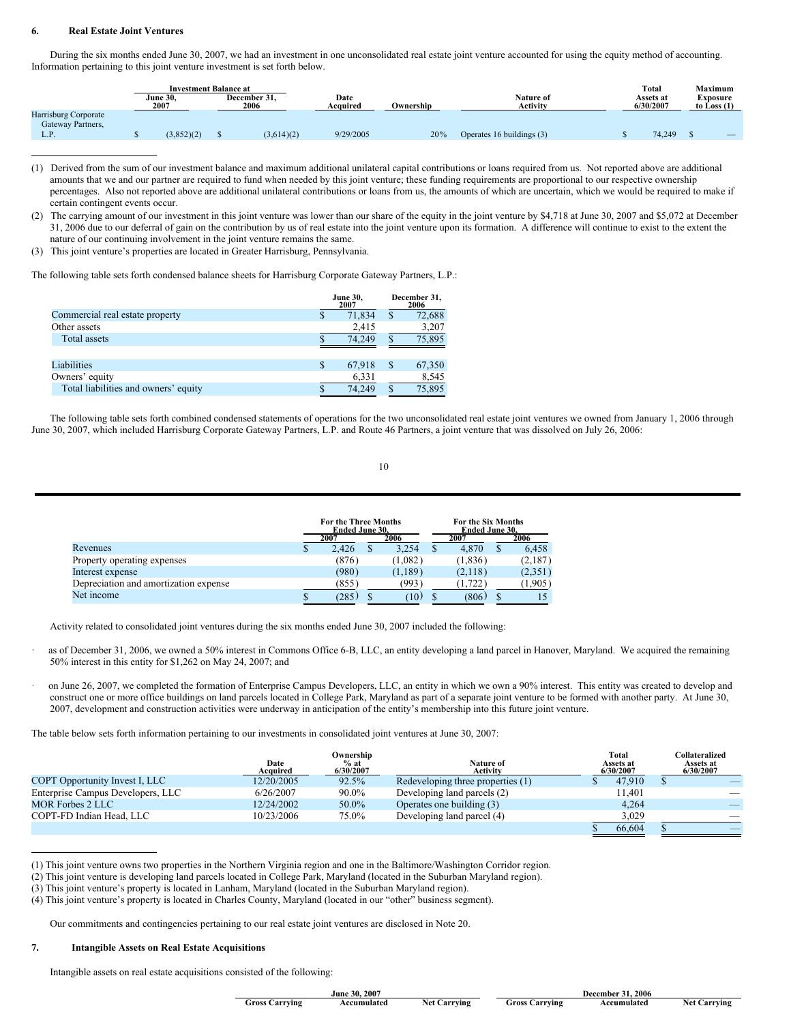#### **6. Real Estate Joint Ventures**

During the six months ended June 30, 2007, we had an investment in one unconsolidated real estate joint venture accounted for using the equity method of accounting. Information pertaining to this joint venture investment is set forth below.

|                      | <b>Investment Balance at</b> |                      |                  |           |                              |  | Total                  | <b>Maximum</b>                   |
|----------------------|------------------------------|----------------------|------------------|-----------|------------------------------|--|------------------------|----------------------------------|
|                      | <b>June 30.</b><br>2007      | December 31,<br>2006 | Date<br>Acquired | Ownership | <b>Nature of</b><br>Activity |  | Assets at<br>6/30/2007 | <b>Exposure</b><br>to Loss $(1)$ |
| Harrisburg Corporate |                              |                      |                  |           |                              |  |                        |                                  |
| Gateway Partners,    |                              |                      |                  |           |                              |  |                        |                                  |
| L.P.                 | (3,852)(2)                   | (3,614)(2)           | 9/29/2005        | 20%       | Operates 16 buildings (3)    |  | 74,249                 |                                  |
|                      |                              |                      |                  |           |                              |  |                        |                                  |

<sup>(1)</sup> Derived from the sum of our investment balance and maximum additional unilateral capital contributions or loans required from us. Not reported above are additional amounts that we and our partner are required to fund when needed by this joint venture; these funding requirements are proportional to our respective ownership percentages. Also not reported above are additional unilateral contributions or loans from us, the amounts of which are uncertain, which we would be required to make if certain contingent events occur.

The following table sets forth condensed balance sheets for Harrisburg Corporate Gateway Partners, L.P.:

|   | 2007   |                 | December 31.<br>2006 |
|---|--------|-----------------|----------------------|
|   | 71,834 | S               | 72,688               |
|   | 2.415  |                 | 3,207                |
|   | 74.249 | S.              | 75,895               |
|   |        |                 |                      |
| S | 67,918 | S               | 67,350               |
|   | 6,331  |                 | 8,545                |
|   | 74.249 | <b>S</b>        | 75.895               |
|   |        | <b>June 30,</b> |                      |

The following table sets forth combined condensed statements of operations for the two unconsolidated real estate joint ventures we owned from January 1, 2006 through June 30, 2007, which included Harrisburg Corporate Gateway Partners, L.P. and Route 46 Partners, a joint venture that was dissolved on July 26, 2006:

| I            |  |
|--------------|--|
| ٦<br>×<br>۰. |  |

|                                       | <b>For the Three Months</b><br><b>Ended June 30.</b> |         | <b>For the Six Months</b><br><b>Ended June 30.</b> |          |      |         |  |  |
|---------------------------------------|------------------------------------------------------|---------|----------------------------------------------------|----------|------|---------|--|--|
|                                       | 2007                                                 | 2006    |                                                    | 2007     | 2006 |         |  |  |
| Revenues                              | 2.426                                                | 3.254   |                                                    | 4.870    |      | 6.458   |  |  |
| Property operating expenses           | (876)                                                | (1,082) |                                                    | (1, 836) |      | (2,187) |  |  |
| Interest expense                      | (980)                                                | (1.189) |                                                    | (2,118)  |      | (2,351) |  |  |
| Depreciation and amortization expense | (855)                                                | (993)   |                                                    | (1.722)  |      | (1,905) |  |  |
| Net income                            | 285                                                  | 10)     |                                                    | 806      |      |         |  |  |

Activity related to consolidated joint ventures during the six months ended June 30, 2007 included the following:

- as of December 31, 2006, we owned a 50% interest in Commons Office 6-B, LLC, an entity developing a land parcel in Hanover, Maryland. We acquired the remaining 50% interest in this entity for \$1,262 on May 24, 2007; and
- on June 26, 2007, we completed the formation of Enterprise Campus Developers, LLC, an entity in which we own a 90% interest. This entity was created to develop and construct one or more office buildings on land parcels located in College Park, Maryland as part of a separate joint venture to be formed with another party. At June 30, 2007, development and construction activities were underway in anticipation of the entity's membership into this future joint venture.

The table below sets forth information pertaining to our investments in consolidated joint ventures at June 30, 2007:

|                                   | Date<br>Acquired | Ownership<br>$%$ at<br>6/30/2007 | Nature of<br>Activity             | Total<br>Assets at<br>6/30/2007 | Collateralized<br>Assets at<br>6/30/2007 |
|-----------------------------------|------------------|----------------------------------|-----------------------------------|---------------------------------|------------------------------------------|
| COPT Opportunity Invest I, LLC    | 12/20/2005       | 92.5%                            | Redeveloping three properties (1) | 47.910                          |                                          |
| Enterprise Campus Developers, LLC | 6/26/2007        | 90.0%                            | Developing land parcels (2)       | 11.401                          |                                          |
| <b>MOR Forbes 2 LLC</b>           | 12/24/2002       | 50.0%                            | Operates one building (3)         | 4.264                           |                                          |
| COPT-FD Indian Head, LLC          | 10/23/2006       | 75.0%                            | Developing land parcel (4)        | 3.029                           |                                          |
|                                   |                  |                                  |                                   | 66.604                          |                                          |

<sup>(1)</sup> This joint venture owns two properties in the Northern Virginia region and one in the Baltimore/Washington Corridor region.

(2) This joint venture is developing land parcels located in College Park, Maryland (located in the Suburban Maryland region).

(4) This joint venture's property is located in Charles County, Maryland (located in our "other" business segment).

Our commitments and contingencies pertaining to our real estate joint ventures are disclosed in Note 20.

#### **7. Intangible Assets on Real Estate Acquisitions**

Intangible assets on real estate acquisitions consisted of the following:

**June 30, 2007 December 31, 2006**

<sup>(2)</sup> The carrying amount of our investment in this joint venture was lower than our share of the equity in the joint venture by \$4,718 at June 30, 2007 and \$5,072 at December 31, 2006 due to our deferral of gain on the contribution by us of real estate into the joint venture upon its formation. A difference will continue to exist to the extent the nature of our continuing involvement in the joint venture remains the same.

<sup>(3)</sup> This joint venture's properties are located in Greater Harrisburg, Pennsylvania.

<sup>(3)</sup> This joint venture's property is located in Lanham, Maryland (located in the Suburban Maryland region).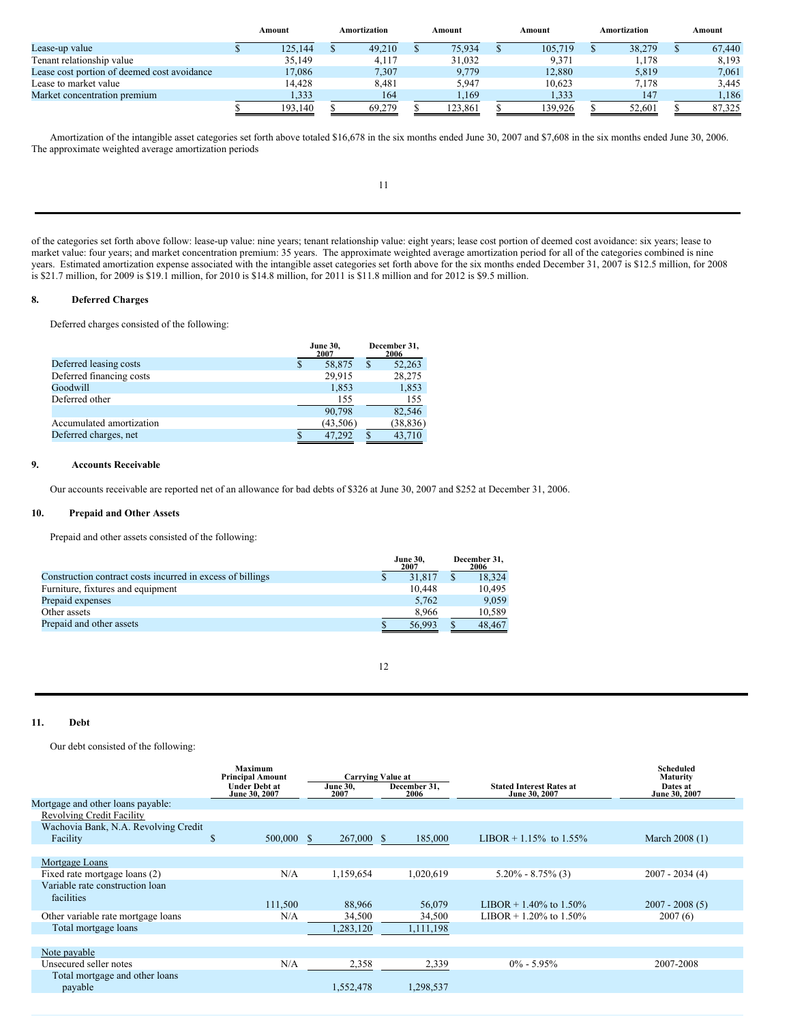|                                             | Amount |         | Amortization |  | Amount  |  |         |  |        |  | Amount |  |  |  |  |  |  |  |  |  |  |  |  |  | Amortization |  | Amount |
|---------------------------------------------|--------|---------|--------------|--|---------|--|---------|--|--------|--|--------|--|--|--|--|--|--|--|--|--|--|--|--|--|--------------|--|--------|
| Lease-up value                              |        | 125.144 | 49.210       |  | 75,934  |  | 105.719 |  | 38,279 |  | 67,440 |  |  |  |  |  |  |  |  |  |  |  |  |  |              |  |        |
| Tenant relationship value                   |        | 35.149  | 4.117        |  | 31.032  |  | 9,371   |  | 1.178  |  | 8.193  |  |  |  |  |  |  |  |  |  |  |  |  |  |              |  |        |
| Lease cost portion of deemed cost avoidance |        | 17.086  | 7.307        |  | 9,779   |  | 12.880  |  | 5,819  |  | 7,061  |  |  |  |  |  |  |  |  |  |  |  |  |  |              |  |        |
| Lease to market value                       |        | 14.428  | 8.481        |  | 5.947   |  | 10.623  |  | 7.178  |  | 3.445  |  |  |  |  |  |  |  |  |  |  |  |  |  |              |  |        |
| Market concentration premium                |        | 1.333   | 164          |  | 1,169   |  | 1,333   |  | 147    |  | 1.186  |  |  |  |  |  |  |  |  |  |  |  |  |  |              |  |        |
|                                             |        | 193.140 | 69.279       |  | 123.861 |  | 139.926 |  | 52,601 |  | 87.325 |  |  |  |  |  |  |  |  |  |  |  |  |  |              |  |        |

Amortization of the intangible asset categories set forth above totaled \$16,678 in the six months ended June 30, 2007 and \$7,608 in the six months ended June 30, 2006. The approximate weighted average amortization periods

of the categories set forth above follow: lease-up value: nine years; tenant relationship value: eight years; lease cost portion of deemed cost avoidance: six years; lease to market value: four years; and market concentration premium: 35 years. The approximate weighted average amortization period for all of the categories combined is nine years. Estimated amortization expense associated with the intangible asset categories set forth above for the six months ended December 31, 2007 is \$12.5 million, for 2008 is \$21.7 million, for 2009 is \$19.1 million, for 2010 is \$14.8 million, for 2011 is \$11.8 million and for 2012 is \$9.5 million.

## **8. Deferred Charges**

Deferred charges consisted of the following:

|                          | <b>June 30,</b><br>2007 |   | December 31,<br>2006 |
|--------------------------|-------------------------|---|----------------------|
| Deferred leasing costs   | \$<br>58,875            | S | 52,263               |
| Deferred financing costs | 29.915                  |   | 28,275               |
| Goodwill                 | 1,853                   |   | 1,853                |
| Deferred other           | 155                     |   | 155                  |
|                          | 90,798                  |   | 82,546               |
| Accumulated amortization | (43, 506)               |   | (38, 836)            |
| Deferred charges, net    | 47.292                  |   | 43,710               |

## **9. Accounts Receivable**

Our accounts receivable are reported net of an allowance for bad debts of \$326 at June 30, 2007 and \$252 at December 31, 2006.

# **10. Prepaid and Other Assets**

Prepaid and other assets consisted of the following:

|                                                            | <b>June 30,</b><br>2007 | December 31,<br>2006 |  |  |
|------------------------------------------------------------|-------------------------|----------------------|--|--|
| Construction contract costs incurred in excess of billings | 31.817                  | 18,324               |  |  |
| Furniture, fixtures and equipment                          | 10.448                  | 10.495               |  |  |
| Prepaid expenses                                           | 5.762                   | 9.059                |  |  |
| Other assets                                               | 8.966                   | 10.589               |  |  |
| Prepaid and other assets                                   | 56,993                  | \$<br>48.467         |  |  |

# 12

## **11. Debt**

Our debt consisted of the following:

|                                      | Maximum<br><b>Principal Amount</b>    |                         | <b>Carrying Value at</b> |                                                  | <b>Scheduled</b><br>Maturity |
|--------------------------------------|---------------------------------------|-------------------------|--------------------------|--------------------------------------------------|------------------------------|
|                                      | <b>Under Debt at</b><br>June 30, 2007 | <b>June 30,</b><br>2007 | December 31,<br>2006     | <b>Stated Interest Rates at</b><br>June 30, 2007 | Dates at<br>June 30, 2007    |
| Mortgage and other loans payable:    |                                       |                         |                          |                                                  |                              |
| <b>Revolving Credit Facility</b>     |                                       |                         |                          |                                                  |                              |
| Wachovia Bank, N.A. Revolving Credit |                                       |                         |                          |                                                  |                              |
| Facility                             | 500,000 \$<br>ъ                       | 267,000 \$              | 185,000                  | LIBOR + 1.15% to $1.55%$                         | March 2008 (1)               |
|                                      |                                       |                         |                          |                                                  |                              |
| Mortgage Loans                       |                                       |                         |                          |                                                  |                              |
| Fixed rate mortgage loans (2)        | N/A                                   | 1,159,654               | 1,020,619                | $5.20\% - 8.75\%$ (3)                            | $2007 - 2034(4)$             |
| Variable rate construction loan      |                                       |                         |                          |                                                  |                              |
| facilities                           | 111,500                               | 88,966                  | 56,079                   | LIBOR + 1.40% to 1.50%                           | $2007 - 2008(5)$             |
| Other variable rate mortgage loans   | N/A                                   | 34,500                  | 34,500                   | LIBOR + 1.20% to 1.50%                           | 2007(6)                      |
| Total mortgage loans                 |                                       | 1,283,120               | 1,111,198                |                                                  |                              |
|                                      |                                       |                         |                          |                                                  |                              |
| Note payable                         |                                       |                         |                          |                                                  |                              |
| Unsecured seller notes               | N/A                                   | 2,358                   | 2,339                    | $0\% - 5.95\%$                                   | 2007-2008                    |
| Total mortgage and other loans       |                                       |                         |                          |                                                  |                              |
| payable                              |                                       | 1,552,478               | 1,298,537                |                                                  |                              |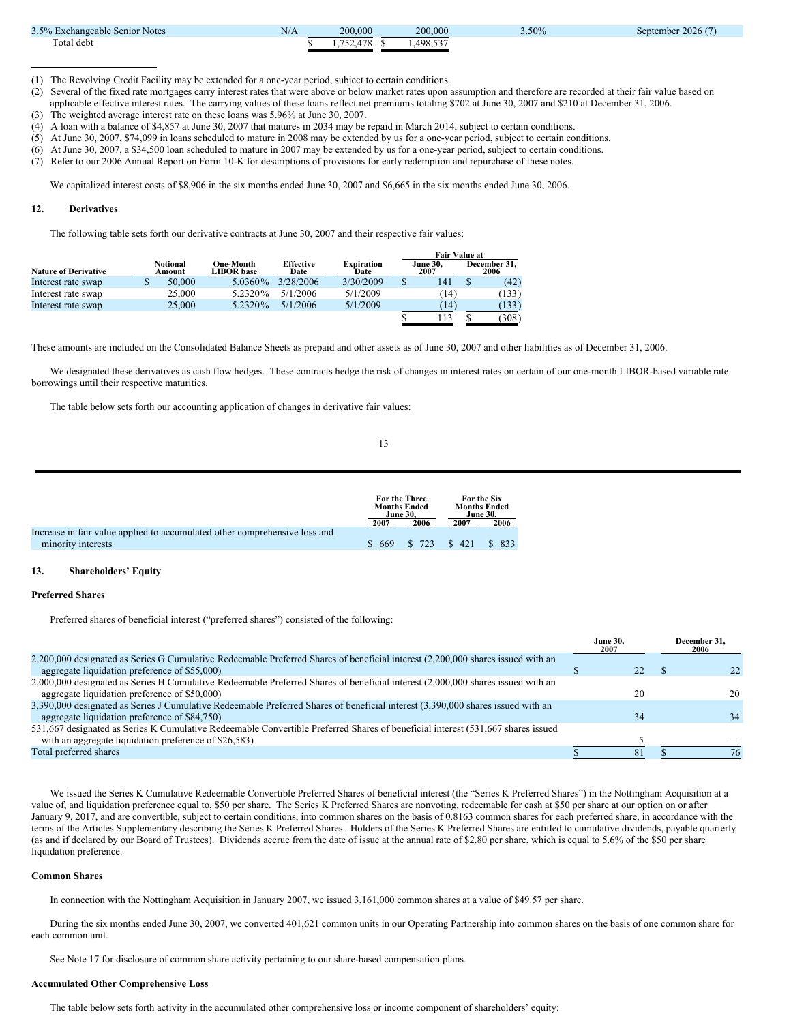| 50/<br><b>Notes</b><br>senio<br>$-a$ ble $\sim$<br>70.<br>$\Delta$ CHange<br><u>.</u> | . | 000<br>∍∩ | 000<br>200                | <b>Contract Contract Contract Contract Contract Contract Contract Contract Contract Contract Contract Contract Co</b><br>3.50% | $\sim$ $\sim$<br>-<br>2026<br>September |
|---------------------------------------------------------------------------------------|---|-----------|---------------------------|--------------------------------------------------------------------------------------------------------------------------------|-----------------------------------------|
| `ota<br>I debi                                                                        |   |           | $ -$<br>498<br>. <i>.</i> |                                                                                                                                |                                         |

(1) The Revolving Credit Facility may be extended for a one-year period, subject to certain conditions.

- (2) Several of the fixed rate mortgages carry interest rates that were above or below market rates upon assumption and therefore are recorded at their fair value based on applicable effective interest rates. The carrying values of these loans reflect net premiums totaling \$702 at June 30, 2007 and \$210 at December 31, 2006.
- (3) The weighted average interest rate on these loans was 5.96% at June 30, 2007.
- (4) A loan with a balance of \$4,857 at June 30, 2007 that matures in 2034 may be repaid in March 2014, subject to certain conditions.
- (5) At June 30, 2007, \$74,099 in loans scheduled to mature in 2008 may be extended by us for a one-year period, subject to certain conditions.
- (6) At June 30, 2007, a \$34,500 loan scheduled to mature in 2007 may be extended by us for a one-year period, subject to certain conditions.
- (7) Refer to our 2006 Annual Report on Form 10-K for descriptions of provisions for early redemption and repurchase of these notes.

We capitalized interest costs of \$8,906 in the six months ended June 30, 2007 and \$6,665 in the six months ended June 30, 2006.

#### **12. Derivatives**

The following table sets forth our derivative contracts at June 30, 2007 and their respective fair values:

|                             |  |                           |                                |                          |                           | Fair                    | Value at             |       |  |
|-----------------------------|--|---------------------------|--------------------------------|--------------------------|---------------------------|-------------------------|----------------------|-------|--|
| <b>Nature of Derivative</b> |  | <b>Notional</b><br>Amount | One-Month<br><b>LIBOR base</b> | <b>Effective</b><br>Date | <b>Expiration</b><br>Date | <b>June 30,</b><br>2007 | December 31.<br>2006 |       |  |
| Interest rate swap          |  | 50,000                    | 5.0360%                        | 3/28/2006                | 3/30/2009                 | 141                     |                      | (42)  |  |
| Interest rate swap          |  | 25,000                    | 5.2320%                        | 5/1/2006                 | 5/1/2009                  | 14)                     |                      | (133) |  |
| Interest rate swap          |  | 25,000                    | 5.2320%                        | 5/1/2006                 | 5/1/2009                  | 14)                     |                      | (133) |  |
|                             |  |                           |                                |                          |                           |                         |                      | (308) |  |

These amounts are included on the Consolidated Balance Sheets as prepaid and other assets as of June 30, 2007 and other liabilities as of December 31, 2006.

We designated these derivatives as cash flow hedges. These contracts hedge the risk of changes in interest rates on certain of our one-month LIBOR-based variable rate borrowings until their respective maturities.

The table below sets forth our accounting application of changes in derivative fair values:

13

|                                                                            | <b>June 30.</b> | For the Three<br><b>Months Ended</b> | <b>June 30.</b>         | For the Six<br><b>Months Ended</b> |
|----------------------------------------------------------------------------|-----------------|--------------------------------------|-------------------------|------------------------------------|
|                                                                            | 2007            | 2007                                 | 2006                    |                                    |
| Increase in fair value applied to accumulated other comprehensive loss and |                 |                                      |                         |                                    |
| minority interests                                                         |                 |                                      | \$669 \$723 \$421 \$833 |                                    |

## **13. Shareholders' Equity**

#### **Preferred Shares**

Preferred shares of beneficial interest ("preferred shares") consisted of the following:

|                                                                                                                                 | <b>June 30,</b><br>2007 | December 31,<br>2006 |
|---------------------------------------------------------------------------------------------------------------------------------|-------------------------|----------------------|
| 2,200,000 designated as Series G Cumulative Redeemable Preferred Shares of beneficial interest (2,200,000 shares issued with an |                         |                      |
| aggregate liquidation preference of \$55,000)                                                                                   | 22.                     | 22                   |
| 2,000,000 designated as Series H Cumulative Redeemable Preferred Shares of beneficial interest (2,000,000 shares issued with an |                         |                      |
| aggregate liquidation preference of \$50,000)                                                                                   | 20                      | 20                   |
| 3,390,000 designated as Series J Cumulative Redeemable Preferred Shares of beneficial interest (3,390,000 shares issued with an |                         |                      |
| aggregate liquidation preference of \$84,750)                                                                                   | 34                      | 34                   |
| 531,667 designated as Series K Cumulative Redeemable Convertible Preferred Shares of beneficial interest (531,667 shares issued |                         |                      |
| with an aggregate liquidation preference of \$26,583)                                                                           |                         |                      |
| Total preferred shares                                                                                                          | 81                      | 76                   |

We issued the Series K Cumulative Redeemable Convertible Preferred Shares of beneficial interest (the "Series K Preferred Shares") in the Nottingham Acquisition at a value of, and liquidation preference equal to, \$50 per share. The Series K Preferred Shares are nonvoting, redeemable for cash at \$50 per share at our option on or after January 9, 2017, and are convertible, subject to certain conditions, into common shares on the basis of 0.8163 common shares for each preferred share, in accordance with the terms of the Articles Supplementary describing the Series K Preferred Shares. Holders of the Series K Preferred Shares are entitled to cumulative dividends, payable quarterly (as and if declared by our Board of Trustees). Dividends accrue from the date of issue at the annual rate of \$2.80 per share, which is equal to 5.6% of the \$50 per share liquidation preference.

#### **Common Shares**

In connection with the Nottingham Acquisition in January 2007, we issued 3,161,000 common shares at a value of \$49.57 per share.

During the six months ended June 30, 2007, we converted 401,621 common units in our Operating Partnership into common shares on the basis of one common share for each common unit.

See Note 17 for disclosure of common share activity pertaining to our share-based compensation plans.

#### **Accumulated Other Comprehensive Loss**

The table below sets forth activity in the accumulated other comprehensive loss or income component of shareholders' equity: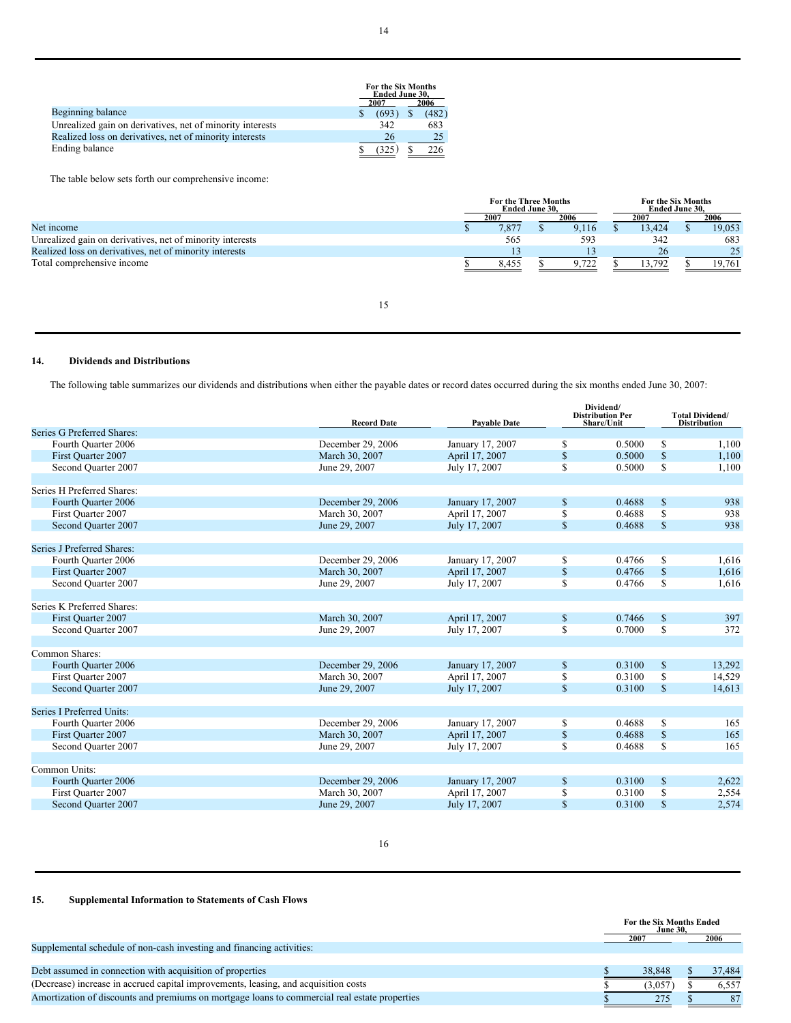|                                                           |   | For the Six Months<br>Ended June 30. |      |       |  |
|-----------------------------------------------------------|---|--------------------------------------|------|-------|--|
|                                                           |   | 2007                                 | 2006 |       |  |
| Beginning balance                                         | S | (693                                 |      | (482) |  |
| Unrealized gain on derivatives, net of minority interests |   | 342                                  |      | 683   |  |
| Realized loss on derivatives, net of minority interests   |   | 26                                   |      | 25    |  |
| Ending balance                                            |   |                                      |      | 226   |  |

The table below sets forth our comprehensive income:

|                                                           |      | <b>For the Three Months</b><br><b>Ended June 30.</b> |  | For the Six Months<br>Ended June 30. |        |      |        |  |
|-----------------------------------------------------------|------|------------------------------------------------------|--|--------------------------------------|--------|------|--------|--|
|                                                           | 2007 |                                                      |  | 2006                                 | 2007   | 2006 |        |  |
| Net income                                                |      | 7,877                                                |  | 9.116                                | 13.424 |      | 19.053 |  |
| Unrealized gain on derivatives, net of minority interests |      | 565                                                  |  | 593                                  | 342    |      | 683    |  |
| Realized loss on derivatives, net of minority interests   |      |                                                      |  |                                      | 26     |      | 25     |  |
| Total comprehensive income                                |      | 8.455                                                |  | 9.722                                | 13.792 |      | 19.761 |  |

# **14. Dividends and Distributions**

The following table summarizes our dividends and distributions when either the payable dates or record dates occurred during the six months ended June 30, 2007:

|                            | <b>Record Date</b> | <b>Payable Date</b> |              | Dividend/<br><b>Distribution Per</b><br><b>Share/Unit</b> | <b>Total Dividend/</b><br><b>Distribution</b> |        |  |
|----------------------------|--------------------|---------------------|--------------|-----------------------------------------------------------|-----------------------------------------------|--------|--|
| Series G Preferred Shares: |                    |                     |              |                                                           |                                               |        |  |
| Fourth Quarter 2006        | December 29, 2006  | January 17, 2007    | \$           | 0.5000                                                    | \$                                            | 1,100  |  |
| First Ouarter 2007         | March 30, 2007     | April 17, 2007      | $\mathbb{S}$ | 0.5000                                                    | $\mathbb{S}$                                  | 1,100  |  |
| Second Ouarter 2007        | June 29, 2007      | July 17, 2007       | \$           | 0.5000                                                    | $\mathbb{S}$                                  | 1.100  |  |
| Series H Preferred Shares: |                    |                     |              |                                                           |                                               |        |  |
| Fourth Quarter 2006        | December 29, 2006  | January 17, 2007    | \$           | 0.4688                                                    | $\mathbb{S}$                                  | 938    |  |
| First Ouarter 2007         | March 30, 2007     | April 17, 2007      | \$           | 0.4688                                                    | \$                                            | 938    |  |
| Second Ouarter 2007        | June 29, 2007      | July 17, 2007       | $\mathbf S$  | 0.4688                                                    | $\mathbb{S}$                                  | 938    |  |
| Series J Preferred Shares: |                    |                     |              |                                                           |                                               |        |  |
| Fourth Ouarter 2006        | December 29, 2006  | January 17, 2007    | \$           | 0.4766                                                    | \$                                            | 1,616  |  |
| First Ouarter 2007         | March 30, 2007     | April 17, 2007      | \$           | 0.4766                                                    | \$                                            | 1,616  |  |
| Second Ouarter 2007        | June 29, 2007      | July 17, 2007       | \$           | 0.4766                                                    | S.                                            | 1,616  |  |
|                            |                    |                     |              |                                                           |                                               |        |  |
| Series K Preferred Shares: |                    |                     |              |                                                           |                                               |        |  |
| First Ouarter 2007         | March 30, 2007     | April 17, 2007      | \$           | 0.7466                                                    | $\mathbb{S}$                                  | 397    |  |
| Second Quarter 2007        | June 29, 2007      | July 17, 2007       | \$           | 0.7000                                                    | \$                                            | 372    |  |
| Common Shares:             |                    |                     |              |                                                           |                                               |        |  |
| Fourth Ouarter 2006        | December 29, 2006  | January 17, 2007    | \$           | 0.3100                                                    | \$                                            | 13,292 |  |
| First Ouarter 2007         | March 30, 2007     | April 17, 2007      | \$           | 0.3100                                                    | S.                                            | 14,529 |  |
| Second Quarter 2007        | June 29, 2007      | July 17, 2007       | $\mathbb{S}$ | 0.3100                                                    | $\mathbb{S}$                                  | 14,613 |  |
| Series I Preferred Units:  |                    |                     |              |                                                           |                                               |        |  |
| Fourth Ouarter 2006        | December 29, 2006  | January 17, 2007    | \$           | 0.4688                                                    | \$                                            | 165    |  |
| <b>First Ouarter 2007</b>  | March 30, 2007     | April 17, 2007      | $\mathbb{S}$ | 0.4688                                                    | $\mathbb{S}$                                  | 165    |  |
| Second Ouarter 2007        | June 29, 2007      | July 17, 2007       | \$           | 0.4688                                                    | $\mathbb{S}$                                  | 165    |  |
|                            |                    |                     |              |                                                           |                                               |        |  |
| Common Units:              |                    |                     |              |                                                           |                                               |        |  |
| Fourth Quarter 2006        | December 29, 2006  | January 17, 2007    | \$           | 0.3100                                                    | \$                                            | 2,622  |  |
| First Ouarter 2007         | March 30, 2007     | April 17, 2007      | \$           | 0.3100                                                    | \$                                            | 2,554  |  |
| Second Ouarter 2007        | June 29, 2007      | July 17, 2007       | $\mathbb{S}$ | 0.3100                                                    | $\mathbf S$                                   | 2,574  |  |

# **15. Supplemental Information to Statements of Cash Flows**

|                                                                                               | For the Six Months Ended<br><b>June 30.</b> |        |
|-----------------------------------------------------------------------------------------------|---------------------------------------------|--------|
|                                                                                               | 2007                                        | 2006   |
| Supplemental schedule of non-cash investing and financing activities:                         |                                             |        |
|                                                                                               |                                             |        |
| Debt assumed in connection with acquisition of properties                                     | 38.848                                      | 37.484 |
| (Decrease) increase in accrued capital improvements, leasing, and acquisition costs           | (3.057)                                     | 6.557  |
| Amortization of discounts and premiums on mortgage loans to commercial real estate properties | 275                                         |        |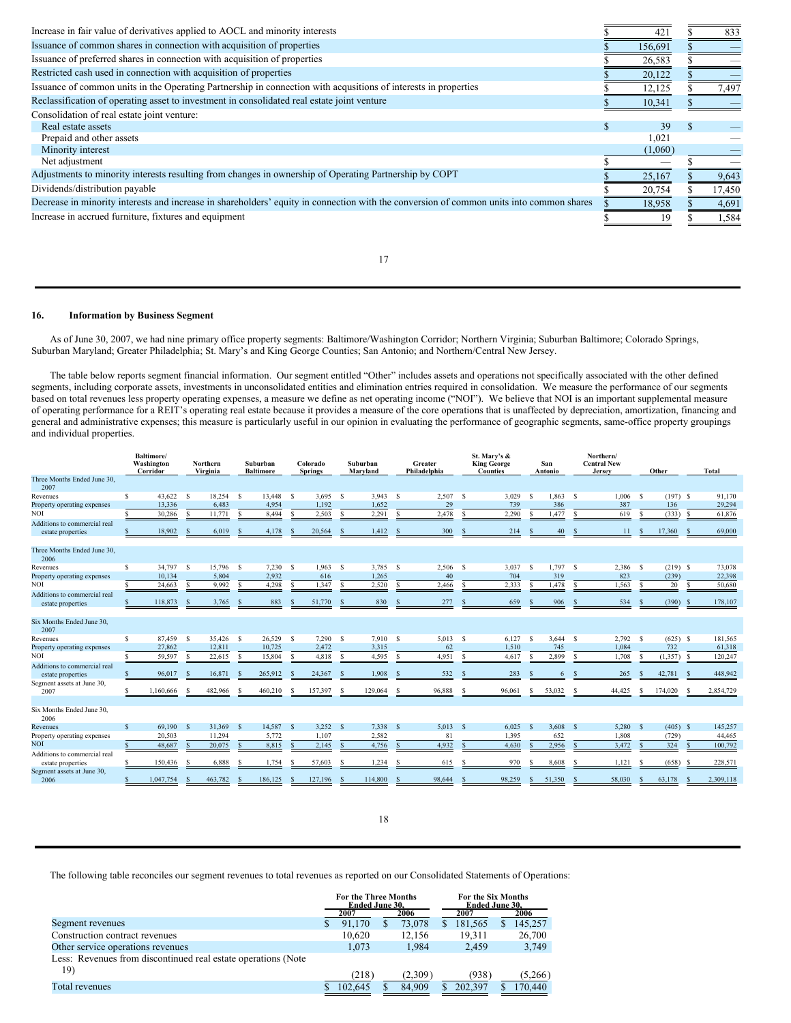| Increase in fair value of derivatives applied to AOCL and minority interests                                                             | 421     | 833    |
|------------------------------------------------------------------------------------------------------------------------------------------|---------|--------|
| Issuance of common shares in connection with acquisition of properties                                                                   | 156,691 |        |
| Issuance of preferred shares in connection with acquisition of properties                                                                | 26,583  |        |
| Restricted cash used in connection with acquisition of properties                                                                        | 20,122  |        |
| Issuance of common units in the Operating Partnership in connection with acquaitions of interests in properties                          | 12,125  | 7,497  |
| Reclassification of operating asset to investment in consolidated real estate joint venture                                              | 10,341  |        |
| Consolidation of real estate joint venture:                                                                                              |         |        |
| Real estate assets                                                                                                                       | 39      |        |
| Prepaid and other assets                                                                                                                 | 1,021   |        |
| Minority interest                                                                                                                        | (1,060) |        |
| Net adjustment                                                                                                                           |         |        |
| Adjustments to minority interests resulting from changes in ownership of Operating Partnership by COPT                                   | 25,167  | 9,643  |
| Dividends/distribution payable                                                                                                           | 20,754  | 17,450 |
| Decrease in minority interests and increase in shareholders' equity in connection with the conversion of common units into common shares | 18,958  | 4,691  |
| Increase in accrued furniture, fixtures and equipment                                                                                    | 19      | 1,584  |

# 17

#### **16. Information by Business Segment**

As of June 30, 2007, we had nine primary office property segments: Baltimore/Washington Corridor; Northern Virginia; Suburban Baltimore; Colorado Springs, Suburban Maryland; Greater Philadelphia; St. Mary's and King George Counties; San Antonio; and Northern/Central New Jersey.

The table below reports segment financial information. Our segment entitled "Other" includes assets and operations not specifically associated with the other defined segments, including corporate assets, investments in unconsolidated entities and elimination entries required in consolidation. We measure the performance of our segments based on total revenues less property operating expenses, a measure we define as net operating income ("NOI"). We believe that NOI is an important supplemental measure of operating performance for a REIT's operating real estate because it provides a measure of the core operations that is unaffected by depreciation, amortization, financing and general and administrative expenses; this measure is particularly useful in our opinion in evaluating the performance of geographic segments, same-office property groupings and individual properties.

|                                     |              | Baltimore/<br>Washington<br>Corridor |     |         |     |         |     |            |     |            |              | Northern<br>Virginia |     | Suburban<br><b>Baltimore</b> |     | Colorado<br><b>Springs</b> |    | Suburban<br>Marvland |     | Greater<br>Philadelphia |    | St. Mary's &<br><b>King George</b><br><b>Counties</b> |  | San<br>Antonio |  | Northern/<br><b>Central New</b><br><b>Jersey</b> |  | Other |  | Total |
|-------------------------------------|--------------|--------------------------------------|-----|---------|-----|---------|-----|------------|-----|------------|--------------|----------------------|-----|------------------------------|-----|----------------------------|----|----------------------|-----|-------------------------|----|-------------------------------------------------------|--|----------------|--|--------------------------------------------------|--|-------|--|-------|
| Three Months Ended June 30,<br>2007 |              |                                      |     |         |     |         |     |            |     |            |              |                      |     |                              |     |                            |    |                      |     |                         |    |                                                       |  |                |  |                                                  |  |       |  |       |
| Revenues                            | s            | 43.622                               | - S | 18,254  | -S  | 13,448  | - S | 3.695      | - S | $3,943$ \$ |              | 2,507                | - S | 3.029                        | - S | 1.863                      | s  | $1,006$ S            |     | $(197)$ \$              |    | 91,170                                                |  |                |  |                                                  |  |       |  |       |
| Property operating expenses         |              | 13,336                               |     | 6,483   |     | 4,954   |     | 1,192      |     | 1,652      |              | 29                   |     | 739                          |     | 386                        |    | 387                  |     | 136                     |    | 29,294                                                |  |                |  |                                                  |  |       |  |       |
| <b>NOI</b>                          |              | 30,286                               |     | 11,771  |     | 8,494   |     | 2,503      |     | 2,291      | £.           | 2,478                |     | 2,290                        |     | 1,477                      |    | 619                  |     | (333)                   |    | 61,876                                                |  |                |  |                                                  |  |       |  |       |
| Additions to commercial real        |              |                                      |     |         |     |         |     |            |     |            |              |                      |     |                              |     |                            |    |                      |     |                         |    |                                                       |  |                |  |                                                  |  |       |  |       |
| estate properties                   |              | 18,902                               |     | 6,019   |     | 4,178   |     | 20,564     |     | 1,412      | S            | 300                  |     | 214                          |     | 40                         |    | 11                   |     | 17,360                  |    | 69,000                                                |  |                |  |                                                  |  |       |  |       |
| Three Months Ended June 30,<br>2006 |              |                                      |     |         |     |         |     |            |     |            |              |                      |     |                              |     |                            |    |                      |     |                         |    |                                                       |  |                |  |                                                  |  |       |  |       |
| Revenues                            | s            | 34,797                               | - S | 15,796  | - S | 7,230   | - S | 1,963      | - S | 3,785      | - S          | 2,506                | - S | 3,037                        | -S  | 1.797                      | s  | 2,386 \$             |     | $(219)$ \$              |    | 73,078                                                |  |                |  |                                                  |  |       |  |       |
| Property operating expenses         |              | 10,134                               |     | 5,804   |     | 2,932   |     | 616        |     | 1,265      |              | 40                   |     | 704                          |     | 319                        |    | 823                  |     | (239)                   |    | 22,398                                                |  |                |  |                                                  |  |       |  |       |
| <b>NOI</b>                          |              | 24,663                               | S   | 9,992   |     | 4,298   | S   | 1,347      | S   | 2,520      | s            | 2,466                | -S  | 2,333                        | £.  | 1,478                      |    | 1,563                |     | 20                      |    | 50,680                                                |  |                |  |                                                  |  |       |  |       |
| Additions to commercial real        |              |                                      |     |         |     |         |     |            |     |            |              |                      |     |                              |     |                            |    |                      |     |                         |    |                                                       |  |                |  |                                                  |  |       |  |       |
| estate properties                   |              | 118,873                              |     | 3,765   |     | 883     | S   | 51,770     | -S  | 830        | S            | 277                  |     | 659                          |     | 906                        |    | 534                  |     | (390)                   |    | 178,107                                               |  |                |  |                                                  |  |       |  |       |
| Six Months Ended June 30,<br>2007   |              |                                      |     |         |     |         |     |            |     |            |              |                      |     |                              |     |                            |    |                      |     |                         |    |                                                       |  |                |  |                                                  |  |       |  |       |
| Revenues                            | s            | 87,459                               | - S | 35,426  | - S | 26,529  | -S  | $7,290$ \$ |     | 7,910 \$   |              | 5,013                | - S | 6,127                        | -S  | 3.644                      | S  | 2,792                | - S | $(625)$ \$              |    | 181,565                                               |  |                |  |                                                  |  |       |  |       |
| Property operating expenses         |              | 27,862                               |     | 12,811  |     | 10,725  |     | 2,472      |     | 3,315      |              | 62                   |     | 1,510                        |     | 745                        |    | 1,084                |     | 732                     |    | 61,318                                                |  |                |  |                                                  |  |       |  |       |
| <b>NOI</b>                          |              | 59,597                               |     | 22,615  |     | 15,804  | S   | 4,818      |     | 4,595      | s            | 4,951                | -S  | 4,617                        | S   | 2,899                      |    | 1,708                |     | (1,357)                 | £. | 120,247                                               |  |                |  |                                                  |  |       |  |       |
| Additions to commercial real        |              |                                      |     |         |     |         |     |            |     |            |              |                      |     |                              |     |                            |    |                      |     |                         |    |                                                       |  |                |  |                                                  |  |       |  |       |
| estate properties                   |              | 96,017                               |     | 16,871  |     | 265,912 |     | 24,367     |     | 1,908      |              | 532                  |     | 283                          |     | 6                          |    | 265                  |     | 42,781                  |    | 448,942                                               |  |                |  |                                                  |  |       |  |       |
| Segment assets at June 30,          |              |                                      |     |         |     |         |     |            |     |            |              |                      |     |                              |     |                            |    |                      |     |                         |    |                                                       |  |                |  |                                                  |  |       |  |       |
| 2007                                |              | ,160,666                             |     | 482,966 |     | 460,210 | S   | 157,397    |     | 129,064    | £.           | 96,888               |     | 96,061                       | -S  | 53,032                     |    | 44,425               |     | 174,020                 | -S | 2,854,729                                             |  |                |  |                                                  |  |       |  |       |
| Six Months Ended June 30.<br>2006   |              |                                      |     |         |     |         |     |            |     |            |              |                      |     |                              |     |                            |    |                      |     |                         |    |                                                       |  |                |  |                                                  |  |       |  |       |
| Revenues                            | $\mathbf{s}$ | 69,190                               | - S | 31.369  | - S | 14.587  | - S | 3.252 S    |     | 7,338      | $\mathbf{s}$ | 5,013                | -S  | 6.025                        | -S  | 3.608                      | -S | 5.280                | - S | $(405)$ \$              |    | 145,257                                               |  |                |  |                                                  |  |       |  |       |
| Property operating expenses         |              | 20,503                               |     | 11,294  |     | 5,772   |     | 1,107      |     | 2,582      |              | 81                   |     | 1,395                        |     | 652                        |    | 1,808                |     | (729)                   |    | 44,465                                                |  |                |  |                                                  |  |       |  |       |
| <b>NOI</b>                          |              | 48,687                               |     | 20,075  |     | 8,815   |     | 2,145      |     | 4,756      | \$           | 4,932                |     | 4,630                        |     | 2,956                      |    | 3,472                |     | 324                     |    | 100,792                                               |  |                |  |                                                  |  |       |  |       |
| Additions to commercial real        |              |                                      |     |         |     |         |     |            |     |            |              |                      |     |                              |     |                            |    |                      |     |                         |    |                                                       |  |                |  |                                                  |  |       |  |       |
| estate properties                   |              | 150,436                              |     | 6.888   |     | 1,754   |     | 57,603     |     | 1,234      | -S           | 615                  |     | 970                          | s   | 8,608                      |    | 1,121                |     | (658)                   |    | 228,571                                               |  |                |  |                                                  |  |       |  |       |
| Segment assets at June 30,<br>2006  | $\mathbf{s}$ | 1,047,754                            | s   | 463,782 | S   | 186,125 | S.  | 127,196    |     | 114,800    | S            | 98.644               | -S  | 98,259                       | S   | 51,350                     | -S | 58,030               | S   | 63,178                  | S. | 2,309,118                                             |  |                |  |                                                  |  |       |  |       |

18

The following table reconciles our segment revenues to total revenues as reported on our Consolidated Statements of Operations:

|                                                                | For the Three Months<br>Ended June 30. |         |      |         |      | For the Six Months<br>Ended June 30. |  |         |
|----------------------------------------------------------------|----------------------------------------|---------|------|---------|------|--------------------------------------|--|---------|
|                                                                |                                        | 2007    | 2006 |         | 2007 |                                      |  | 2006    |
| Segment revenues                                               |                                        | 91.170  |      | 73,078  |      | 181.565                              |  | 145,257 |
| Construction contract revenues                                 |                                        | 10.620  |      | 12.156  |      | 19.311                               |  | 26,700  |
| Other service operations revenues                              |                                        | 1.073   |      | 1.984   |      | 2.459                                |  | 3,749   |
| Less: Revenues from discontinued real estate operations (Note) |                                        |         |      |         |      |                                      |  |         |
| 19)                                                            |                                        | (218)   |      | (2,309) |      | (938)                                |  | (5,266) |
| Total revenues                                                 |                                        | 102,645 |      | 84,909  |      | 202,397                              |  | 170.440 |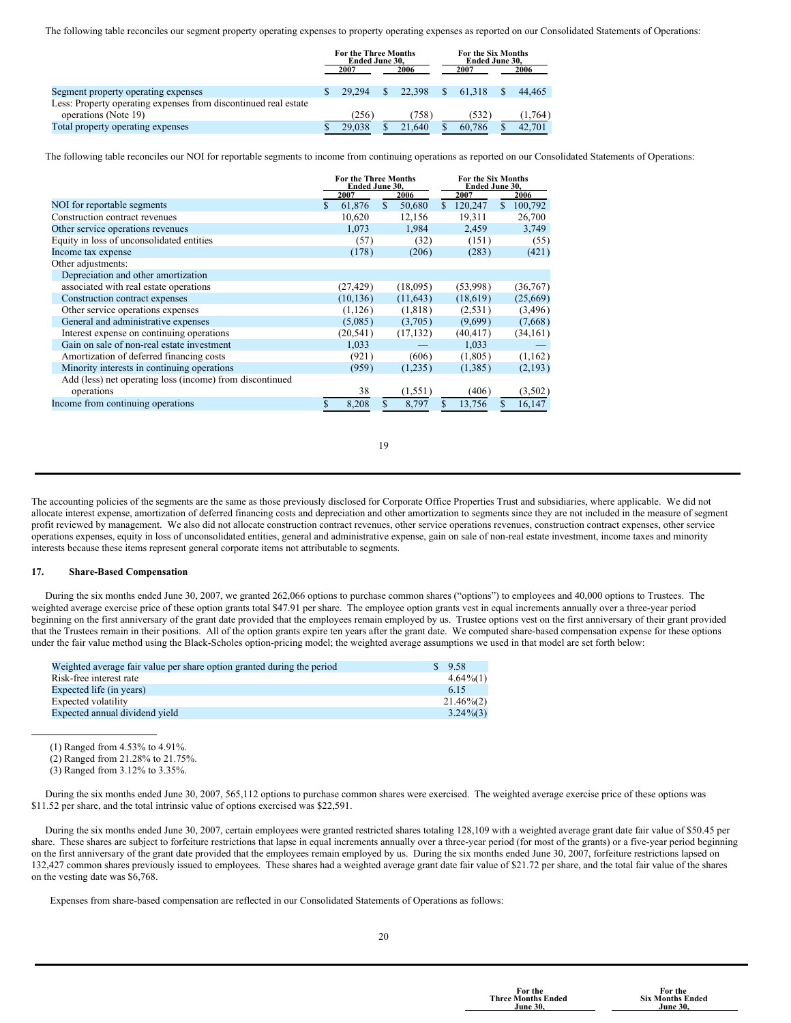The following table reconciles our segment property operating expenses to property operating expenses as reported on our Consolidated Statements of Operations:

|                                                                                         | <b>For the Three Months</b><br>Ended June 30. |        |      |        |      | <b>For the Six Months</b><br>Ended June 30. |  |         |
|-----------------------------------------------------------------------------------------|-----------------------------------------------|--------|------|--------|------|---------------------------------------------|--|---------|
|                                                                                         | 2007                                          |        | 2006 |        | 2007 |                                             |  | 2006    |
| Segment property operating expenses                                                     |                                               | 29.294 |      | 22.398 |      | 61.318                                      |  | 44,465  |
| Less: Property operating expenses from discontinued real estate<br>operations (Note 19) |                                               | (256)  |      | 758)   |      | (532)                                       |  | (1,764) |
| Total property operating expenses                                                       |                                               | 29,038 |      | 21.640 |      | 60.786                                      |  | 42.701  |

The following table reconciles our NOI for reportable segments to income from continuing operations as reported on our Consolidated Statements of Operations:

|                                                          | <b>For the Three Months</b><br>Ended June 30, |           |    |           | For the Six Months<br>Ended June 30. |           |    |           |  |
|----------------------------------------------------------|-----------------------------------------------|-----------|----|-----------|--------------------------------------|-----------|----|-----------|--|
|                                                          |                                               | 2007      |    | 2006      |                                      | 2007      |    | 2006      |  |
| NOI for reportable segments                              |                                               | 61,876    | \$ | 50,680    | <sup>\$</sup>                        | 120,247   | \$ | 100,792   |  |
| Construction contract revenues                           |                                               | 10,620    |    | 12,156    |                                      | 19,311    |    | 26,700    |  |
| Other service operations revenues                        |                                               | 1,073     |    | 1,984     |                                      | 2,459     |    | 3,749     |  |
| Equity in loss of unconsolidated entities                |                                               | (57)      |    | (32)      |                                      | (151)     |    | (55)      |  |
| Income tax expense                                       |                                               | (178)     |    | (206)     |                                      | (283)     |    | (421)     |  |
| Other adjustments:                                       |                                               |           |    |           |                                      |           |    |           |  |
| Depreciation and other amortization                      |                                               |           |    |           |                                      |           |    |           |  |
| associated with real estate operations                   |                                               | (27, 429) |    | (18,095)  |                                      | (53,998)  |    | (36, 767) |  |
| Construction contract expenses                           |                                               | (10, 136) |    | (11, 643) |                                      | (18,619)  |    | (25,669)  |  |
| Other service operations expenses                        |                                               | (1,126)   |    | (1,818)   |                                      | (2,531)   |    | (3,496)   |  |
| General and administrative expenses                      |                                               | (5,085)   |    | (3,705)   |                                      | (9,699)   |    | (7,668)   |  |
| Interest expense on continuing operations                |                                               | (20, 541) |    | (17, 132) |                                      | (40, 417) |    | (34, 161) |  |
| Gain on sale of non-real estate investment               |                                               | 1,033     |    |           |                                      | 1,033     |    |           |  |
| Amortization of deferred financing costs                 |                                               | (921)     |    | (606)     |                                      | (1,805)   |    | (1,162)   |  |
| Minority interests in continuing operations              |                                               | (959)     |    | (1,235)   |                                      | (1,385)   |    | (2,193)   |  |
| Add (less) net operating loss (income) from discontinued |                                               |           |    |           |                                      |           |    |           |  |
| operations                                               |                                               | 38        |    | (1, 551)  |                                      | (406)     |    | (3,502)   |  |
| Income from continuing operations                        |                                               | 8,208     | \$ | 8,797     | \$                                   | 13,756    |    | 16,147    |  |

19

The accounting policies of the segments are the same as those previously disclosed for Corporate Office Properties Trust and subsidiaries, where applicable. We did not allocate interest expense, amortization of deferred financing costs and depreciation and other amortization to segments since they are not included in the measure of segment profit reviewed by management. We also did not allocate construction contract revenues, other service operations revenues, construction contract expenses, other service operations expenses, equity in loss of unconsolidated entities, general and administrative expense, gain on sale of non-real estate investment, income taxes and minority interests because these items represent general corporate items not attributable to segments.

#### **17. Share-Based Compensation**

During the six months ended June 30, 2007, we granted 262,066 options to purchase common shares ("options") to employees and 40,000 options to Trustees. The weighted average exercise price of these option grants total \$47.91 per share. The employee option grants vest in equal increments annually over a three-year period beginning on the first anniversary of the grant date provided that the employees remain employed by us. Trustee options vest on the first anniversary of their grant provided that the Trustees remain in their positions. All of the option grants expire ten years after the grant date. We computed share-based compensation expense for these options under the fair value method using the Black-Scholes option-pricing model; the weighted average assumptions we used in that model are set forth below:

| Weighted average fair value per share option granted during the period | \$9.58       |
|------------------------------------------------------------------------|--------------|
| Risk-free interest rate                                                | $4.64\%(1)$  |
| Expected life (in years)                                               | 6.15         |
| Expected volatility                                                    | $21.46\%(2)$ |
| Expected annual dividend yield                                         | $3.24\%$ (3) |

(1) Ranged from 4.53% to 4.91%.

(2) Ranged from 21.28% to 21.75%.

(3) Ranged from 3.12% to 3.35%.

During the six months ended June 30, 2007, 565,112 options to purchase common shares were exercised. The weighted average exercise price of these options was \$11.52 per share, and the total intrinsic value of options exercised was \$22,591.

During the six months ended June 30, 2007, certain employees were granted restricted shares totaling 128,109 with a weighted average grant date fair value of \$50.45 per share. These shares are subject to forfeiture restrictions that lapse in equal increments annually over a three-year period (for most of the grants) or a five-year period beginning on the first anniversary of the grant date provided that the employees remain employed by us. During the six months ended June 30, 2007, forfeiture restrictions lapsed on 132,427 common shares previously issued to employees. These shares had a weighted average grant date fair value of \$21.72 per share, and the total fair value of the shares on the vesting date was \$6,768.

Expenses from share-based compensation are reflected in our Consolidated Statements of Operations as follows: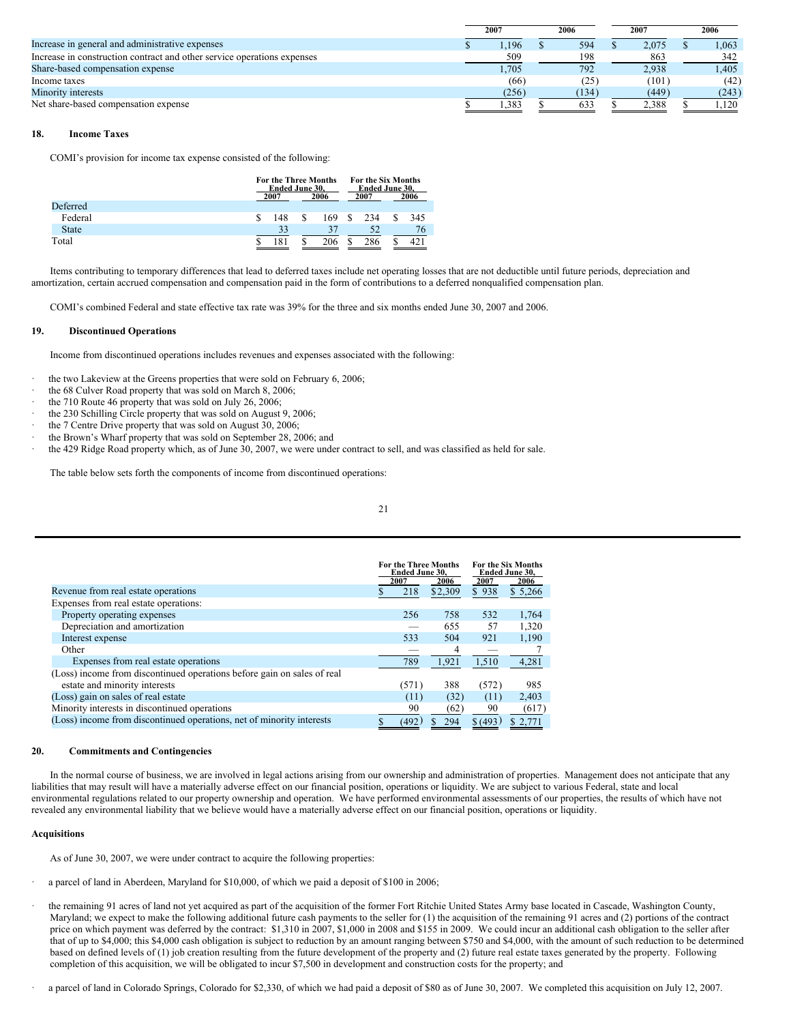|                                                                         | 2007  | 2006 | 2007  | 2006  |
|-------------------------------------------------------------------------|-------|------|-------|-------|
| Increase in general and administrative expenses                         | .196  | 594  | 2.075 | .063  |
| Increase in construction contract and other service operations expenses | 509   | 198  | 863   | 342   |
| Share-based compensation expense                                        | 1.705 | 792  | 2,938 | .405  |
| Income taxes                                                            | (66)  | (25) | (101) | (42)  |
| Minority interests                                                      | (256) | 134) | (449) | (243) |
| Net share-based compensation expense                                    | .383  | 633  | 2.388 | .120  |

# **18. Income Taxes**

COMI's provision for income tax expense consisted of the following:

|              | <b>For the Three Months</b><br>Ended June 30.<br>2006<br>2007 |  |     | 2007 | For the Six Months<br>Ended June 30.<br>2006 |     |
|--------------|---------------------------------------------------------------|--|-----|------|----------------------------------------------|-----|
| Deferred     |                                                               |  |     |      |                                              |     |
| Federal      | 148                                                           |  | 169 | 234  |                                              | 345 |
| <b>State</b> | 33                                                            |  | 37  | 52   |                                              | 76  |
| Total        | 181                                                           |  | 206 | 286  |                                              |     |

Items contributing to temporary differences that lead to deferred taxes include net operating losses that are not deductible until future periods, depreciation and amortization, certain accrued compensation and compensation paid in the form of contributions to a deferred nonqualified compensation plan.

COMI's combined Federal and state effective tax rate was 39% for the three and six months ended June 30, 2007 and 2006.

#### **19. Discontinued Operations**

Income from discontinued operations includes revenues and expenses associated with the following:

- the two Lakeview at the Greens properties that were sold on February 6, 2006;
- the 68 Culver Road property that was sold on March 8, 2006;
- the 710 Route 46 property that was sold on July 26, 2006;
- the 230 Schilling Circle property that was sold on August 9, 2006;
- the 7 Centre Drive property that was sold on August 30, 2006;
- the Brown's Wharf property that was sold on September 28, 2006; and
- the 429 Ridge Road property which, as of June 30, 2007, we were under contract to sell, and was classified as held for sale.

The table below sets forth the components of income from discontinued operations:

| I |  |
|---|--|

|                                                                         | <b>For the Three Months</b><br>Ended June 30.<br>2006<br>2007 |       |         | 2007     | <b>For the Six Months</b><br>Ended June 30.<br>2006 |
|-------------------------------------------------------------------------|---------------------------------------------------------------|-------|---------|----------|-----------------------------------------------------|
| Revenue from real estate operations                                     |                                                               | 218   | \$2,309 | \$938    | \$5,266                                             |
| Expenses from real estate operations:                                   |                                                               |       |         |          |                                                     |
| Property operating expenses                                             |                                                               | 256   | 758     | 532      | 1,764                                               |
| Depreciation and amortization                                           |                                                               |       | 655     | 57       | 1,320                                               |
| Interest expense                                                        |                                                               | 533   | 504     | 921      | 1,190                                               |
| Other                                                                   |                                                               |       | 4       |          |                                                     |
| Expenses from real estate operations                                    |                                                               | 789   | 1.921   | 1.510    | 4,281                                               |
| (Loss) income from discontinued operations before gain on sales of real |                                                               |       |         |          |                                                     |
| estate and minority interests                                           |                                                               | (571) | 388     | (572)    | 985                                                 |
| (Loss) gain on sales of real estate                                     |                                                               | (11)  | (32)    | (11)     | 2,403                                               |
| Minority interests in discontinued operations                           |                                                               | 90    | (62)    | 90       | (617)                                               |
| (Loss) income from discontinued operations, net of minority interests   |                                                               | (492) | 294     | \$ (493) | \$ 2,771                                            |

### **20. Commitments and Contingencies**

In the normal course of business, we are involved in legal actions arising from our ownership and administration of properties. Management does not anticipate that any liabilities that may result will have a materially adverse effect on our financial position, operations or liquidity. We are subject to various Federal, state and local environmental regulations related to our property ownership and operation. We have performed environmental assessments of our properties, the results of which have not revealed any environmental liability that we believe would have a materially adverse effect on our financial position, operations or liquidity.

#### **Acquisitions**

As of June 30, 2007, we were under contract to acquire the following properties:

- a parcel of land in Aberdeen, Maryland for \$10,000, of which we paid a deposit of \$100 in 2006;
- · the remaining 91 acres of land not yet acquired as part of the acquisition of the former Fort Ritchie United States Army base located in Cascade, Washington County, Maryland; we expect to make the following additional future cash payments to the seller for (1) the acquisition of the remaining 91 acres and (2) portions of the contract price on which payment was deferred by the contract: \$1,310 in 2007, \$1,000 in 2008 and \$155 in 2009. We could incur an additional cash obligation to the seller after that of up to \$4,000; this \$4,000 cash obligation is subject to reduction by an amount ranging between \$750 and \$4,000, with the amount of such reduction to be determined based on defined levels of (1) job creation resulting from the future development of the property and (2) future real estate taxes generated by the property. Following completion of this acquisition, we will be obligated to incur \$7,500 in development and construction costs for the property; and

· a parcel of land in Colorado Springs, Colorado for \$2,330, of which we had paid a deposit of \$80 as of June 30, 2007. We completed this acquisition on July 12, 2007.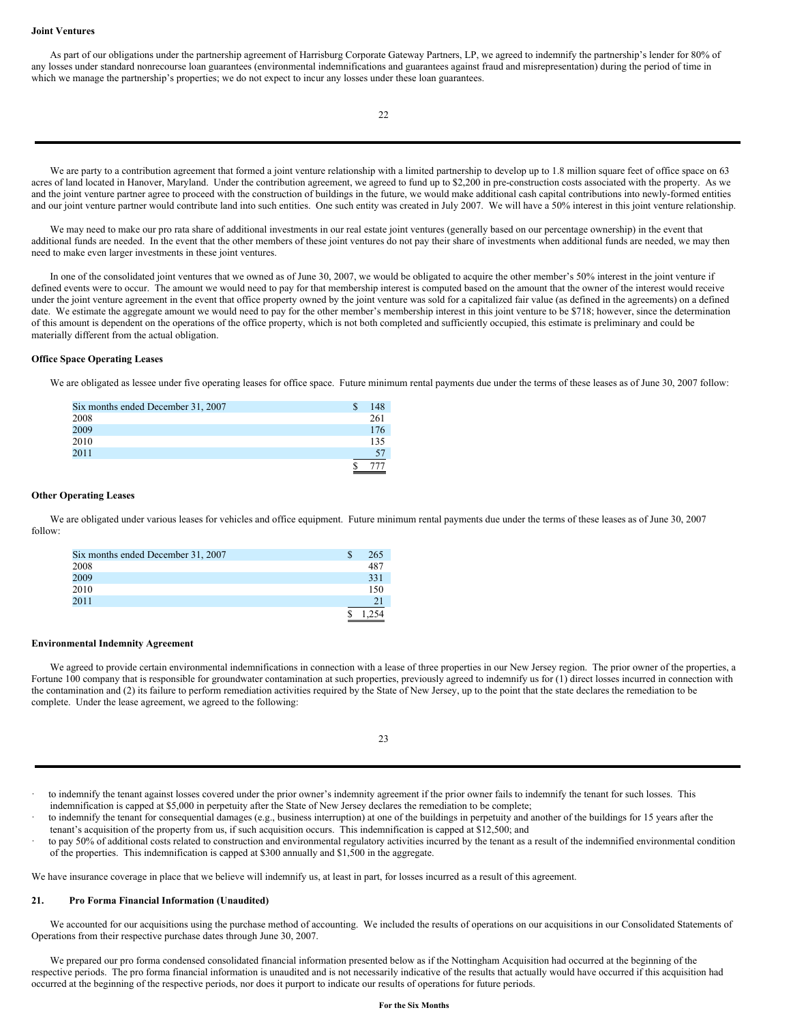#### **Joint Ventures**

As part of our obligations under the partnership agreement of Harrisburg Corporate Gateway Partners, LP, we agreed to indemnify the partnership's lender for 80% of any losses under standard nonrecourse loan guarantees (environmental indemnifications and guarantees against fraud and misrepresentation) during the period of time in which we manage the partnership's properties; we do not expect to incur any losses under these loan guarantees.

22

We are party to a contribution agreement that formed a joint venture relationship with a limited partnership to develop up to 1.8 million square feet of office space on 63 acres of land located in Hanover, Maryland. Under the contribution agreement, we agreed to fund up to \$2,200 in pre-construction costs associated with the property. As we and the joint venture partner agree to proceed with the construction of buildings in the future, we would make additional cash capital contributions into newly-formed entities and our joint venture partner would contribute land into such entities. One such entity was created in July 2007. We will have a 50% interest in this joint venture relationship.

We may need to make our pro rata share of additional investments in our real estate joint ventures (generally based on our percentage ownership) in the event that additional funds are needed. In the event that the other members of these joint ventures do not pay their share of investments when additional funds are needed, we may then need to make even larger investments in these joint ventures.

In one of the consolidated joint ventures that we owned as of June 30, 2007, we would be obligated to acquire the other member's 50% interest in the joint venture if defined events were to occur. The amount we would need to pay for that membership interest is computed based on the amount that the owner of the interest would receive under the joint venture agreement in the event that office property owned by the joint venture was sold for a capitalized fair value (as defined in the agreements) on a defined date. We estimate the aggregate amount we would need to pay for the other member's membership interest in this joint venture to be \$718; however, since the determination of this amount is dependent on the operations of the office property, which is not both completed and sufficiently occupied, this estimate is preliminary and could be materially different from the actual obligation.

# **Office Space Operating Leases**

We are obligated as lessee under five operating leases for office space. Future minimum rental payments due under the terms of these leases as of June 30, 2007 follow:

| Six months ended December 31, 2007 | 148 |
|------------------------------------|-----|
| 2008                               | 261 |
| 2009                               | 176 |
| 2010                               | 135 |
| 2011                               | 57  |
|                                    |     |

## **Other Operating Leases**

We are obligated under various leases for vehicles and office equipment. Future minimum rental payments due under the terms of these leases as of June 30, 2007 follow:

| Six months ended December 31, 2007 | S | 265 |
|------------------------------------|---|-----|
| 2008                               |   | 487 |
| 2009                               |   | 331 |
| 2010                               |   | 150 |
| 2011                               |   | 21  |
|                                    |   |     |

#### **Environmental Indemnity Agreement**

We agreed to provide certain environmental indemnifications in connection with a lease of three properties in our New Jersey region. The prior owner of the properties, a Fortune 100 company that is responsible for groundwater contamination at such properties, previously agreed to indemnify us for (1) direct losses incurred in connection with the contamination and (2) its failure to perform remediation activities required by the State of New Jersey, up to the point that the state declares the remediation to be complete. Under the lease agreement, we agreed to the following:

| I | ı<br>ı<br>v<br>× |
|---|------------------|

- to indemnify the tenant against losses covered under the prior owner's indemnity agreement if the prior owner fails to indemnify the tenant for such losses. This indemnification is capped at \$5,000 in perpetuity after the State of New Jersey declares the remediation to be complete;
- to indemnify the tenant for consequential damages (e.g., business interruption) at one of the buildings in perpetuity and another of the buildings for 15 years after the tenant's acquisition of the property from us, if such acquisition occurs. This indemnification is capped at \$12,500; and
- to pay 50% of additional costs related to construction and environmental regulatory activities incurred by the tenant as a result of the indemnified environmental condition of the properties. This indemnification is capped at \$300 annually and \$1,500 in the aggregate.

We have insurance coverage in place that we believe will indemnify us, at least in part, for losses incurred as a result of this agreement.

# **21. Pro Forma Financial Information (Unaudited)**

We accounted for our acquisitions using the purchase method of accounting. We included the results of operations on our acquisitions in our Consolidated Statements of Operations from their respective purchase dates through June 30, 2007.

We prepared our pro forma condensed consolidated financial information presented below as if the Nottingham Acquisition had occurred at the beginning of the respective periods. The pro forma financial information is unaudited and is not necessarily indicative of the results that actually would have occurred if this acquisition had occurred at the beginning of the respective periods, nor does it purport to indicate our results of operations for future periods.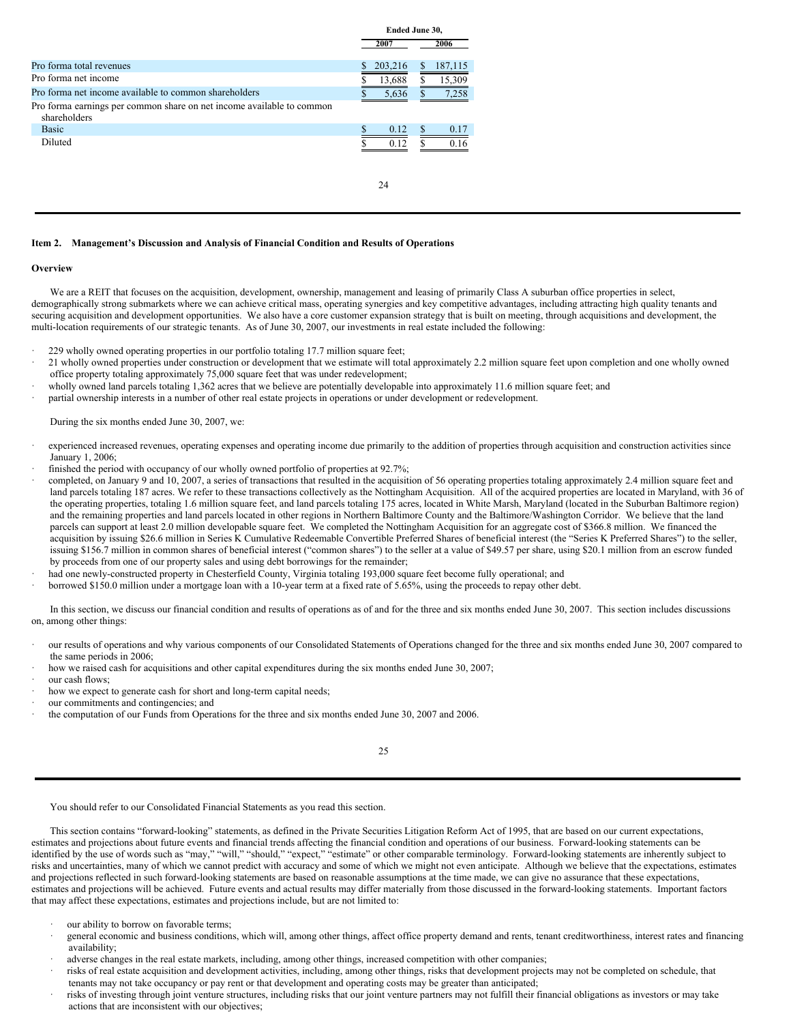|                                                                                       | Ended June 30. |         |   |         |  |
|---------------------------------------------------------------------------------------|----------------|---------|---|---------|--|
|                                                                                       |                | 2007    |   | 2006    |  |
| Pro forma total revenues                                                              | S              | 203,216 | S | 187,115 |  |
| Pro forma net income                                                                  |                | 13,688  |   | 15,309  |  |
| Pro forma net income available to common shareholders                                 |                | 5,636   |   | 7,258   |  |
| Pro forma earnings per common share on net income available to common<br>shareholders |                |         |   |         |  |
| <b>Basic</b>                                                                          |                | 0.12    |   | 0.17    |  |
| Diluted                                                                               |                | 0.12    |   | 0.16    |  |
|                                                                                       |                |         |   |         |  |
|                                                                                       |                |         |   |         |  |

#### **Item 2. Management's Discussion and Analysis of Financial Condition and Results of Operations**

#### **Overview**

We are a REIT that focuses on the acquisition, development, ownership, management and leasing of primarily Class A suburban office properties in select, demographically strong submarkets where we can achieve critical mass, operating synergies and key competitive advantages, including attracting high quality tenants and securing acquisition and development opportunities. We also have a core customer expansion strategy that is built on meeting, through acquisitions and development, the multi-location requirements of our strategic tenants. As of June 30, 2007, our investments in real estate included the following:

<span id="page-14-0"></span>24

- · 229 wholly owned operating properties in our portfolio totaling 17.7 million square feet;
- · 21 wholly owned properties under construction or development that we estimate will total approximately 2.2 million square feet upon completion and one wholly owned office property totaling approximately 75,000 square feet that was under redevelopment;
- wholly owned land parcels totaling 1,362 acres that we believe are potentially developable into approximately 11.6 million square feet; and
- partial ownership interests in a number of other real estate projects in operations or under development or redevelopment.

During the six months ended June 30, 2007, we:

- · experienced increased revenues, operating expenses and operating income due primarily to the addition of properties through acquisition and construction activities since January 1, 2006;
- finished the period with occupancy of our wholly owned portfolio of properties at 92.7%;
- · completed, on January 9 and 10, 2007, a series of transactions that resulted in the acquisition of 56 operating properties totaling approximately 2.4 million square feet and land parcels totaling 187 acres. We refer to these transactions collectively as the Nottingham Acquisition. All of the acquired properties are located in Maryland, with 36 of the operating properties, totaling 1.6 million square feet, and land parcels totaling 175 acres, located in White Marsh, Maryland (located in the Suburban Baltimore region) and the remaining properties and land parcels located in other regions in Northern Baltimore County and the Baltimore/Washington Corridor. We believe that the land parcels can support at least 2.0 million developable square feet. We completed the Nottingham Acquisition for an aggregate cost of \$366.8 million. We financed the acquisition by issuing \$26.6 million in Series K Cumulative Redeemable Convertible Preferred Shares of beneficial interest (the "Series K Preferred Shares") to the seller, issuing \$156.7 million in common shares of beneficial interest ("common shares") to the seller at a value of \$49.57 per share, using \$20.1 million from an escrow funded by proceeds from one of our property sales and using debt borrowings for the remainder;
- had one newly-constructed property in Chesterfield County, Virginia totaling 193,000 square feet become fully operational; and
- · borrowed \$150.0 million under a mortgage loan with a 10-year term at a fixed rate of 5.65%, using the proceeds to repay other debt.

In this section, we discuss our financial condition and results of operations as of and for the three and six months ended June 30, 2007. This section includes discussions on, among other things:

- · our results of operations and why various components of our Consolidated Statements of Operations changed for the three and six months ended June 30, 2007 compared to the same periods in 2006;
- how we raised cash for acquisitions and other capital expenditures during the six months ended June 30, 2007;
- · our cash flows;
- how we expect to generate cash for short and long-term capital needs;
- our commitments and contingencies; and
- the computation of our Funds from Operations for the three and six months ended June 30, 2007 and 2006.

You should refer to our Consolidated Financial Statements as you read this section.

This section contains "forward-looking" statements, as defined in the Private Securities Litigation Reform Act of 1995, that are based on our current expectations, estimates and projections about future events and financial trends affecting the financial condition and operations of our business. Forward-looking statements can be identified by the use of words such as "may," "will," "should," "expect," "estimate" or other comparable terminology. Forward-looking statements are inherently subject to risks and uncertainties, many of which we cannot predict with accuracy and some of which we might not even anticipate. Although we believe that the expectations, estimates and projections reflected in such forward-looking statements are based on reasonable assumptions at the time made, we can give no assurance that these expectations, estimates and projections will be achieved. Future events and actual results may differ materially from those discussed in the forward-looking statements. Important factors that may affect these expectations, estimates and projections include, but are not limited to:

- our ability to borrow on favorable terms:
- · general economic and business conditions, which will, among other things, affect office property demand and rents, tenant creditworthiness, interest rates and financing availability;
- adverse changes in the real estate markets, including, among other things, increased competition with other companies;
- · risks of real estate acquisition and development activities, including, among other things, risks that development projects may not be completed on schedule, that tenants may not take occupancy or pay rent or that development and operating costs may be greater than anticipated;
- · risks of investing through joint venture structures, including risks that our joint venture partners may not fulfill their financial obligations as investors or may take actions that are inconsistent with our objectives;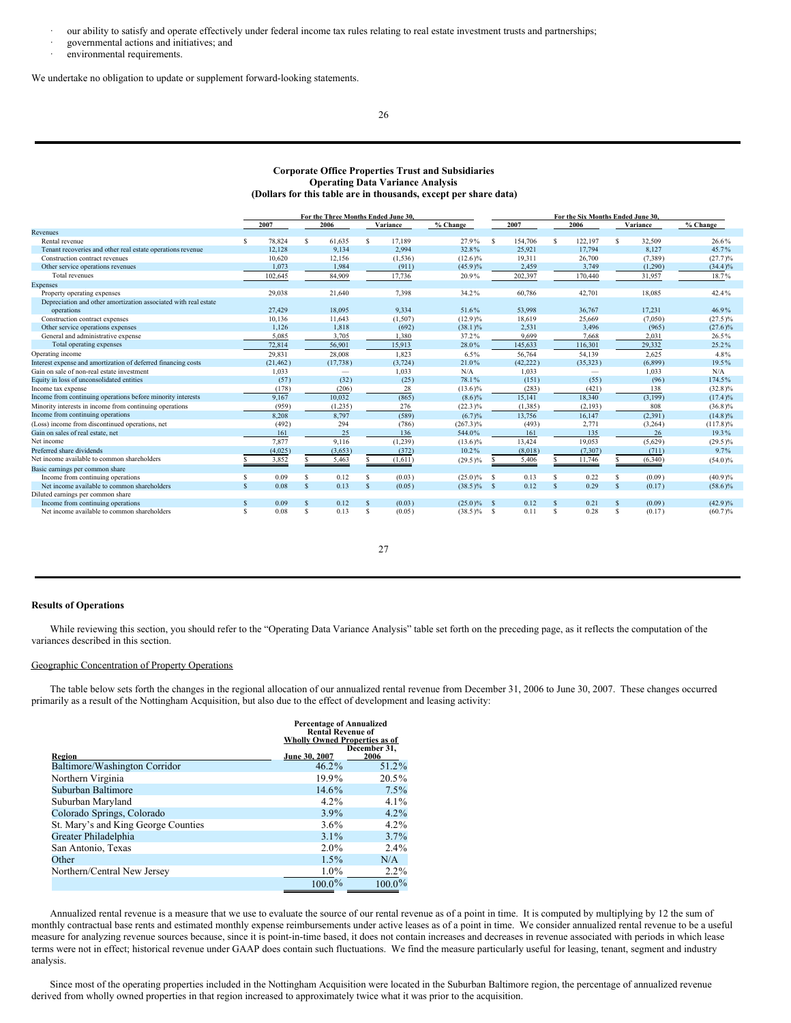our ability to satisfy and operate effectively under federal income tax rules relating to real estate investment trusts and partnerships;

- · governmental actions and initiatives; and
- environmental requirements.

We undertake no obligation to update or supplement forward-looking statements.

26

# **Corporate Office Properties Trust and Subsidiaries Operating Data Variance Analysis (Dollars for this table are in thousands, except per share data)**

|                                                                 | For the Three Months Ended June 30, |           |     |          |               |          |               |               |           |               |          |               |          |             |
|-----------------------------------------------------------------|-------------------------------------|-----------|-----|----------|---------------|----------|---------------|---------------|-----------|---------------|----------|---------------|----------|-------------|
|                                                                 |                                     | 2007      |     | 2006     |               | Variance | % Change      |               | 2007      |               | 2006     |               | Variance | % Change    |
| Revenues                                                        |                                     |           |     |          |               |          |               |               |           |               |          |               |          |             |
| Rental revenue                                                  | S                                   | 78,824    | s   | 61,635   | \$.           | 17,189   | 27.9%         | <sup>\$</sup> | 154,706   | S             | 122,197  | <sup>\$</sup> | 32,509   | 26.6%       |
| Tenant recoveries and other real estate operations revenue      |                                     | 12,128    |     | 9,134    |               | 2,994    | 32.8%         |               | 25,921    |               | 17,794   |               | 8,127    | 45.7%       |
| Construction contract revenues                                  |                                     | 10,620    |     | 12,156   |               | (1, 536) | $(12.6)\%$    |               | 19,311    |               | 26,700   |               | (7,389)  | (27.7)%     |
| Other service operations revenues                               |                                     | 1,073     |     | 1,984    |               | (911)    | $(45.9)\%$    |               | 2,459     |               | 3,749    |               | (1,290)  | $(34.4)\%$  |
| Total revenues                                                  |                                     | 102,645   |     | 84,909   |               | 17,736   | 20.9%         |               | 202,397   |               | 170,440  |               | 31,957   | 18.7%       |
| <b>Expenses</b>                                                 |                                     |           |     |          |               |          |               |               |           |               |          |               |          |             |
| Property operating expenses                                     |                                     | 29.038    |     | 21,640   |               | 7.398    | 34.2%         |               | 60,786    |               | 42,701   |               | 18,085   | 42.4%       |
| Depreciation and other amortization associated with real estate |                                     |           |     |          |               |          |               |               |           |               |          |               |          |             |
| operations                                                      |                                     | 27,429    |     | 18.095   |               | 9.334    | 51.6%         |               | 53.998    |               | 36,767   |               | 17.231   | 46.9%       |
| Construction contract expenses                                  |                                     | 10,136    |     | 11,643   |               | (1,507)  | $(12.9)\%$    |               | 18,619    |               | 25,669   |               | (7,050)  | $(27.5)\%$  |
| Other service operations expenses                               |                                     | 1,126     |     | 1,818    |               | (692)    | $(38.1)\%$    |               | 2,531     |               | 3,496    |               | (965)    | $(27.6)\%$  |
| General and administrative expense                              |                                     | 5,085     |     | 3,705    |               | 1,380    | 37.2%         |               | 9,699     |               | 7,668    |               | 2,031    | 26.5%       |
| Total operating expenses                                        |                                     | 72.814    |     | 56,901   |               | 15,913   | 28.0%         |               | 145,633   |               | 116.301  |               | 29.332   | 25.2%       |
| Operating income                                                |                                     | 29.831    |     | 28,008   |               | 1.823    | $6.5\%$       |               | 56,764    |               | 54,139   |               | 2,625    | 4.8%        |
| Interest expense and amortization of deferred financing costs   |                                     | (21, 462) |     | (17,738) |               | (3, 724) | 21.0%         |               | (42, 222) |               | (35,323) |               | (6,899)  | 19.5%       |
| Gain on sale of non-real estate investment                      |                                     | 1.033     |     |          |               | 1,033    | N/A           |               | 1.033     |               |          |               | 1,033    | N/A         |
| Equity in loss of unconsolidated entities                       |                                     | (57)      |     | (32)     |               | (25)     | 78.1%         |               | (151)     |               | (55)     |               | (96)     | 174.5%      |
| Income tax expense                                              |                                     | (178)     |     | (206)    |               | 28       | $(13.6)\%$    |               | (283)     |               | (421)    |               | 138      | $(32.8)\%$  |
| Income from continuing operations before minority interests     |                                     | 9.167     |     | 10,032   |               | (865)    | $(8.6)\%$     |               | 15,141    |               | 18,340   |               | (3,199)  | $(17.4)\%$  |
| Minority interests in income from continuing operations         |                                     | (959)     |     | (1, 235) |               | 276      | $(22.3)\%$    |               | (1,385)   |               | (2, 193) |               | 808      | $(36.8)\%$  |
| Income from continuing operations                               |                                     | 8.208     |     | 8,797    |               | (589)    | (6.7)%        |               | 13,756    |               | 16,147   |               | (2, 391) | $(14.8)\%$  |
| (Loss) income from discontinued operations, net                 |                                     | (492)     |     | 294      |               | (786)    | $(267.3)\%$   |               | (493)     |               | 2.771    |               | (3,264)  | $(117.8)\%$ |
| Gain on sales of real estate, net                               |                                     | 161       |     | 25       |               | 136      | 544.0%        |               | 161       |               | 135      |               | 26       | 19.3%       |
| Net income                                                      |                                     | 7,877     |     | 9.116    |               | (1,239)  | $(13.6)\%$    |               | 13,424    |               | 19.053   |               | (5,629)  | $(29.5)\%$  |
| Preferred share dividends                                       |                                     | (4,025)   |     | (3,653)  |               | (372)    | 10.2%         |               | (8,018)   |               | (7, 307) |               | (711)    | 9.7%        |
| Net income available to common shareholders                     |                                     | 3,852     |     | 5,463    |               | (1,611)  | $(29.5)\%$    |               | 5,406     |               | 11,746   |               | (6,340)  | $(54.0)\%$  |
| Basic earnings per common share                                 |                                     |           |     |          |               |          |               |               |           |               |          |               |          |             |
| Income from continuing operations                               | S                                   | 0.09      | S   | 0.12     | \$.           | (0.03)   | $(25.0)\%$    | - S           | 0.13      | S             | 0.22     | \$.           | (0.09)   | $(40.9)\%$  |
| Net income available to common shareholders                     | $\mathcal{L}$                       | 0.08      | \$. | 0.13     | $\mathcal{S}$ | (0.05)   | $(38.5)\%$ \$ |               | 0.12      | $\mathcal{S}$ | 0.29     | $\mathcal{S}$ | (0.17)   | $(58.6)\%$  |
| Diluted earnings per common share                               |                                     |           |     |          |               |          |               |               |           |               |          |               |          |             |
| Income from continuing operations                               | \$.                                 | 0.09      |     | 0.12     | $\mathcal{S}$ | (0.03)   | $(25.0)\%$    | - S           | 0.12      |               | 0.21     | $\mathcal{S}$ | (0.09)   | $(42.9)\%$  |
| Net income available to common shareholders                     | S                                   | 0.08      | S   | 0.13     | \$.           | (0.05)   | $(38.5)\%$    | - S           | 0.11      | <b>S</b>      | 0.28     | $\mathcal{S}$ | (0.17)   | $(60.7)\%$  |
|                                                                 |                                     |           |     |          |               |          |               |               |           |               |          |               |          |             |

27

#### **Results of Operations**

While reviewing this section, you should refer to the "Operating Data Variance Analysis" table set forth on the preceding page, as it reflects the computation of the variances described in this section.

# Geographic Concentration of Property Operations

The table below sets forth the changes in the regional allocation of our annualized rental revenue from December 31, 2006 to June 30, 2007. These changes occurred primarily as a result of the Nottingham Acquisition, but also due to the effect of development and leasing activity:

|                                     | <b>Percentage of Annualized</b><br><b>Rental Revenue of</b><br><b>Wholly Owned Properties as of</b> | December 31, |
|-------------------------------------|-----------------------------------------------------------------------------------------------------|--------------|
| Region                              | June 30, 2007                                                                                       | 2006         |
| Baltimore/Washington Corridor       | $46.2\%$                                                                                            | 51.2%        |
| Northern Virginia                   | 19.9%                                                                                               | $20.5\%$     |
| Suburban Baltimore                  | 14.6%                                                                                               | $7.5\%$      |
| Suburban Maryland                   | $4.2\%$                                                                                             | $4.1\%$      |
| Colorado Springs, Colorado          | $3.9\%$                                                                                             | $4.2\%$      |
| St. Mary's and King George Counties | $3.6\%$                                                                                             | $4.2\%$      |
| Greater Philadelphia                | $3.1\%$                                                                                             | $3.7\%$      |
| San Antonio, Texas                  | $2.0\%$                                                                                             | 2.4%         |
| Other                               | $1.5\%$                                                                                             | N/A          |
| Northern/Central New Jersey         | $1.0\%$                                                                                             | $2.2\%$      |
|                                     | $100.0\%$                                                                                           | $100.0\%$    |

Annualized rental revenue is a measure that we use to evaluate the source of our rental revenue as of a point in time. It is computed by multiplying by 12 the sum of monthly contractual base rents and estimated monthly expense reimbursements under active leases as of a point in time. We consider annualized rental revenue to be a useful measure for analyzing revenue sources because, since it is point-in-time based, it does not contain increases and decreases in revenue associated with periods in which lease terms were not in effect; historical revenue under GAAP does contain such fluctuations. We find the measure particularly useful for leasing, tenant, segment and industry analysis.

Since most of the operating properties included in the Nottingham Acquisition were located in the Suburban Baltimore region, the percentage of annualized revenue derived from wholly owned properties in that region increased to approximately twice what it was prior to the acquisition.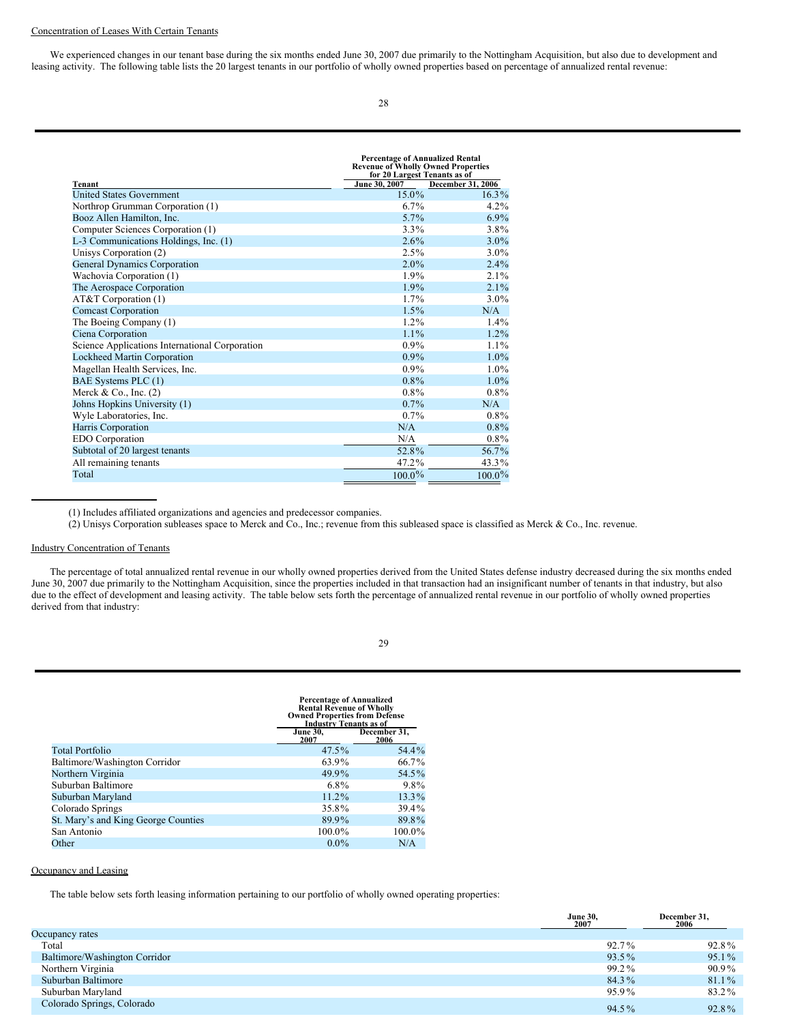#### Concentration of Leases With Certain Tenants

We experienced changes in our tenant base during the six months ended June 30, 2007 due primarily to the Nottingham Acquisition, but also due to development and leasing activity. The following table lists the 20 largest tenants in our portfolio of wholly owned properties based on percentage of annualized rental revenue:

|                                                | <b>Percentage of Annualized Rental</b><br><b>Revenue of Wholly Owned Properties</b><br>for 20 Largest Tenants as of |                   |  |  |  |  |  |  |
|------------------------------------------------|---------------------------------------------------------------------------------------------------------------------|-------------------|--|--|--|--|--|--|
| Tenant                                         | June 30, 2007                                                                                                       | December 31, 2006 |  |  |  |  |  |  |
| <b>United States Government</b>                | 15.0%                                                                                                               | $16.3\%$          |  |  |  |  |  |  |
| Northrop Grumman Corporation (1)               | $6.7\%$                                                                                                             | $4.2\%$           |  |  |  |  |  |  |
| Booz Allen Hamilton, Inc.                      | 5.7%                                                                                                                | $6.9\%$           |  |  |  |  |  |  |
| Computer Sciences Corporation (1)              | $3.3\%$                                                                                                             | 3.8%              |  |  |  |  |  |  |
| L-3 Communications Holdings, Inc. (1)          | $2.6\%$                                                                                                             | $3.0\%$           |  |  |  |  |  |  |
| Unisys Corporation (2)                         | $2.5\%$                                                                                                             | $3.0\%$           |  |  |  |  |  |  |
| <b>General Dynamics Corporation</b>            | $2.0\%$                                                                                                             | 2.4%              |  |  |  |  |  |  |
| Wachovia Corporation (1)                       | 1.9%                                                                                                                | $2.1\%$           |  |  |  |  |  |  |
| The Aerospace Corporation                      | $1.9\%$                                                                                                             | 2.1%              |  |  |  |  |  |  |
| AT&T Corporation (1)                           | $1.7\%$                                                                                                             | $3.0\%$           |  |  |  |  |  |  |
| <b>Comcast Corporation</b>                     | 1.5%                                                                                                                | N/A               |  |  |  |  |  |  |
| The Boeing Company (1)                         | $1.2\%$                                                                                                             | $1.4\%$           |  |  |  |  |  |  |
| Ciena Corporation                              | $1.1\%$                                                                                                             | 1.2%              |  |  |  |  |  |  |
| Science Applications International Corporation | $0.9\%$                                                                                                             | $1.1\%$           |  |  |  |  |  |  |
| Lockheed Martin Corporation                    | $0.9\%$                                                                                                             | $1.0\%$           |  |  |  |  |  |  |
| Magellan Health Services, Inc.                 | $0.9\%$                                                                                                             | $1.0\%$           |  |  |  |  |  |  |
| BAE Systems PLC (1)                            | $0.8\%$                                                                                                             | $1.0\%$           |  |  |  |  |  |  |
| Merck & Co., Inc. $(2)$                        | $0.8\%$                                                                                                             | $0.8\%$           |  |  |  |  |  |  |
| Johns Hopkins University (1)                   | $0.7\%$                                                                                                             | N/A               |  |  |  |  |  |  |
| Wyle Laboratories, Inc.                        | $0.7\%$                                                                                                             | $0.8\%$           |  |  |  |  |  |  |
| Harris Corporation                             | N/A                                                                                                                 | $0.8\%$           |  |  |  |  |  |  |
| <b>EDO</b> Corporation                         | N/A                                                                                                                 | $0.8\%$           |  |  |  |  |  |  |
| Subtotal of 20 largest tenants                 | 52.8%                                                                                                               | 56.7%             |  |  |  |  |  |  |
| All remaining tenants                          | 47.2%                                                                                                               | 43.3%             |  |  |  |  |  |  |
| Total                                          | $100.0\%$                                                                                                           | $100.0\%$         |  |  |  |  |  |  |

(1) Includes affiliated organizations and agencies and predecessor companies.

(2) Unisys Corporation subleases space to Merck and Co., Inc.; revenue from this subleased space is classified as Merck & Co., Inc. revenue.

## Industry Concentration of Tenants

The percentage of total annualized rental revenue in our wholly owned properties derived from the United States defense industry decreased during the six months ended June 30, 2007 due primarily to the Nottingham Acquisition, since the properties included in that transaction had an insignificant number of tenants in that industry, but also due to the effect of development and leasing activity. The table below sets forth the percentage of annualized rental revenue in our portfolio of wholly owned properties derived from that industry:

|                                     | <b>Percentage of Annualized</b><br><b>Rental Revenue of Wholly</b><br><b>Owned Properties from Defense</b><br><b>Industry Tenants as of</b> |                      |
|-------------------------------------|---------------------------------------------------------------------------------------------------------------------------------------------|----------------------|
|                                     | <b>June 30.</b><br>2007                                                                                                                     | December 31.<br>2006 |
| <b>Total Portfolio</b>              | 47.5%                                                                                                                                       | 54.4%                |
| Baltimore/Washington Corridor       | 63.9%                                                                                                                                       | 66.7%                |
| Northern Virginia                   | 49.9%                                                                                                                                       | 54.5%                |
| Suburban Baltimore                  | $6.8\%$                                                                                                                                     | $9.8\%$              |
| Suburban Maryland                   | $11.2\%$                                                                                                                                    | $13.3\%$             |
| Colorado Springs                    | 35.8%                                                                                                                                       | 39.4%                |
| St. Mary's and King George Counties | 89.9%                                                                                                                                       | 89.8%                |
| San Antonio                         | 100.0%                                                                                                                                      | 100.0%               |
| Other                               | $0.0\%$                                                                                                                                     | N/A                  |

# Occupancy and Leasing

The table below sets forth leasing information pertaining to our portfolio of wholly owned operating properties:

|                               | <b>June 30,</b><br>2007 | December 31,<br>2006 |
|-------------------------------|-------------------------|----------------------|
| Occupancy rates               |                         |                      |
| Total                         | 92.7%                   | 92.8%                |
| Baltimore/Washington Corridor | $93.5\%$                | $95.1\%$             |
| Northern Virginia             | 99.2%                   | $90.9\%$             |
| Suburban Baltimore            | 84.3%                   | 81.1%                |
| Suburban Maryland             | 95.9%                   | 83.2%                |
| Colorado Springs, Colorado    | 94.5%                   | 92.8%                |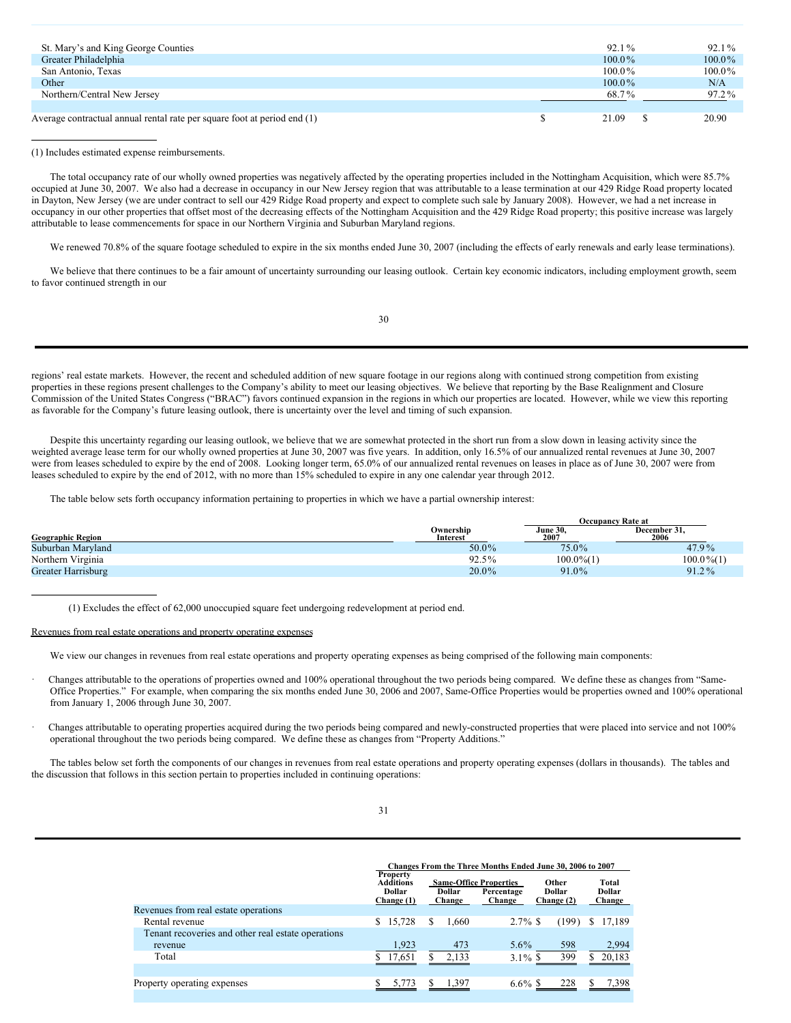| St. Mary's and King George Counties                                      | 92.1%     | $92.1\%$  |
|--------------------------------------------------------------------------|-----------|-----------|
| Greater Philadelphia                                                     | $100.0\%$ | $100.0\%$ |
| San Antonio, Texas                                                       | $100.0\%$ | $100.0\%$ |
| Other                                                                    | $100.0\%$ | N/A       |
| Northern/Central New Jersey                                              | 68.7%     | 97.2%     |
|                                                                          |           |           |
| Average contractual annual rental rate per square foot at period end (1) | 21.09     | 20.90     |

<sup>(1)</sup> Includes estimated expense reimbursements.

The total occupancy rate of our wholly owned properties was negatively affected by the operating properties included in the Nottingham Acquisition, which were 85.7% occupied at June 30, 2007. We also had a decrease in occupancy in our New Jersey region that was attributable to a lease termination at our 429 Ridge Road property located in Dayton, New Jersey (we are under contract to sell our 429 Ridge Road property and expect to complete such sale by January 2008). However, we had a net increase in occupancy in our other properties that offset most of the decreasing effects of the Nottingham Acquisition and the 429 Ridge Road property; this positive increase was largely attributable to lease commencements for space in our Northern Virginia and Suburban Maryland regions.

We renewed 70.8% of the square footage scheduled to expire in the six months ended June 30, 2007 (including the effects of early renewals and early lease terminations).

We believe that there continues to be a fair amount of uncertainty surrounding our leasing outlook. Certain key economic indicators, including employment growth, seem to favor continued strength in our

|         | I       |  |
|---------|---------|--|
| I<br>I  | ۰.      |  |
| ×<br>۰. | ×<br>۰. |  |

regions' real estate markets. However, the recent and scheduled addition of new square footage in our regions along with continued strong competition from existing properties in these regions present challenges to the Company's ability to meet our leasing objectives. We believe that reporting by the Base Realignment and Closure Commission of the United States Congress ("BRAC") favors continued expansion in the regions in which our properties are located. However, while we view this reporting as favorable for the Company's future leasing outlook, there is uncertainty over the level and timing of such expansion.

Despite this uncertainty regarding our leasing outlook, we believe that we are somewhat protected in the short run from a slow down in leasing activity since the weighted average lease term for our wholly owned properties at June 30, 2007 was five years. In addition, only 16.5% of our annualized rental revenues at June 30, 2007 were from leases scheduled to expire by the end of 2008. Looking longer term, 65.0% of our annualized rental revenues on leases in place as of June 30, 2007 were from leases scheduled to expire by the end of 2012, with no more than 15% scheduled to expire in any one calendar year through 2012.

The table below sets forth occupancy information pertaining to properties in which we have a partial ownership interest:

|                          |           | <b>Occupancy Rate at</b> |               |  |  |  |
|--------------------------|-----------|--------------------------|---------------|--|--|--|
|                          | Ownership | <b>June 30.</b>          | December 31.  |  |  |  |
| <b>Geographic Region</b> | Interest  | 2007                     | 2006          |  |  |  |
| Suburban Marvland        | 50.0%     | $75.0\%$                 | 47.9%         |  |  |  |
| Northern Virginia        | 92.5%     | 100.0%(1`                | $100.0\%$ (1) |  |  |  |
| Greater Harrisburg       | $20.0\%$  | $91.0\%$                 | $91.2\%$      |  |  |  |

(1) Excludes the effect of 62,000 unoccupied square feet undergoing redevelopment at period end.

## Revenues from real estate operations and property operating expenses

We view our changes in revenues from real estate operations and property operating expenses as being comprised of the following main components:

- · Changes attributable to the operations of properties owned and 100% operational throughout the two periods being compared. We define these as changes from "Same-Office Properties." For example, when comparing the six months ended June 30, 2006 and 2007, Same-Office Properties would be properties owned and 100% operational from January 1, 2006 through June 30, 2007.
- · Changes attributable to operating properties acquired during the two periods being compared and newly-constructed properties that were placed into service and not 100% operational throughout the two periods being compared. We define these as changes from "Property Additions."

The tables below set forth the components of our changes in revenues from real estate operations and property operating expenses (dollars in thousands). The tables and the discussion that follows in this section pertain to properties included in continuing operations:

31

|                                                    |                                               | Changes From the Three Months Ended June 30, 2006 to 2007 |                                                              |                               |                           |  |  |  |  |  |  |  |  |
|----------------------------------------------------|-----------------------------------------------|-----------------------------------------------------------|--------------------------------------------------------------|-------------------------------|---------------------------|--|--|--|--|--|--|--|--|
|                                                    | Property<br>Additions<br>Dollar<br>Change (1) | Dollar<br>Change                                          | <b>Same-Office Properties</b><br>Percentage<br><b>Change</b> | Other<br>Dollar<br>Change (2) | Total<br>Dollar<br>Change |  |  |  |  |  |  |  |  |
| Revenues from real estate operations               |                                               |                                                           |                                                              |                               |                           |  |  |  |  |  |  |  |  |
| Rental revenue                                     | \$15,728                                      | S<br>1.660                                                | $2.7\%$ \$                                                   | (199)                         | <sup>S</sup><br>17.189    |  |  |  |  |  |  |  |  |
| Tenant recoveries and other real estate operations |                                               |                                                           |                                                              |                               |                           |  |  |  |  |  |  |  |  |
| revenue                                            | 1.923                                         | 473                                                       | $5.6\%$                                                      | 598                           | 2.994                     |  |  |  |  |  |  |  |  |
| Total                                              | 17.651                                        | 2.133                                                     | $3.1\%$ \$                                                   | 399                           | 20.183                    |  |  |  |  |  |  |  |  |
|                                                    |                                               |                                                           |                                                              |                               |                           |  |  |  |  |  |  |  |  |
| Property operating expenses                        | 5.773                                         | 1.397                                                     | $6.6\%$ \$                                                   | 228                           | 7,398                     |  |  |  |  |  |  |  |  |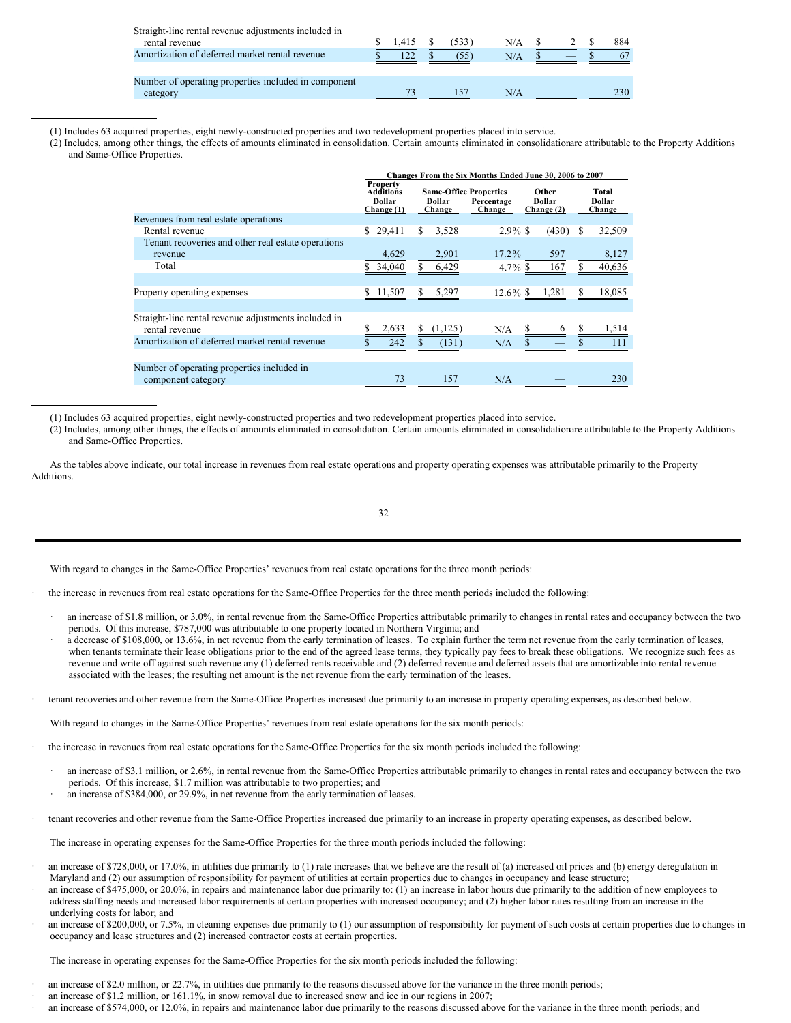| Straight-line rental revenue adjustments included in |  |      |     |  |     |
|------------------------------------------------------|--|------|-----|--|-----|
| rental revenue                                       |  | 1533 | N/A |  | 884 |
| Amortization of deferred market rental revenue       |  |      | N/A |  |     |
|                                                      |  |      |     |  |     |
| Number of operating properties included in component |  |      |     |  |     |
| category                                             |  |      | N/A |  |     |

(1) Includes 63 acquired properties, eight newly-constructed properties and two redevelopment properties placed into service.

(2) Includes, among other things, the effects of amounts eliminated in consolidation. Certain amounts eliminated in consolidationare attributable to the Property Additions and Same-Office Properties.

|                                                      | Changes From the Six Months Ended June 30, 2006 to 2007 |                               |                      |                      |                         |  |  |  |  |  |  |  |
|------------------------------------------------------|---------------------------------------------------------|-------------------------------|----------------------|----------------------|-------------------------|--|--|--|--|--|--|--|
|                                                      | <b>Property</b><br>Additions                            | <b>Same-Office Properties</b> |                      | Other                | Total                   |  |  |  |  |  |  |  |
|                                                      | Dollar<br>Change (1)                                    | <b>Dollar</b><br>Change       | Percentage<br>Change | Dollar<br>Change (2) | Dollar<br>Change        |  |  |  |  |  |  |  |
| Revenues from real estate operations                 |                                                         |                               |                      |                      |                         |  |  |  |  |  |  |  |
| Rental revenue                                       | 29,411<br>S.                                            | \$<br>3,528                   | $2.9\%$ \$           | (430)                | 32,509<br>S             |  |  |  |  |  |  |  |
| Tenant recoveries and other real estate operations   |                                                         |                               |                      |                      |                         |  |  |  |  |  |  |  |
| revenue                                              | 4,629                                                   | 2,901                         | $17.2\%$             | 597                  | 8,127                   |  |  |  |  |  |  |  |
| Total                                                | 34,040                                                  | 6,429                         | $4.7\%$ \$           | 167                  | 40,636                  |  |  |  |  |  |  |  |
|                                                      |                                                         |                               |                      |                      |                         |  |  |  |  |  |  |  |
| Property operating expenses                          | 11,507<br>S                                             | 5,297<br>S.                   | $12.6\%$ \$          | 1,281                | 18,085<br><sup>\$</sup> |  |  |  |  |  |  |  |
|                                                      |                                                         |                               |                      |                      |                         |  |  |  |  |  |  |  |
| Straight-line rental revenue adjustments included in |                                                         |                               |                      |                      |                         |  |  |  |  |  |  |  |
| rental revenue                                       | 2,633                                                   | (1, 125)                      | N/A                  | 6                    | 1,514                   |  |  |  |  |  |  |  |
| Amortization of deferred market rental revenue       | 242                                                     | (131)                         | N/A                  |                      | 111                     |  |  |  |  |  |  |  |
|                                                      |                                                         |                               |                      |                      |                         |  |  |  |  |  |  |  |
| Number of operating properties included in           |                                                         |                               |                      |                      |                         |  |  |  |  |  |  |  |
| component category                                   | 73                                                      | 157                           | N/A                  |                      | 230                     |  |  |  |  |  |  |  |
|                                                      |                                                         |                               |                      |                      |                         |  |  |  |  |  |  |  |

(1) Includes 63 acquired properties, eight newly-constructed properties and two redevelopment properties placed into service.

(2) Includes, among other things, the effects of amounts eliminated in consolidation. Certain amounts eliminated in consolidationare attributable to the Property Additions and Same-Office Properties.

As the tables above indicate, our total increase in revenues from real estate operations and property operating expenses was attributable primarily to the Property Additions.

32

With regard to changes in the Same-Office Properties' revenues from real estate operations for the three month periods:

- the increase in revenues from real estate operations for the Same-Office Properties for the three month periods included the following:
	- an increase of \$1.8 million, or 3.0%, in rental revenue from the Same-Office Properties attributable primarily to changes in rental rates and occupancy between the two periods. Of this increase, \$787,000 was attributable to one property located in Northern Virginia; and
	- a decrease of \$108,000, or 13.6%, in net revenue from the early termination of leases. To explain further the term net revenue from the early termination of leases, when tenants terminate their lease obligations prior to the end of the agreed lease terms, they typically pay fees to break these obligations. We recognize such fees as revenue and write off against such revenue any (1) deferred rents receivable and (2) deferred revenue and deferred assets that are amortizable into rental revenue associated with the leases; the resulting net amount is the net revenue from the early termination of the leases.
- · tenant recoveries and other revenue from the Same-Office Properties increased due primarily to an increase in property operating expenses, as described below.

With regard to changes in the Same-Office Properties' revenues from real estate operations for the six month periods:

- the increase in revenues from real estate operations for the Same-Office Properties for the six month periods included the following:
	- an increase of \$3.1 million, or 2.6%, in rental revenue from the Same-Office Properties attributable primarily to changes in rental rates and occupancy between the two periods. Of this increase, \$1.7 million was attributable to two properties; and
	- an increase of \$384,000, or 29.9%, in net revenue from the early termination of leases.

tenant recoveries and other revenue from the Same-Office Properties increased due primarily to an increase in property operating expenses, as described below.

The increase in operating expenses for the Same-Office Properties for the three month periods included the following:

- an increase of \$728,000, or 17.0%, in utilities due primarily to  $(1)$  rate increases that we believe are the result of  $(a)$  increased oil prices and  $(b)$  energy deregulation in Maryland and (2) our assumption of responsibility for payment of utilities at certain properties due to changes in occupancy and lease structure;
- an increase of \$475,000, or 20.0%, in repairs and maintenance labor due primarily to: (1) an increase in labor hours due primarily to the addition of new employees to address staffing needs and increased labor requirements at certain properties with increased occupancy; and (2) higher labor rates resulting from an increase in the underlying costs for labor; and
- an increase of \$200,000, or 7.5%, in cleaning expenses due primarily to (1) our assumption of responsibility for payment of such costs at certain properties due to changes in occupancy and lease structures and (2) increased contractor costs at certain properties.

The increase in operating expenses for the Same-Office Properties for the six month periods included the following:

- an increase of \$2.0 million, or 22.7%, in utilities due primarily to the reasons discussed above for the variance in the three month periods;
- an increase of \$1.2 million, or 161.1%, in snow removal due to increased snow and ice in our regions in 2007;
- an increase of \$574,000, or 12.0%, in repairs and maintenance labor due primarily to the reasons discussed above for the variance in the three month periods; and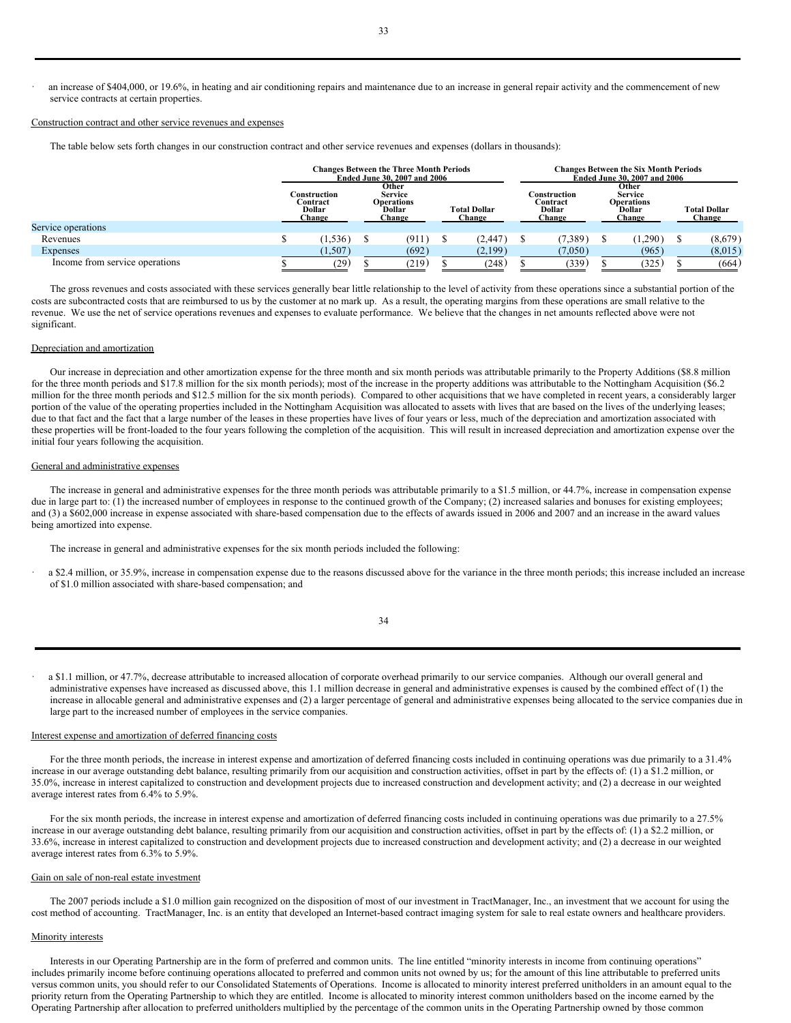an increase of \$404,000, or 19.6%, in heating and air conditioning repairs and maintenance due to an increase in general repair activity and the commencement of new service contracts at certain properties.

#### Construction contract and other service revenues and expenses

The table below sets forth changes in our construction contract and other service revenues and expenses (dollars in thousands):

|                                | <b>Changes Between the Three Month Periods</b><br><b>Ended June 30, 2007 and 2006</b> |                                                                  |       |                               |          |                                              |         |                                                                  | <b>Changes Between the Six Month Periods</b><br><b>Ended June 30, 2007 and 2006</b> |                               |
|--------------------------------|---------------------------------------------------------------------------------------|------------------------------------------------------------------|-------|-------------------------------|----------|----------------------------------------------|---------|------------------------------------------------------------------|-------------------------------------------------------------------------------------|-------------------------------|
|                                | Construction<br>Contract<br>Dollar<br>Change                                          | Other<br><b>Service</b><br><b>Operations</b><br>Dollar<br>Change |       | <b>Total Dollar</b><br>Change |          | Construction<br>Contract<br>Dollar<br>Change |         | Other<br><b>Service</b><br><b>Operations</b><br>Dollar<br>Change |                                                                                     | <b>Total Dollar</b><br>Change |
| Service operations             |                                                                                       |                                                                  |       |                               |          |                                              |         |                                                                  |                                                                                     |                               |
| Revenues                       | (1, 536)                                                                              |                                                                  | (911) |                               | (2, 447) |                                              | (7.389) |                                                                  | (1,290)                                                                             | (8,679)                       |
| Expenses                       | (1,507)                                                                               |                                                                  | (692) |                               | (2,199)  |                                              | (7,050) |                                                                  | (965)                                                                               | (8,015)                       |
| Income from service operations | (29)                                                                                  |                                                                  | (219) |                               | (248)    |                                              | 339     |                                                                  | (325)                                                                               | (664)                         |

The gross revenues and costs associated with these services generally bear little relationship to the level of activity from these operations since a substantial portion of the costs are subcontracted costs that are reimbursed to us by the customer at no mark up. As a result, the operating margins from these operations are small relative to the revenue. We use the net of service operations revenues and expenses to evaluate performance. We believe that the changes in net amounts reflected above were not significant.

#### Depreciation and amortization

Our increase in depreciation and other amortization expense for the three month and six month periods was attributable primarily to the Property Additions (\$8.8 million for the three month periods and \$17.8 million for the six month periods); most of the increase in the property additions was attributable to the Nottingham Acquisition (\$6.2 million for the three month periods and \$12.5 million for the six month periods). Compared to other acquisitions that we have completed in recent years, a considerably larger portion of the value of the operating properties included in the Nottingham Acquisition was allocated to assets with lives that are based on the lives of the underlying leases; due to that fact and the fact that a large number of the leases in these properties have lives of four years or less, much of the depreciation and amortization associated with these properties will be front-loaded to the four years following the completion of the acquisition. This will result in increased depreciation and amortization expense over the initial four years following the acquisition.

#### General and administrative expenses

The increase in general and administrative expenses for the three month periods was attributable primarily to a \$1.5 million, or 44.7%, increase in compensation expense due in large part to: (1) the increased number of employees in response to the continued growth of the Company; (2) increased salaries and bonuses for existing employees; and (3) a \$602,000 increase in expense associated with share-based compensation due to the effects of awards issued in 2006 and 2007 and an increase in the award values being amortized into expense.

The increase in general and administrative expenses for the six month periods included the following:

a \$2.4 million, or 35.9%, increase in compensation expense due to the reasons discussed above for the variance in the three month periods; this increase included an increase of \$1.0 million associated with share-based compensation; and

| I<br>e.<br>۰,<br>I<br>$\sim$ |
|------------------------------|
|------------------------------|

a \$1.1 million, or 47.7%, decrease attributable to increased allocation of corporate overhead primarily to our service companies. Although our overall general and administrative expenses have increased as discussed above, this 1.1 million decrease in general and administrative expenses is caused by the combined effect of (1) the increase in allocable general and administrative expenses and (2) a larger percentage of general and administrative expenses being allocated to the service companies due in large part to the increased number of employees in the service companies.

# Interest expense and amortization of deferred financing costs

For the three month periods, the increase in interest expense and amortization of deferred financing costs included in continuing operations was due primarily to a 31.4% increase in our average outstanding debt balance, resulting primarily from our acquisition and construction activities, offset in part by the effects of: (1) a \$1.2 million, or 35.0%, increase in interest capitalized to construction and development projects due to increased construction and development activity; and (2) a decrease in our weighted average interest rates from 6.4% to 5.9%.

For the six month periods, the increase in interest expense and amortization of deferred financing costs included in continuing operations was due primarily to a 27.5% increase in our average outstanding debt balance, resulting primarily from our acquisition and construction activities, offset in part by the effects of: (1) a \$2.2 million, or 33.6%, increase in interest capitalized to construction and development projects due to increased construction and development activity; and (2) a decrease in our weighted average interest rates from 6.3% to 5.9%.

## Gain on sale of non-real estate investment

The 2007 periods include a \$1.0 million gain recognized on the disposition of most of our investment in TractManager, Inc., an investment that we account for using the cost method of accounting. TractManager, Inc. is an entity that developed an Internet-based contract imaging system for sale to real estate owners and healthcare providers.

# **Minority** interests

Interests in our Operating Partnership are in the form of preferred and common units. The line entitled "minority interests in income from continuing operations" includes primarily income before continuing operations allocated to preferred and common units not owned by us; for the amount of this line attributable to preferred units versus common units, you should refer to our Consolidated Statements of Operations. Income is allocated to minority interest preferred unitholders in an amount equal to the priority return from the Operating Partnership to which they are entitled. Income is allocated to minority interest common unitholders based on the income earned by the Operating Partnership after allocation to preferred unitholders multiplied by the percentage of the common units in the Operating Partnership owned by those common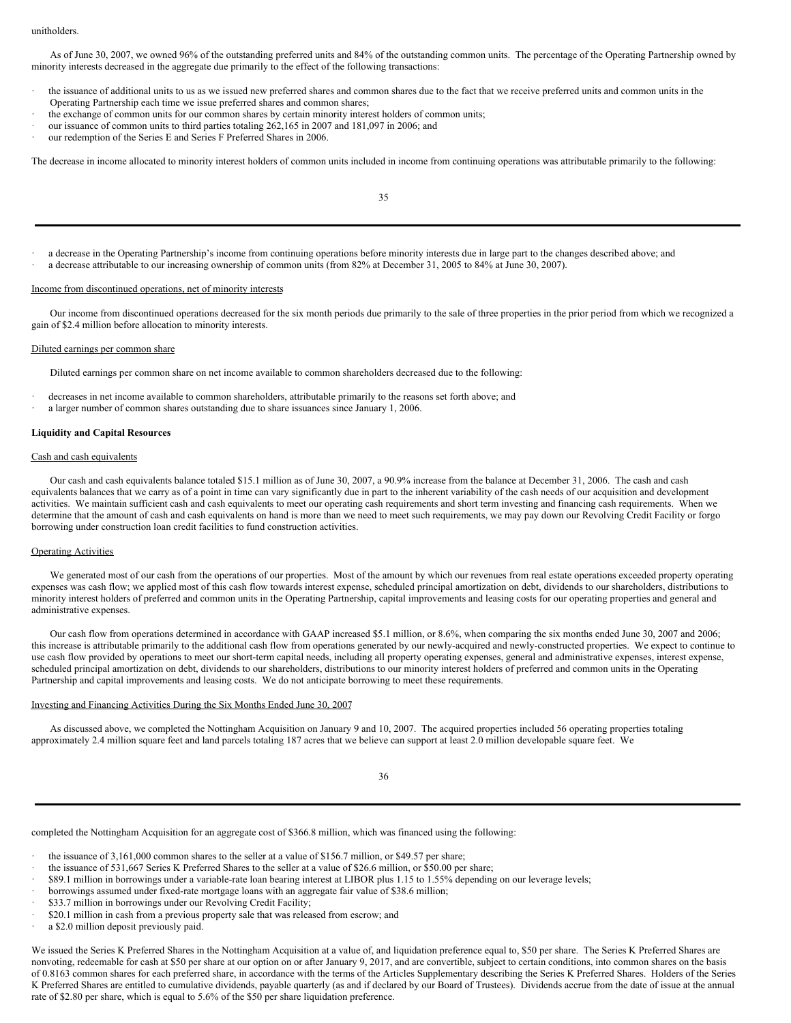#### unitholders.

As of June 30, 2007, we owned 96% of the outstanding preferred units and 84% of the outstanding common units. The percentage of the Operating Partnership owned by minority interests decreased in the aggregate due primarily to the effect of the following transactions:

- the issuance of additional units to us as we issued new preferred shares and common shares due to the fact that we receive preferred units and common units in the Operating Partnership each time we issue preferred shares and common shares;
- the exchange of common units for our common shares by certain minority interest holders of common units;
- our issuance of common units to third parties totaling 262,165 in 2007 and 181,097 in 2006; and
- our redemption of the Series E and Series F Preferred Shares in 2006.

The decrease in income allocated to minority interest holders of common units included in income from continuing operations was attributable primarily to the following:

35

a decrease in the Operating Partnership's income from continuing operations before minority interests due in large part to the changes described above; and

· a decrease attributable to our increasing ownership of common units (from 82% at December 31, 2005 to 84% at June 30, 2007).

#### Income from discontinued operations, net of minority interests

Our income from discontinued operations decreased for the six month periods due primarily to the sale of three properties in the prior period from which we recognized a gain of \$2.4 million before allocation to minority interests.

#### Diluted earnings per common share

Diluted earnings per common share on net income available to common shareholders decreased due to the following:

- decreases in net income available to common shareholders, attributable primarily to the reasons set forth above; and
- a larger number of common shares outstanding due to share issuances since January 1, 2006.

## **Liquidity and Capital Resources**

#### Cash and cash equivalents

Our cash and cash equivalents balance totaled \$15.1 million as of June 30, 2007, a 90.9% increase from the balance at December 31, 2006. The cash and cash equivalents balances that we carry as of a point in time can vary significantly due in part to the inherent variability of the cash needs of our acquisition and development activities. We maintain sufficient cash and cash equivalents to meet our operating cash requirements and short term investing and financing cash requirements. When we determine that the amount of cash and cash equivalents on hand is more than we need to meet such requirements, we may pay down our Revolving Credit Facility or forgo borrowing under construction loan credit facilities to fund construction activities.

## Operating Activities

We generated most of our cash from the operations of our properties. Most of the amount by which our revenues from real estate operations exceeded property operating expenses was cash flow; we applied most of this cash flow towards interest expense, scheduled principal amortization on debt, dividends to our shareholders, distributions to minority interest holders of preferred and common units in the Operating Partnership, capital improvements and leasing costs for our operating properties and general and administrative expenses.

Our cash flow from operations determined in accordance with GAAP increased \$5.1 million, or 8.6%, when comparing the six months ended June 30, 2007 and 2006; this increase is attributable primarily to the additional cash flow from operations generated by our newly-acquired and newly-constructed properties. We expect to continue to use cash flow provided by operations to meet our short-term capital needs, including all property operating expenses, general and administrative expenses, interest expense, scheduled principal amortization on debt, dividends to our shareholders, distributions to our minority interest holders of preferred and common units in the Operating Partnership and capital improvements and leasing costs. We do not anticipate borrowing to meet these requirements.

#### Investing and Financing Activities During the Six Months Ended June 30, 2007

As discussed above, we completed the Nottingham Acquisition on January 9 and 10, 2007. The acquired properties included 56 operating properties totaling approximately 2.4 million square feet and land parcels totaling 187 acres that we believe can support at least 2.0 million developable square feet. We

36

completed the Nottingham Acquisition for an aggregate cost of \$366.8 million, which was financed using the following:

- the issuance of 3,161,000 common shares to the seller at a value of \$156.7 million, or \$49.57 per share;
- the issuance of 531,667 Series K Preferred Shares to the seller at a value of \$26.6 million, or \$50.00 per share;
- · \$89.1 million in borrowings under a variable-rate loan bearing interest at LIBOR plus 1.15 to 1.55% depending on our leverage levels;
- borrowings assumed under fixed-rate mortgage loans with an aggregate fair value of \$38.6 million;
- · \$33.7 million in borrowings under our Revolving Credit Facility;
- · \$20.1 million in cash from a previous property sale that was released from escrow; and
- a \$2.0 million deposit previously paid.

We issued the Series K Preferred Shares in the Nottingham Acquisition at a value of, and liquidation preference equal to, \$50 per share. The Series K Preferred Shares are nonvoting, redeemable for cash at \$50 per share at our option on or after January 9, 2017, and are convertible, subject to certain conditions, into common shares on the basis of 0.8163 common shares for each preferred share, in accordance with the terms of the Articles Supplementary describing the Series K Preferred Shares. Holders of the Series K Preferred Shares are entitled to cumulative dividends, payable quarterly (as and if declared by our Board of Trustees). Dividends accrue from the date of issue at the annual rate of \$2.80 per share, which is equal to 5.6% of the \$50 per share liquidation preference.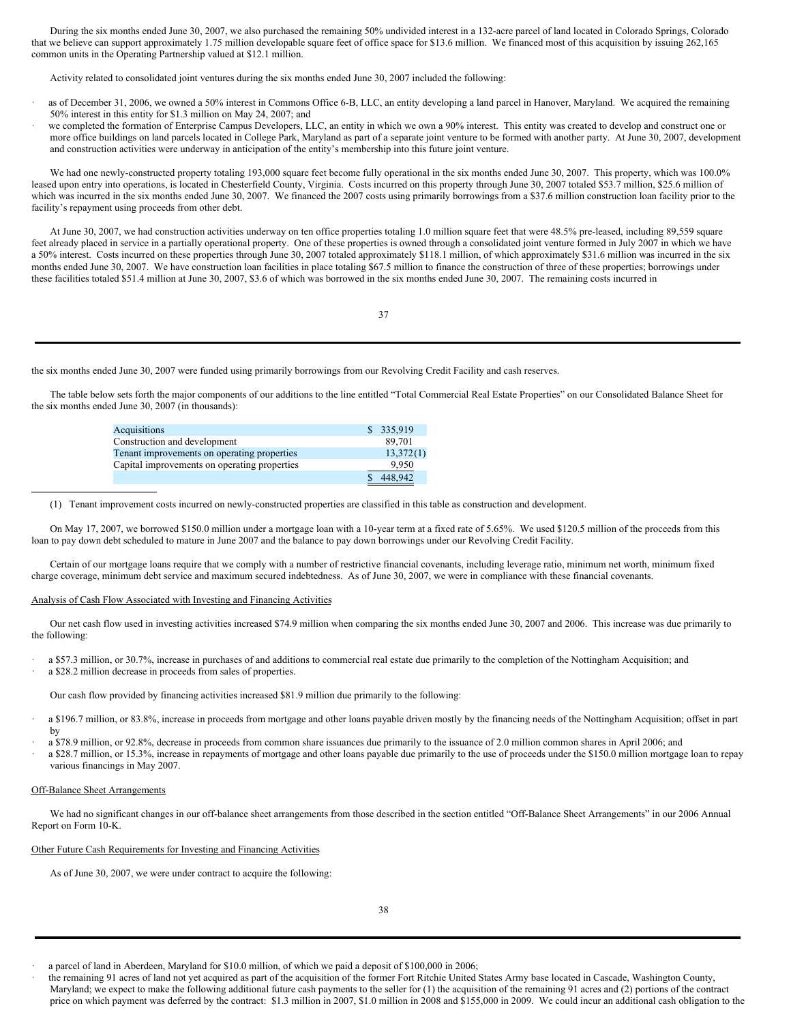During the six months ended June 30, 2007, we also purchased the remaining 50% undivided interest in a 132-acre parcel of land located in Colorado Springs, Colorado that we believe can support approximately 1.75 million developable square feet of office space for \$13.6 million. We financed most of this acquisition by issuing 262,165 common units in the Operating Partnership valued at \$12.1 million.

Activity related to consolidated joint ventures during the six months ended June 30, 2007 included the following:

- as of December 31, 2006, we owned a 50% interest in Commons Office 6-B, LLC, an entity developing a land parcel in Hanover, Maryland. We acquired the remaining 50% interest in this entity for \$1.3 million on May 24, 2007; and
- we completed the formation of Enterprise Campus Developers, LLC, an entity in which we own a 90% interest. This entity was created to develop and construct one or more office buildings on land parcels located in College Park, Maryland as part of a separate joint venture to be formed with another party. At June 30, 2007, development and construction activities were underway in anticipation of the entity's membership into this future joint venture.

We had one newly-constructed property totaling 193,000 square feet become fully operational in the six months ended June 30, 2007. This property, which was 100.0% leased upon entry into operations, is located in Chesterfield County, Virginia. Costs incurred on this property through June 30, 2007 totaled \$53.7 million, \$25.6 million of which was incurred in the six months ended June 30, 2007. We financed the 2007 costs using primarily borrowings from a \$37.6 million construction loan facility prior to the facility's repayment using proceeds from other debt.

At June 30, 2007, we had construction activities underway on ten office properties totaling 1.0 million square feet that were 48.5% pre-leased, including 89,559 square feet already placed in service in a partially operational property. One of these properties is owned through a consolidated joint venture formed in July 2007 in which we have a 50% interest. Costs incurred on these properties through June 30, 2007 totaled approximately \$118.1 million, of which approximately \$31.6 million was incurred in the six months ended June 30, 2007. We have construction loan facilities in place totaling \$67.5 million to finance the construction of three of these properties; borrowings under these facilities totaled \$51.4 million at June 30, 2007, \$3.6 of which was borrowed in the six months ended June 30, 2007. The remaining costs incurred in

37

the six months ended June 30, 2007 were funded using primarily borrowings from our Revolving Credit Facility and cash reserves.

The table below sets forth the major components of our additions to the line entitled "Total Commercial Real Estate Properties" on our Consolidated Balance Sheet for the six months ended June 30, 2007 (in thousands):

| Acquisitions                                 | \$ 335,919 |
|----------------------------------------------|------------|
| Construction and development                 | 89.701     |
| Tenant improvements on operating properties  | 13,372(1)  |
| Capital improvements on operating properties | 9.950      |
|                                              | 448.942    |

(1) Tenant improvement costs incurred on newly-constructed properties are classified in this table as construction and development.

On May 17, 2007, we borrowed \$150.0 million under a mortgage loan with a 10-year term at a fixed rate of 5.65%. We used \$120.5 million of the proceeds from this loan to pay down debt scheduled to mature in June 2007 and the balance to pay down borrowings under our Revolving Credit Facility.

Certain of our mortgage loans require that we comply with a number of restrictive financial covenants, including leverage ratio, minimum net worth, minimum fixed charge coverage, minimum debt service and maximum secured indebtedness. As of June 30, 2007, we were in compliance with these financial covenants.

#### Analysis of Cash Flow Associated with Investing and Financing Activities

Our net cash flow used in investing activities increased \$74.9 million when comparing the six months ended June 30, 2007 and 2006. This increase was due primarily to the following:

- a \$57.3 million, or 30.7%, increase in purchases of and additions to commercial real estate due primarily to the completion of the Nottingham Acquisition; and
- a \$28.2 million decrease in proceeds from sales of properties.

Our cash flow provided by financing activities increased \$81.9 million due primarily to the following:

- a \$196.7 million, or 83.8%, increase in proceeds from mortgage and other loans payable driven mostly by the financing needs of the Nottingham Acquisition; offset in part by
- · a \$78.9 million, or 92.8%, decrease in proceeds from common share issuances due primarily to the issuance of 2.0 million common shares in April 2006; and
- a \$28.7 million, or 15.3%, increase in repayments of mortgage and other loans payable due primarily to the use of proceeds under the \$150.0 million mortgage loan to repay various financings in May 2007.

#### Off-Balance Sheet Arrangements

We had no significant changes in our off-balance sheet arrangements from those described in the section entitled "Off-Balance Sheet Arrangements" in our 2006 Annual Report on Form 10-K.

Other Future Cash Requirements for Investing and Financing Activities

As of June 30, 2007, we were under contract to acquire the following:

· a parcel of land in Aberdeen, Maryland for \$10.0 million, of which we paid a deposit of \$100,000 in 2006;

· the remaining 91 acres of land not yet acquired as part of the acquisition of the former Fort Ritchie United States Army base located in Cascade, Washington County, Maryland; we expect to make the following additional future cash payments to the seller for (1) the acquisition of the remaining 91 acres and (2) portions of the contract price on which payment was deferred by the contract: \$1.3 million in 2007, \$1.0 million in 2008 and \$155,000 in 2009. We could incur an additional cash obligation to the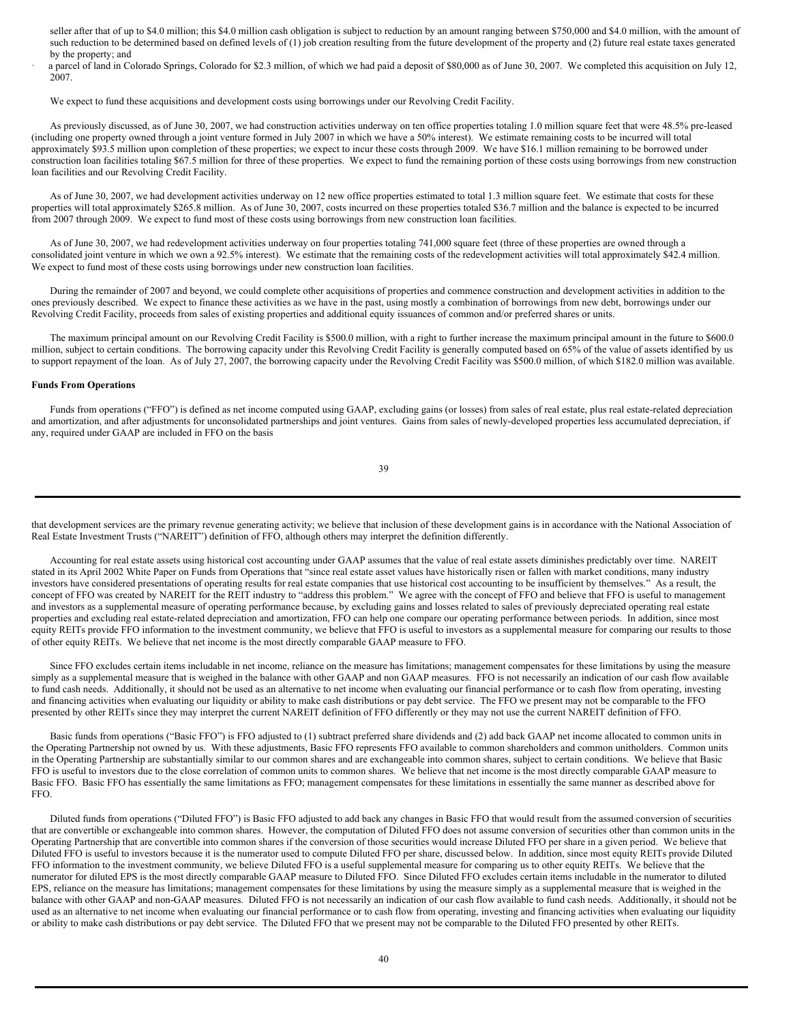seller after that of up to \$4.0 million; this \$4.0 million cash obligation is subject to reduction by an amount ranging between \$750,000 and \$4.0 million, with the amount of such reduction to be determined based on defined levels of (1) job creation resulting from the future development of the property and (2) future real estate taxes generated by the property; and

· a parcel of land in Colorado Springs, Colorado for \$2.3 million, of which we had paid a deposit of \$80,000 as of June 30, 2007. We completed this acquisition on July 12, 2007.

We expect to fund these acquisitions and development costs using borrowings under our Revolving Credit Facility.

As previously discussed, as of June 30, 2007, we had construction activities underway on ten office properties totaling 1.0 million square feet that were 48.5% pre-leased (including one property owned through a joint venture formed in July 2007 in which we have a 50% interest). We estimate remaining costs to be incurred will total approximately \$93.5 million upon completion of these properties; we expect to incur these costs through 2009. We have \$16.1 million remaining to be borrowed under construction loan facilities totaling \$67.5 million for three of these properties. We expect to fund the remaining portion of these costs using borrowings from new construction loan facilities and our Revolving Credit Facility.

As of June 30, 2007, we had development activities underway on 12 new office properties estimated to total 1.3 million square feet. We estimate that costs for these properties will total approximately \$265.8 million. As of June 30, 2007, costs incurred on these properties totaled \$36.7 million and the balance is expected to be incurred from 2007 through 2009. We expect to fund most of these costs using borrowings from new construction loan facilities.

As of June 30, 2007, we had redevelopment activities underway on four properties totaling 741,000 square feet (three of these properties are owned through a consolidated joint venture in which we own a 92.5% interest). We estimate that the remaining costs of the redevelopment activities will total approximately \$42.4 million. We expect to fund most of these costs using borrowings under new construction loan facilities.

During the remainder of 2007 and beyond, we could complete other acquisitions of properties and commence construction and development activities in addition to the ones previously described. We expect to finance these activities as we have in the past, using mostly a combination of borrowings from new debt, borrowings under our Revolving Credit Facility, proceeds from sales of existing properties and additional equity issuances of common and/or preferred shares or units.

The maximum principal amount on our Revolving Credit Facility is \$500.0 million, with a right to further increase the maximum principal amount in the future to \$600.0 million, subject to certain conditions. The borrowing capacity under this Revolving Credit Facility is generally computed based on 65% of the value of assets identified by us to support repayment of the loan. As of July 27, 2007, the borrowing capacity under the Revolving Credit Facility was \$500.0 million, of which \$182.0 million was available.

## **Funds From Operations**

Funds from operations ("FFO") is defined as net income computed using GAAP, excluding gains (or losses) from sales of real estate, plus real estate-related depreciation and amortization, and after adjustments for unconsolidated partnerships and joint ventures. Gains from sales of newly-developed properties less accumulated depreciation, if any, required under GAAP are included in FFO on the basis

| I<br>I | ۰,<br>۰.<br>۰.<br>۰, |
|--------|----------------------|
| $\sim$ | ٠                    |
|        |                      |

that development services are the primary revenue generating activity; we believe that inclusion of these development gains is in accordance with the National Association of Real Estate Investment Trusts ("NAREIT") definition of FFO, although others may interpret the definition differently.

Accounting for real estate assets using historical cost accounting under GAAP assumes that the value of real estate assets diminishes predictably over time. NAREIT stated in its April 2002 White Paper on Funds from Operations that "since real estate asset values have historically risen or fallen with market conditions, many industry investors have considered presentations of operating results for real estate companies that use historical cost accounting to be insufficient by themselves." As a result, the concept of FFO was created by NAREIT for the REIT industry to "address this problem." We agree with the concept of FFO and believe that FFO is useful to management and investors as a supplemental measure of operating performance because, by excluding gains and losses related to sales of previously depreciated operating real estate properties and excluding real estate-related depreciation and amortization, FFO can help one compare our operating performance between periods. In addition, since most equity REITs provide FFO information to the investment community, we believe that FFO is useful to investors as a supplemental measure for comparing our results to those of other equity REITs. We believe that net income is the most directly comparable GAAP measure to FFO.

Since FFO excludes certain items includable in net income, reliance on the measure has limitations; management compensates for these limitations by using the measure simply as a supplemental measure that is weighed in the balance with other GAAP and non GAAP measures. FFO is not necessarily an indication of our cash flow available to fund cash needs. Additionally, it should not be used as an alternative to net income when evaluating our financial performance or to cash flow from operating, investing and financing activities when evaluating our liquidity or ability to make cash distributions or pay debt service. The FFO we present may not be comparable to the FFO presented by other REITs since they may interpret the current NAREIT definition of FFO differently or they may not use the current NAREIT definition of FFO.

Basic funds from operations ("Basic FFO") is FFO adjusted to (1) subtract preferred share dividends and (2) add back GAAP net income allocated to common units in the Operating Partnership not owned by us. With these adjustments, Basic FFO represents FFO available to common shareholders and common unitholders. Common units in the Operating Partnership are substantially similar to our common shares and are exchangeable into common shares, subject to certain conditions. We believe that Basic FFO is useful to investors due to the close correlation of common units to common shares. We believe that net income is the most directly comparable GAAP measure to Basic FFO. Basic FFO has essentially the same limitations as FFO; management compensates for these limitations in essentially the same manner as described above for FFO.

Diluted funds from operations ("Diluted FFO") is Basic FFO adjusted to add back any changes in Basic FFO that would result from the assumed conversion of securities that are convertible or exchangeable into common shares. However, the computation of Diluted FFO does not assume conversion of securities other than common units in the Operating Partnership that are convertible into common shares if the conversion of those securities would increase Diluted FFO per share in a given period. We believe that Diluted FFO is useful to investors because it is the numerator used to compute Diluted FFO per share, discussed below. In addition, since most equity REITs provide Diluted FFO information to the investment community, we believe Diluted FFO is a useful supplemental measure for comparing us to other equity REITs. We believe that the numerator for diluted EPS is the most directly comparable GAAP measure to Diluted FFO. Since Diluted FFO excludes certain items includable in the numerator to diluted EPS, reliance on the measure has limitations; management compensates for these limitations by using the measure simply as a supplemental measure that is weighed in the balance with other GAAP and non-GAAP measures. Diluted FFO is not necessarily an indication of our cash flow available to fund cash needs. Additionally, it should not be used as an alternative to net income when evaluating our financial performance or to cash flow from operating, investing and financing activities when evaluating our liquidity or ability to make cash distributions or pay debt service. The Diluted FFO that we present may not be comparable to the Diluted FFO presented by other REITs.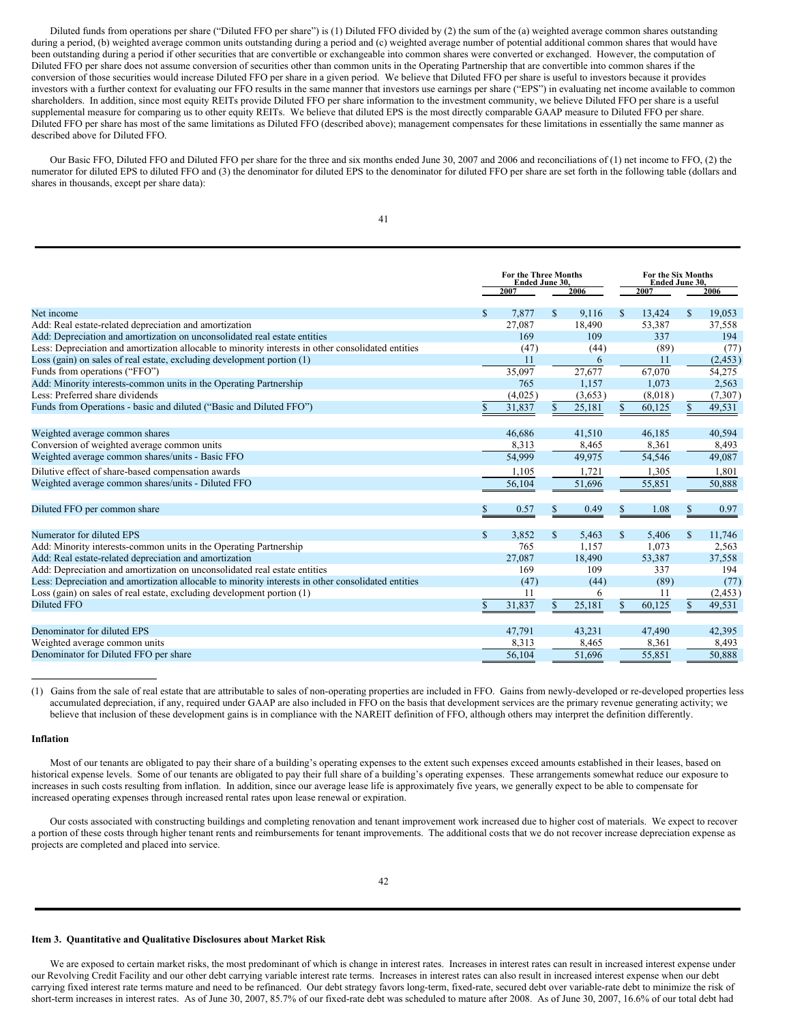Diluted funds from operations per share ("Diluted FFO per share") is (1) Diluted FFO divided by (2) the sum of the (a) weighted average common shares outstanding during a period, (b) weighted average common units outstanding during a period and (c) weighted average number of potential additional common shares that would have been outstanding during a period if other securities that are convertible or exchangeable into common shares were converted or exchanged. However, the computation of Diluted FFO per share does not assume conversion of securities other than common units in the Operating Partnership that are convertible into common shares if the conversion of those securities would increase Diluted FFO per share in a given period. We believe that Diluted FFO per share is useful to investors because it provides investors with a further context for evaluating our FFO results in the same manner that investors use earnings per share ("EPS") in evaluating net income available to common shareholders. In addition, since most equity REITs provide Diluted FFO per share information to the investment community, we believe Diluted FFO per share is a useful supplemental measure for comparing us to other equity REITs. We believe that diluted EPS is the most directly comparable GAAP measure to Diluted FFO per share. Diluted FFO per share has most of the same limitations as Diluted FFO (described above); management compensates for these limitations in essentially the same manner as described above for Diluted FFO.

Our Basic FFO, Diluted FFO and Diluted FFO per share for the three and six months ended June 30, 2007 and 2006 and reconciliations of (1) net income to FFO, (2) the numerator for diluted EPS to diluted FFO and (3) the denominator for diluted EPS to the denominator for diluted FFO per share are set forth in the following table (dollars and shares in thousands, except per share data):

|                                                                                                    |              | <b>For the Three Months</b><br><b>Ended June 30.</b> |              |         |              | <b>For the Six Months</b><br><b>Ended June 30.</b> |               |          |  |  |
|----------------------------------------------------------------------------------------------------|--------------|------------------------------------------------------|--------------|---------|--------------|----------------------------------------------------|---------------|----------|--|--|
|                                                                                                    |              | 2007                                                 |              | 2006    |              | 2007                                               |               | 2006     |  |  |
| Net income                                                                                         | $\mathbf{s}$ | 7,877                                                | $\mathbb{S}$ | 9,116   | S.           | 13,424                                             | $\mathbb{S}$  | 19,053   |  |  |
| Add: Real estate-related depreciation and amortization                                             |              | 27,087                                               |              | 18,490  |              | 53,387                                             |               | 37,558   |  |  |
| Add: Depreciation and amortization on unconsolidated real estate entities                          |              | 169                                                  |              | 109     |              | 337                                                |               | 194      |  |  |
| Less: Depreciation and amortization allocable to minority interests in other consolidated entities |              | (47)                                                 |              | (44)    |              | (89)                                               |               | (77)     |  |  |
| Loss (gain) on sales of real estate, excluding development portion (1)                             |              | 11                                                   |              | 6       |              | 11                                                 |               | (2, 453) |  |  |
| Funds from operations ("FFO")                                                                      |              | 35,097                                               |              | 27,677  |              | 67,070                                             |               | 54,275   |  |  |
| Add: Minority interests-common units in the Operating Partnership                                  |              | 765                                                  |              | 1,157   |              | 1,073                                              |               | 2,563    |  |  |
| Less: Preferred share dividends                                                                    |              | (4,025)                                              |              | (3,653) |              | (8,018)                                            |               | (7,307)  |  |  |
| Funds from Operations - basic and diluted ("Basic and Diluted FFO")                                | S            | 31,837                                               | S.           | 25,181  | S.           | 60,125                                             | <sup>\$</sup> | 49,531   |  |  |
| Weighted average common shares                                                                     |              | 46,686                                               |              | 41,510  |              | 46,185                                             |               | 40,594   |  |  |
| Conversion of weighted average common units                                                        |              | 8,313                                                |              | 8,465   |              | 8,361                                              |               | 8,493    |  |  |
| Weighted average common shares/units - Basic FFO                                                   |              | 54,999                                               |              | 49,975  |              | 54,546                                             |               | 49,087   |  |  |
|                                                                                                    |              |                                                      |              |         |              |                                                    |               |          |  |  |
| Dilutive effect of share-based compensation awards                                                 |              | 1,105                                                |              | 1,721   |              | 1,305                                              |               | 1,801    |  |  |
| Weighted average common shares/units - Diluted FFO                                                 |              | 56,104                                               |              | 51,696  |              | 55,851                                             |               | 50,888   |  |  |
| Diluted FFO per common share                                                                       | <b>S</b>     | 0.57                                                 | \$           | 0.49    | S            | 1.08                                               |               | 0.97     |  |  |
| Numerator for diluted EPS                                                                          | S            | 3,852                                                | S.           | 5,463   | $\mathbb{S}$ | 5,406                                              | <sup>\$</sup> | 11,746   |  |  |
| Add: Minority interests-common units in the Operating Partnership                                  |              | 765                                                  |              | 1.157   |              | 1,073                                              |               | 2,563    |  |  |
| Add: Real estate-related depreciation and amortization                                             |              | 27,087                                               |              | 18,490  |              | 53,387                                             |               | 37,558   |  |  |
| Add: Depreciation and amortization on unconsolidated real estate entities                          |              | 169                                                  |              | 109     |              | 337                                                |               | 194      |  |  |
| Less: Depreciation and amortization allocable to minority interests in other consolidated entities |              | (47)                                                 |              | (44)    |              | (89)                                               |               | (77)     |  |  |
| Loss (gain) on sales of real estate, excluding development portion $(1)$                           |              | 11                                                   |              | 6       |              | 11                                                 |               | (2, 453) |  |  |
| Diluted FFO                                                                                        | -S           | 31,837                                               | \$           | 25,181  | S            | 60,125                                             | <sup>\$</sup> | 49,531   |  |  |
|                                                                                                    |              |                                                      |              |         |              |                                                    |               |          |  |  |
| Denominator for diluted EPS                                                                        |              | 47,791                                               |              | 43,231  |              | 47,490                                             |               | 42,395   |  |  |
| Weighted average common units                                                                      |              | 8,313                                                |              | 8,465   |              | 8,361                                              |               | 8,493    |  |  |
| Denominator for Diluted FFO per share                                                              |              | 56,104                                               |              | 51,696  |              | 55,851                                             |               | 50,888   |  |  |

(1) Gains from the sale of real estate that are attributable to sales of non-operating properties are included in FFO. Gains from newly-developed or re-developed properties less accumulated depreciation, if any, required under GAAP are also included in FFO on the basis that development services are the primary revenue generating activity; we believe that inclusion of these development gains is in compliance with the NAREIT definition of FFO, although others may interpret the definition differently.

#### **Inflation**

Most of our tenants are obligated to pay their share of a building's operating expenses to the extent such expenses exceed amounts established in their leases, based on historical expense levels. Some of our tenants are obligated to pay their full share of a building's operating expenses. These arrangements somewhat reduce our exposure to increases in such costs resulting from inflation. In addition, since our average lease life is approximately five years, we generally expect to be able to compensate for increased operating expenses through increased rental rates upon lease renewal or expiration.

Our costs associated with constructing buildings and completing renovation and tenant improvement work increased due to higher cost of materials. We expect to recover a portion of these costs through higher tenant rents and reimbursements for tenant improvements. The additional costs that we do not recover increase depreciation expense as projects are completed and placed into service.

#### <span id="page-23-0"></span>**Item 3. Quantitative and Qualitative Disclosures about Market Risk**

We are exposed to certain market risks, the most predominant of which is change in interest rates. Increases in interest rates can result in increased interest expense under our Revolving Credit Facility and our other debt carrying variable interest rate terms. Increases in interest rates can also result in increased interest expense when our debt carrying fixed interest rate terms mature and need to be refinanced. Our debt strategy favors long-term, fixed-rate, secured debt over variable-rate debt to minimize the risk of short-term increases in interest rates. As of June 30, 2007, 85.7% of our fixed-rate debt was scheduled to mature after 2008. As of June 30, 2007, 16.6% of our total debt had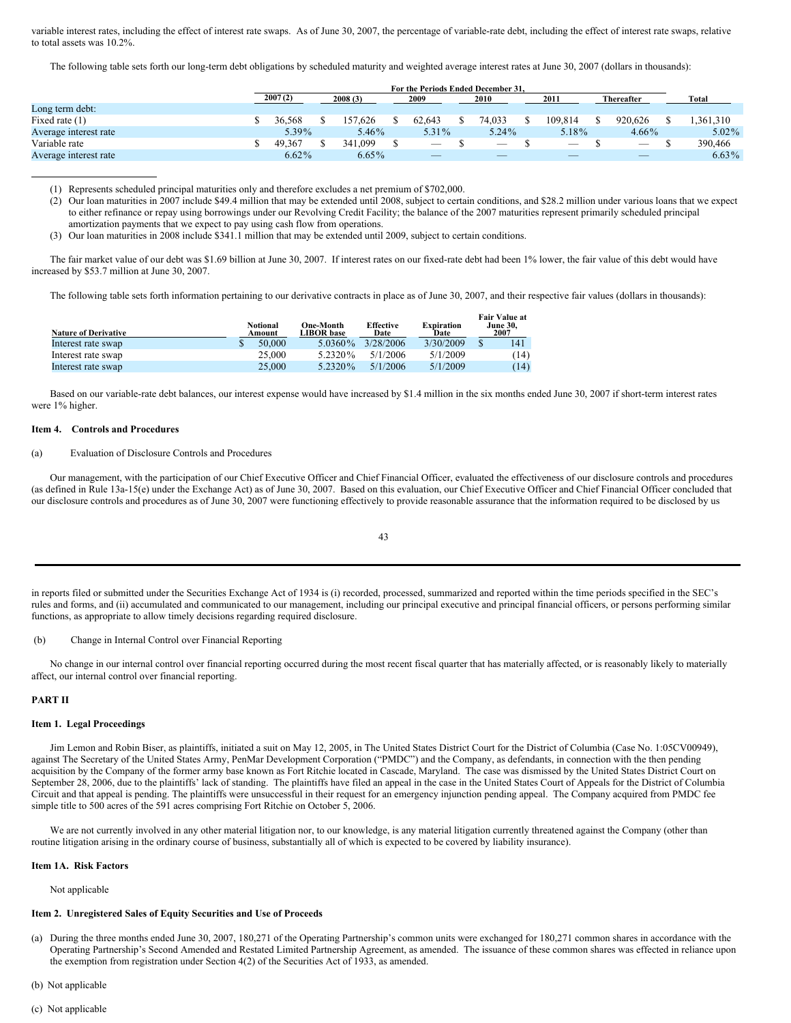variable interest rates, including the effect of interest rate swaps. As of June 30, 2007, the percentage of variable-rate debt, including the effect of interest rate swaps, relative to total assets was 10.2%.

The following table sets forth our long-term debt obligations by scheduled maturity and weighted average interest rates at June 30, 2007 (dollars in thousands):

|                       |          |          |                   | For the Periods Ended December 31. |                                 |                                 |          |
|-----------------------|----------|----------|-------------------|------------------------------------|---------------------------------|---------------------------------|----------|
|                       | 2007(2)  | 2008(3)  | 2009              | 2010                               | 2011                            | Thereafter                      | Total    |
| Long term debt:       |          |          |                   |                                    |                                 |                                 |          |
| Fixed rate $(1)$      | 36,568   | 157.626  | 62.643            | 74.033                             | 109.814                         | 920.626                         | ,361,310 |
| Average interest rate | 5.39%    | $5.46\%$ | 5.31%             | $5.24\%$                           | 5.18%                           | $4.66\%$                        | $5.02\%$ |
| Variable rate         | 49.367   | 341.099  | $\hspace{0.05cm}$ | $\hspace{0.1mm}-\hspace{0.1mm}$    | $\hspace{0.1mm}-\hspace{0.1mm}$ | $\hspace{0.1mm}-\hspace{0.1mm}$ | 390,466  |
| Average interest rate | $6.62\%$ | $6.65\%$ | _                 |                                    |                                 | _                               | $6.63\%$ |

(1) Represents scheduled principal maturities only and therefore excludes a net premium of \$702,000.

(2) Our loan maturities in 2007 include \$49.4 million that may be extended until 2008, subject to certain conditions, and \$28.2 million under various loans that we expect to either refinance or repay using borrowings under our Revolving Credit Facility; the balance of the 2007 maturities represent primarily scheduled principal amortization payments that we expect to pay using cash flow from operations.

(3) Our loan maturities in 2008 include \$341.1 million that may be extended until 2009, subject to certain conditions.

The fair market value of our debt was \$1.69 billion at June 30, 2007. If interest rates on our fixed-rate debt had been 1% lower, the fair value of this debt would have increased by \$53.7 million at June 30, 2007.

The following table sets forth information pertaining to our derivative contracts in place as of June 30, 2007, and their respective fair values (dollars in thousands):

| <b>Nature of Derivative</b> | Notional<br>Amount | One-Month<br><b>LIBOR</b> base | <b>Effective</b><br>Date | <b>Expiration</b><br>Date | <b>Fair Value at</b><br><b>June 30,</b><br>2007 |
|-----------------------------|--------------------|--------------------------------|--------------------------|---------------------------|-------------------------------------------------|
| Interest rate swap          | 50.000             | $5.0360\%$                     | 3/28/2006                | 3/30/2009                 | 141                                             |
| Interest rate swap          | 25,000             | 5.2320%                        | 5/1/2006                 | 5/1/2009                  | (14)                                            |
| Interest rate swap          | 25,000             | $5.2320\%$                     | 5/1/2006                 | 5/1/2009                  | (14)                                            |

Based on our variable-rate debt balances, our interest expense would have increased by \$1.4 million in the six months ended June 30, 2007 if short-term interest rates were 1% higher.

#### <span id="page-24-0"></span>**Item 4. Controls and Procedures**

#### (a) Evaluation of Disclosure Controls and Procedures

Our management, with the participation of our Chief Executive Officer and Chief Financial Officer, evaluated the effectiveness of our disclosure controls and procedures (as defined in Rule 13a-15(e) under the Exchange Act) as of June 30, 2007. Based on this evaluation, our Chief Executive Officer and Chief Financial Officer concluded that our disclosure controls and procedures as of June 30, 2007 were functioning effectively to provide reasonable assurance that the information required to be disclosed by us

in reports filed or submitted under the Securities Exchange Act of 1934 is (i) recorded, processed, summarized and reported within the time periods specified in the SEC's rules and forms, and (ii) accumulated and communicated to our management, including our principal executive and principal financial officers, or persons performing similar functions, as appropriate to allow timely decisions regarding required disclosure.

### (b) Change in Internal Control over Financial Reporting

No change in our internal control over financial reporting occurred during the most recent fiscal quarter that has materially affected, or is reasonably likely to materially affect, our internal control over financial reporting.

#### <span id="page-24-1"></span>**PART II**

#### <span id="page-24-2"></span>**Item 1. Legal Proceedings**

Jim Lemon and Robin Biser, as plaintiffs, initiated a suit on May 12, 2005, in The United States District Court for the District of Columbia (Case No. 1:05CV00949), against The Secretary of the United States Army, PenMar Development Corporation ("PMDC") and the Company, as defendants, in connection with the then pending acquisition by the Company of the former army base known as Fort Ritchie located in Cascade, Maryland. The case was dismissed by the United States District Court on September 28, 2006, due to the plaintiffs' lack of standing. The plaintiffs have filed an appeal in the case in the United States Court of Appeals for the District of Columbia Circuit and that appeal is pending. The plaintiffs were unsuccessful in their request for an emergency injunction pending appeal. The Company acquired from PMDC fee simple title to 500 acres of the 591 acres comprising Fort Ritchie on October 5, 2006.

We are not currently involved in any other material litigation nor, to our knowledge, is any material litigation currently threatened against the Company (other than routine litigation arising in the ordinary course of business, substantially all of which is expected to be covered by liability insurance).

#### **Item 1A. Risk Factors**

<span id="page-24-4"></span><span id="page-24-3"></span>Not applicable

## **Item 2. Unregistered Sales of Equity Securities and Use of Proceeds**

- (a) During the three months ended June 30, 2007, 180,271 of the Operating Partnership's common units were exchanged for 180,271 common shares in accordance with the Operating Partnership's Second Amended and Restated Limited Partnership Agreement, as amended. The issuance of these common shares was effected in reliance upon the exemption from registration under Section 4(2) of the Securities Act of 1933, as amended.
- (b) Not applicable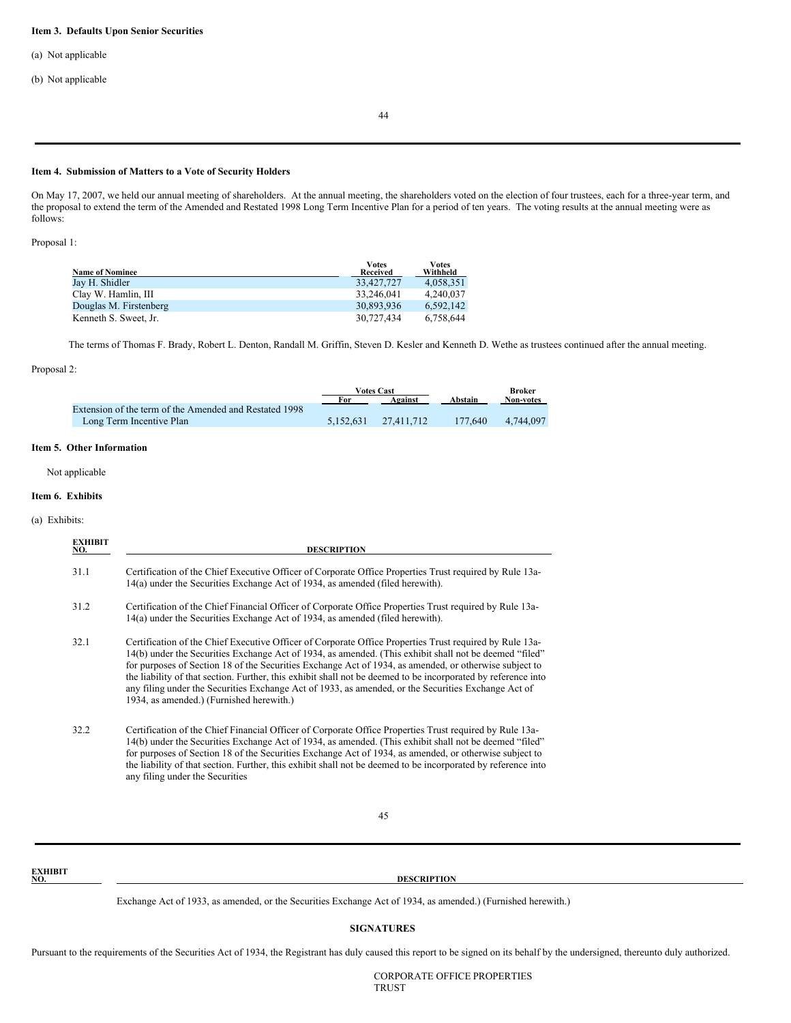<span id="page-25-0"></span>(a) Not applicable

(b) Not applicable

# **Item 4. Submission of Matters to a Vote of Security Holders**

On May 17, 2007, we held our annual meeting of shareholders. At the annual meeting, the shareholders voted on the election of four trustees, each for a three-year term, and the proposal to extend the term of the Amended and Restated 1998 Long Term Incentive Plan for a period of ten years. The voting results at the annual meeting were as follows:

Proposal 1:

<span id="page-25-1"></span>

| <b>Name of Nominee</b> | <b>Votes</b><br>Received | <b>Votes</b><br>Withheld |
|------------------------|--------------------------|--------------------------|
| Jay H. Shidler         | 33,427,727               | 4.058.351                |
| Clay W. Hamlin, III    | 33.246.041               | 4.240.037                |
| Douglas M. Firstenberg | 30.893.936               | 6.592.142                |
| Kenneth S. Sweet, Jr.  | 30.727.434               | 6,758,644                |

The terms of Thomas F. Brady, Robert L. Denton, Randall M. Griffin, Steven D. Kesler and Kenneth D. Wethe as trustees continued after the annual meeting.

# Proposal 2:

<span id="page-25-2"></span>

|                                                        | <b>Votes Cast</b> | Broker     |         |           |  |
|--------------------------------------------------------|-------------------|------------|---------|-----------|--|
|                                                        | For               | Against    | Abstain | Non-votes |  |
| Extension of the term of the Amended and Restated 1998 |                   |            |         |           |  |
| Long Term Incentive Plan                               | 5.152.631         | 27.411.712 | 177.640 | 4.744.097 |  |

# **Item 5. Other Information**

<span id="page-25-3"></span>Not applicable

# **Item 6. Exhibits**

(a) Exhibits:

| <b>EXHIBIT</b><br>NO. | <b>DESCRIPTION</b>                                                                                                                                                                                                                                                                                                                                                                                                                                                                                                                                                                              |
|-----------------------|-------------------------------------------------------------------------------------------------------------------------------------------------------------------------------------------------------------------------------------------------------------------------------------------------------------------------------------------------------------------------------------------------------------------------------------------------------------------------------------------------------------------------------------------------------------------------------------------------|
| 31.1                  | Certification of the Chief Executive Officer of Corporate Office Properties Trust required by Rule 13a-<br>14(a) under the Securities Exchange Act of 1934, as amended (filed herewith).                                                                                                                                                                                                                                                                                                                                                                                                        |
| 31.2                  | Certification of the Chief Financial Officer of Corporate Office Properties Trust required by Rule 13a-<br>14(a) under the Securities Exchange Act of 1934, as amended (filed herewith).                                                                                                                                                                                                                                                                                                                                                                                                        |
| 32.1                  | Certification of the Chief Executive Officer of Corporate Office Properties Trust required by Rule 13a-<br>14(b) under the Securities Exchange Act of 1934, as amended. (This exhibit shall not be deemed "filed"<br>for purposes of Section 18 of the Securities Exchange Act of 1934, as amended, or otherwise subject to<br>the liability of that section. Further, this exhibit shall not be deemed to be incorporated by reference into<br>any filing under the Securities Exchange Act of 1933, as amended, or the Securities Exchange Act of<br>1934, as amended.) (Furnished herewith.) |
| 32.2                  | Certification of the Chief Financial Officer of Corporate Office Properties Trust required by Rule 13a-<br>14(b) under the Securities Exchange Act of 1934, as amended. (This exhibit shall not be deemed "filed"<br>for purposes of Section 18 of the Securities Exchange Act of 1934, as amended, or otherwise subject to<br>the liability of that section. Further, this exhibit shall not be deemed to be incorporated by reference into<br>any filing under the Securities                                                                                                                 |

## 45

**EXHIBIT**

<span id="page-25-4"></span>**NO. DESCRIPTION**

Exchange Act of 1933, as amended, or the Securities Exchange Act of 1934, as amended.) (Furnished herewith.)

# **SIGNATURES**

Pursuant to the requirements of the Securities Act of 1934, the Registrant has duly caused this report to be signed on its behalf by the undersigned, thereunto duly authorized.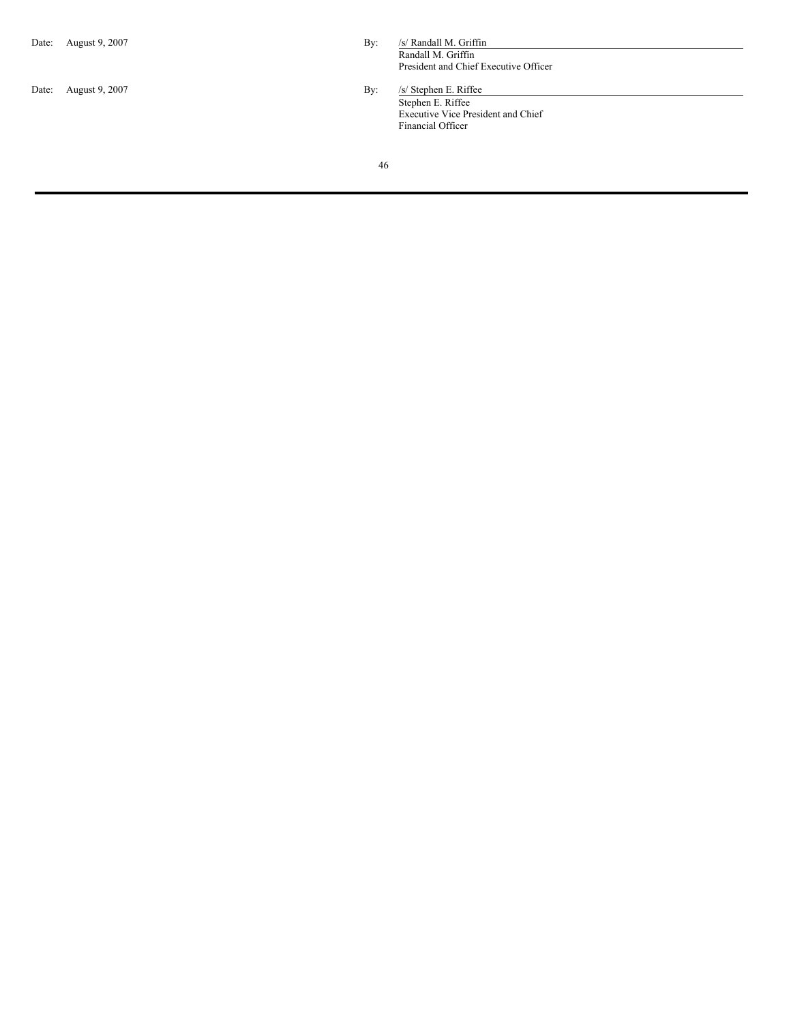Date: August 9, 2007

- By: /s s/ Randall M. Griffin Randall M. Griffin President and Chief Executive Officer
- By: /s s/ Stephen E. Riffee Stephen E. Riffee Executive Vice President and Chief Financial Officer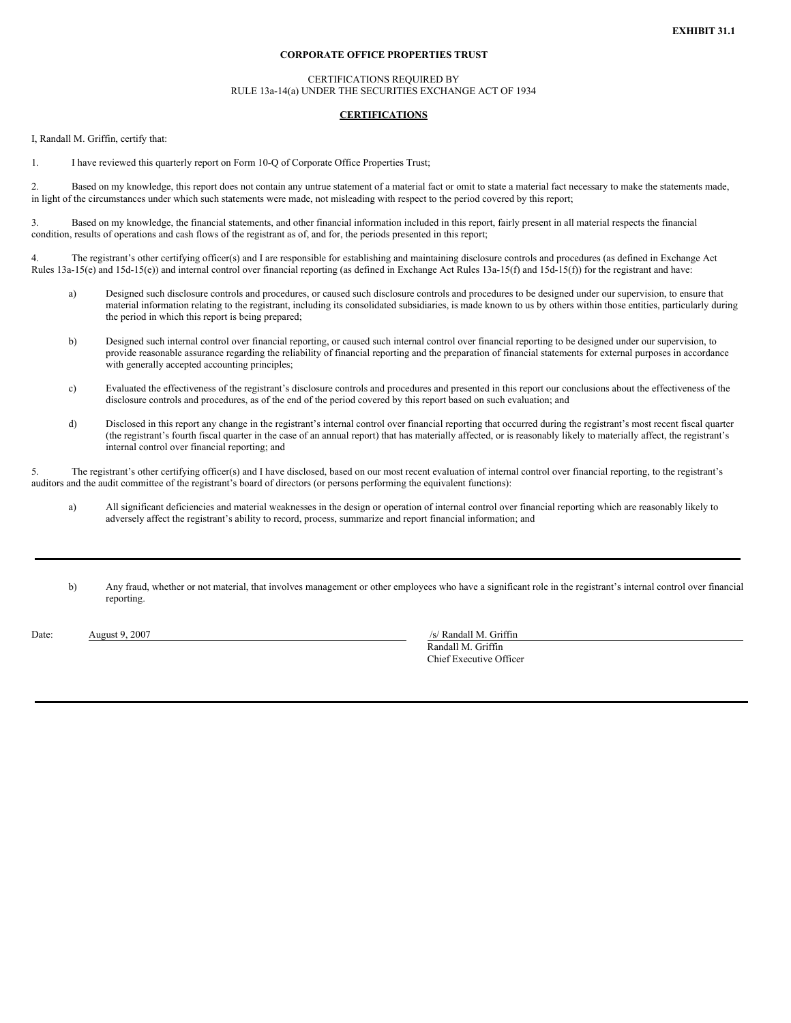## CERTIFICATIONS REQUIRED BY RULE 13a-14(a) UNDER THE SECURITIES EXCHANGE ACT OF 1934

### **CERTIFICATIONS**

I, Randall M. Griffin, certify that:

1. I have reviewed this quarterly report on Form 10-Q of Corporate Office Properties Trust;

2. Based on my knowledge, this report does not contain any untrue statement of a material fact or omit to state a material fact necessary to make the statements made, in light of the circumstances under which such statements were made, not misleading with respect to the period covered by this report;

3. Based on my knowledge, the financial statements, and other financial information included in this report, fairly present in all material respects the financial condition, results of operations and cash flows of the registrant as of, and for, the periods presented in this report;

4. The registrant's other certifying officer(s) and I are responsible for establishing and maintaining disclosure controls and procedures (as defined in Exchange Act Rules 13a-15(e) and 15d-15(e)) and internal control over financial reporting (as defined in Exchange Act Rules 13a-15(f) and 15d-15(f)) for the registrant and have:

- a) Designed such disclosure controls and procedures, or caused such disclosure controls and procedures to be designed under our supervision, to ensure that material information relating to the registrant, including its consolidated subsidiaries, is made known to us by others within those entities, particularly during the period in which this report is being prepared;
- b) Designed such internal control over financial reporting, or caused such internal control over financial reporting to be designed under our supervision, to provide reasonable assurance regarding the reliability of financial reporting and the preparation of financial statements for external purposes in accordance with generally accepted accounting principles;
- c) Evaluated the effectiveness of the registrant's disclosure controls and procedures and presented in this report our conclusions about the effectiveness of the disclosure controls and procedures, as of the end of the period covered by this report based on such evaluation; and
- d) Disclosed in this report any change in the registrant's internal control over financial reporting that occurred during the registrant's most recent fiscal quarter (the registrant's fourth fiscal quarter in the case of an annual report) that has materially affected, or is reasonably likely to materially affect, the registrant's internal control over financial reporting; and

5. The registrant's other certifying officer(s) and I have disclosed, based on our most recent evaluation of internal control over financial reporting, to the registrant's auditors and the audit committee of the registrant's board of directors (or persons performing the equivalent functions):

- a) All significant deficiencies and material weaknesses in the design or operation of internal control over financial reporting which are reasonably likely to adversely affect the registrant's ability to record, process, summarize and report financial information; and
- b) Any fraud, whether or not material, that involves management or other employees who have a significant role in the registrant's internal control over financial reporting.

Date: August 9, 2007 /s/ Randall M. Griffin

Randall M. Griffin Chief Executive Officer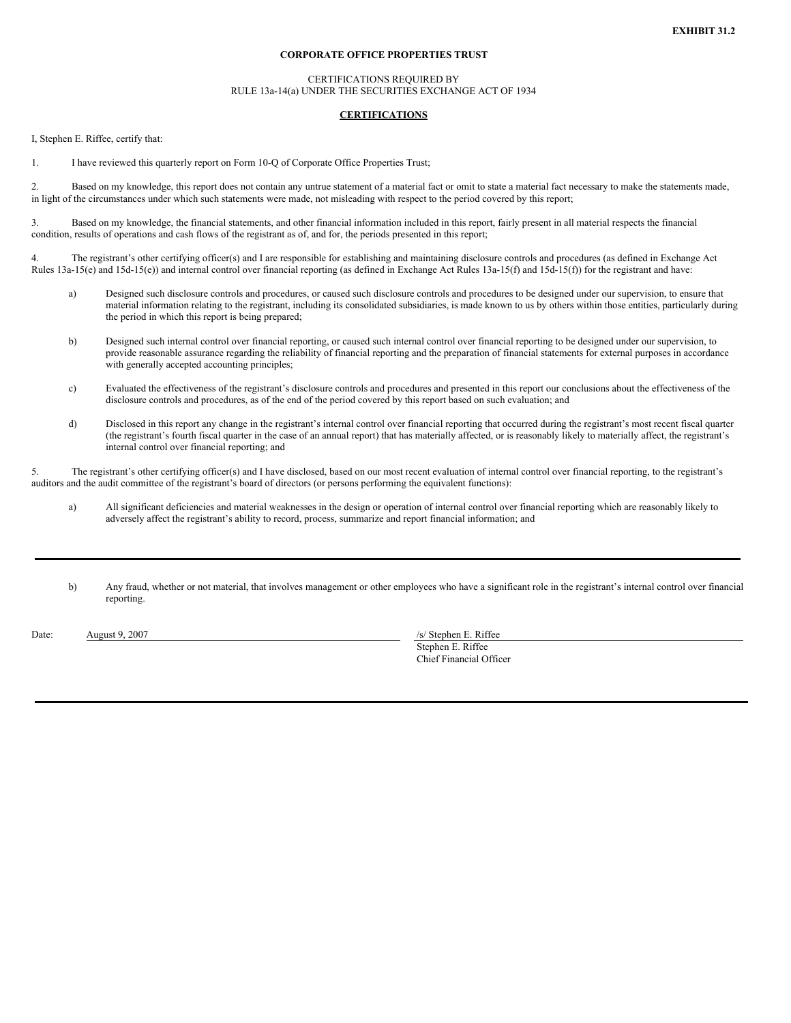## CERTIFICATIONS REQUIRED BY RULE 13a-14(a) UNDER THE SECURITIES EXCHANGE ACT OF 1934

## **CERTIFICATIONS**

I, Stephen E. Riffee, certify that:

1. I have reviewed this quarterly report on Form 10-Q of Corporate Office Properties Trust;

2. Based on my knowledge, this report does not contain any untrue statement of a material fact or omit to state a material fact necessary to make the statements made, in light of the circumstances under which such statements were made, not misleading with respect to the period covered by this report;

3. Based on my knowledge, the financial statements, and other financial information included in this report, fairly present in all material respects the financial condition, results of operations and cash flows of the registrant as of, and for, the periods presented in this report;

4. The registrant's other certifying officer(s) and I are responsible for establishing and maintaining disclosure controls and procedures (as defined in Exchange Act Rules 13a-15(e) and 15d-15(e)) and internal control over financial reporting (as defined in Exchange Act Rules 13a-15(f) and 15d-15(f)) for the registrant and have:

- a) Designed such disclosure controls and procedures, or caused such disclosure controls and procedures to be designed under our supervision, to ensure that material information relating to the registrant, including its consolidated subsidiaries, is made known to us by others within those entities, particularly during the period in which this report is being prepared;
- b) Designed such internal control over financial reporting, or caused such internal control over financial reporting to be designed under our supervision, to provide reasonable assurance regarding the reliability of financial reporting and the preparation of financial statements for external purposes in accordance with generally accepted accounting principles;
- c) Evaluated the effectiveness of the registrant's disclosure controls and procedures and presented in this report our conclusions about the effectiveness of the disclosure controls and procedures, as of the end of the period covered by this report based on such evaluation; and
- d) Disclosed in this report any change in the registrant's internal control over financial reporting that occurred during the registrant's most recent fiscal quarter (the registrant's fourth fiscal quarter in the case of an annual report) that has materially affected, or is reasonably likely to materially affect, the registrant's internal control over financial reporting; and

5. The registrant's other certifying officer(s) and I have disclosed, based on our most recent evaluation of internal control over financial reporting, to the registrant's auditors and the audit committee of the registrant's board of directors (or persons performing the equivalent functions):

- a) All significant deficiencies and material weaknesses in the design or operation of internal control over financial reporting which are reasonably likely to adversely affect the registrant's ability to record, process, summarize and report financial information; and
- b) Any fraud, whether or not material, that involves management or other employees who have a significant role in the registrant's internal control over financial reporting.

Date: August 9, 2007 /s/ Stephen E. Riffee

Stephen E. Riffee Chief Financial Officer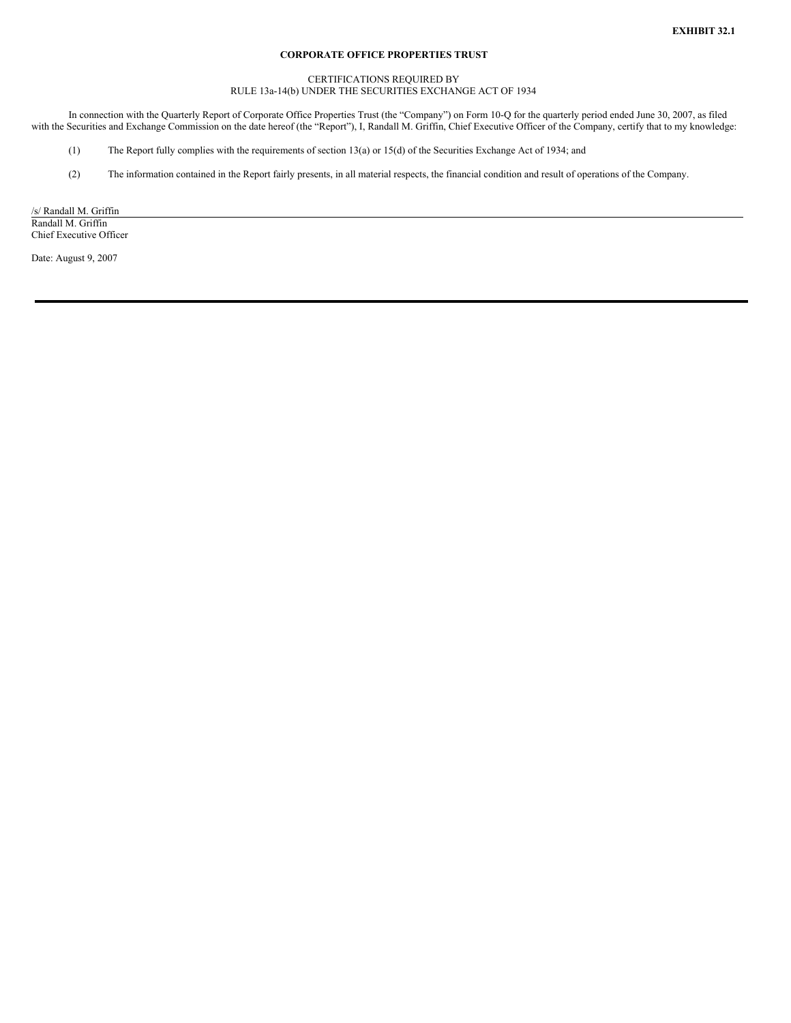# CERTIFICATIONS REQUIRED BY RULE 13a-14(b) UNDER THE SECURITIES EXCHANGE ACT OF 1934

In connection with the Quarterly Report of Corporate Office Properties Trust (the "Company") on Form 10-Q for the quarterly period ended June 30, 2007, as filed with the Securities and Exchange Commission on the date hereof (the "Report"), I, Randall M. Griffin, Chief Executive Officer of the Company, certify that to my knowledge:

- (1) The Report fully complies with the requirements of section 13(a) or 15(d) of the Securities Exchange Act of 1934; and
- (2) The information contained in the Report fairly presents, in all material respects, the financial condition and result of operations of the Company.

/s/ Randall M. Griffin Randall M. Griffin Chief Executive Officer

Date: August 9, 2007